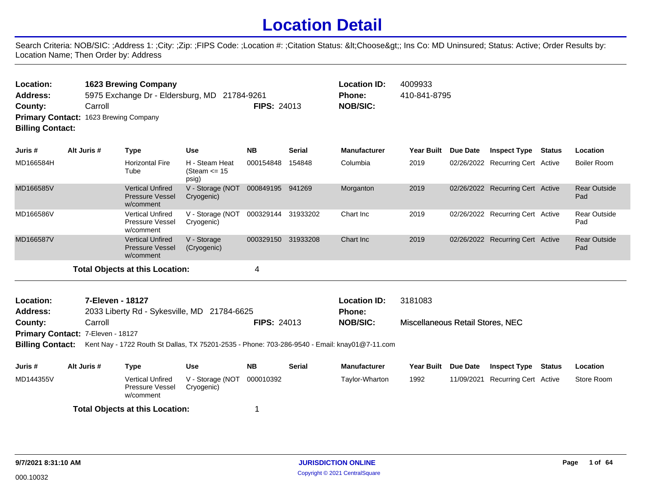## **Location Detail**

Search Criteria: NOB/SIC: ;Address 1: ;City: ;Zip: ;FIPS Code: ;Location #: ;Citation Status: <Choose&gt;; Ins Co: MD Uninsured; Status: Active; Order Results by: Location Name; Then Order by: Address

| Carroll                                                                                                                                                                        |                                                                |                                                                      |                                                            |                                              | <b>Location ID:</b><br><b>Phone:</b><br><b>NOB/SIC:</b>                                  | 4009933           |                                                                                               |              |                                  |                                                                                                                                                                            |
|--------------------------------------------------------------------------------------------------------------------------------------------------------------------------------|----------------------------------------------------------------|----------------------------------------------------------------------|------------------------------------------------------------|----------------------------------------------|------------------------------------------------------------------------------------------|-------------------|-----------------------------------------------------------------------------------------------|--------------|----------------------------------|----------------------------------------------------------------------------------------------------------------------------------------------------------------------------|
| Alt Juris #                                                                                                                                                                    | <b>Type</b>                                                    | <b>Use</b>                                                           | <b>NB</b>                                                  | <b>Serial</b>                                | <b>Manufacturer</b>                                                                      | <b>Year Built</b> | Due Date                                                                                      |              |                                  | Location                                                                                                                                                                   |
|                                                                                                                                                                                | <b>Horizontal Fire</b><br>Tube                                 | H - Steam Heat<br>(Steam $\le$ 15<br>psig)                           | 000154848                                                  | 154848                                       | Columbia                                                                                 | 2019              |                                                                                               |              |                                  | <b>Boiler Room</b>                                                                                                                                                         |
|                                                                                                                                                                                | <b>Vertical Unfired</b><br><b>Pressure Vessel</b><br>w/comment | Cryogenic)                                                           |                                                            | 941269                                       | Morganton                                                                                | 2019              |                                                                                               |              |                                  | <b>Rear Outside</b><br>Pad                                                                                                                                                 |
|                                                                                                                                                                                | <b>Vertical Unfired</b><br><b>Pressure Vessel</b><br>w/comment | V - Storage (NOT<br>Cryogenic)                                       |                                                            |                                              | Chart Inc.                                                                               | 2019              |                                                                                               |              |                                  | <b>Rear Outside</b><br>Pad                                                                                                                                                 |
|                                                                                                                                                                                | <b>Vertical Unfired</b><br><b>Pressure Vessel</b><br>w/comment | V - Storage<br>(Cryogenic)                                           |                                                            | 31933208                                     | Chart Inc.                                                                               | 2019              |                                                                                               |              |                                  | <b>Rear Outside</b><br>Pad                                                                                                                                                 |
|                                                                                                                                                                                |                                                                |                                                                      | 4                                                          |                                              |                                                                                          |                   |                                                                                               |              |                                  |                                                                                                                                                                            |
| 7-Eleven - 18127<br>Location:<br>Address:<br>2033 Liberty Rd - Sykesville, MD 21784-6625<br>Carroll<br>County:<br>Primary Contact: 7-Eleven - 18127<br><b>Billing Contact:</b> |                                                                |                                                                      |                                                            |                                              | <b>Location ID:</b><br><b>Phone:</b><br><b>NOB/SIC:</b>                                  | 3181083           |                                                                                               |              |                                  |                                                                                                                                                                            |
|                                                                                                                                                                                |                                                                | <b>1623 Brewing Company</b><br>Primary Contact: 1623 Brewing Company | V - Storage (NOT<br><b>Total Objects at this Location:</b> | 5975 Exchange Dr - Eldersburg, MD 21784-9261 | <b>FIPS: 24013</b><br>000849195<br>000329144 31933202<br>000329150<br><b>FIPS: 24013</b> |                   | Kent Nay - 1722 Routh St Dallas, TX 75201-2535 - Phone: 703-286-9540 - Email: knay01@7-11.com | 410-841-8795 | Miscellaneous Retail Stores, NEC | <b>Inspect Type Status</b><br>02/26/2022 Recurring Cert Active<br>02/26/2022 Recurring Cert Active<br>02/26/2022 Recurring Cert Active<br>02/26/2022 Recurring Cert Active |

| Juris #   | Alt Juris # | Type                                             | Use                                      | <b>NB</b> | <b>Serial</b> | <b>Manufacturer</b> | Year Built Due Date | Inspect Type                     | Status | Location   |
|-----------|-------------|--------------------------------------------------|------------------------------------------|-----------|---------------|---------------------|---------------------|----------------------------------|--------|------------|
| MD144355V |             | Vertical Unfired<br>Pressure Vessel<br>w/comment | V - Storage (NOT 000010392<br>Cryogenic) |           |               | Tavlor-Wharton      | 1992                | 11/09/2021 Recurring Cert Active |        | Store Room |
|           |             | <b>Total Objects at this Location:</b>           |                                          |           |               |                     |                     |                                  |        |            |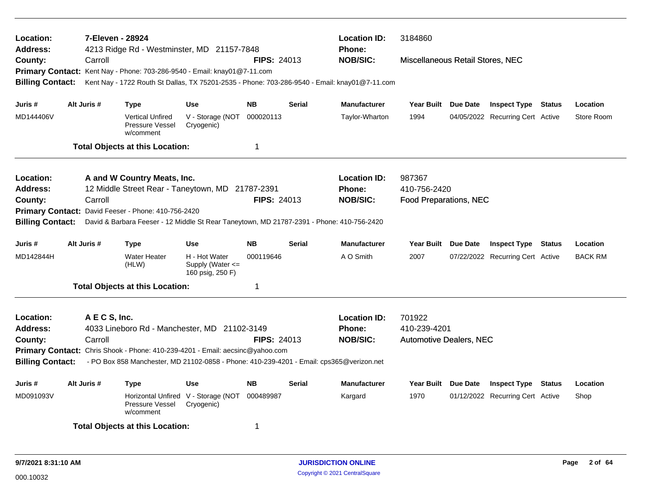| Location:<br><b>Address:</b><br>County: | Carroll       | 7-Eleven - 28924<br>4213 Ridge Rd - Westminster, MD 21157-7848                                                                                                            |                                                       | <b>FIPS: 24013</b> | <b>Location ID:</b><br><b>Phone:</b><br><b>NOB/SIC:</b> | 3184860<br>Miscellaneous Retail Stores, NEC |                                |                 |                                  |                |
|-----------------------------------------|---------------|---------------------------------------------------------------------------------------------------------------------------------------------------------------------------|-------------------------------------------------------|--------------------|---------------------------------------------------------|---------------------------------------------|--------------------------------|-----------------|----------------------------------|----------------|
| <b>Billing Contact:</b>                 |               | Primary Contact: Kent Nay - Phone: 703-286-9540 - Email: knay01@7-11.com<br>Kent Nay - 1722 Routh St Dallas, TX 75201-2535 - Phone: 703-286-9540 - Email: knay01@7-11.com |                                                       |                    |                                                         |                                             |                                |                 |                                  |                |
| Juris #                                 | Alt Juris #   | <b>Type</b>                                                                                                                                                               | <b>Use</b>                                            | <b>NB</b>          | <b>Serial</b>                                           | <b>Manufacturer</b>                         | Year Built Due Date            |                 | <b>Inspect Type Status</b>       | Location       |
| MD144406V                               |               | <b>Vertical Unfired</b><br>Pressure Vessel<br>w/comment                                                                                                                   | V - Storage (NOT<br>Cryogenic)                        | 000020113          |                                                         | Taylor-Wharton                              | 1994                           |                 | 04/05/2022 Recurring Cert Active | Store Room     |
|                                         |               | <b>Total Objects at this Location:</b>                                                                                                                                    |                                                       | $\overline{1}$     |                                                         |                                             |                                |                 |                                  |                |
| Location:                               |               | A and W Country Meats, Inc.                                                                                                                                               |                                                       |                    |                                                         | <b>Location ID:</b>                         | 987367                         |                 |                                  |                |
| <b>Address:</b>                         |               | 12 Middle Street Rear - Taneytown, MD 21787-2391                                                                                                                          |                                                       |                    |                                                         | <b>Phone:</b>                               | 410-756-2420                   |                 |                                  |                |
| County:                                 | Carroll       | Primary Contact: David Feeser - Phone: 410-756-2420                                                                                                                       |                                                       | <b>FIPS: 24013</b> |                                                         | <b>NOB/SIC:</b>                             | Food Preparations, NEC         |                 |                                  |                |
| <b>Billing Contact:</b>                 |               | David & Barbara Feeser - 12 Middle St Rear Taneytown, MD 21787-2391 - Phone: 410-756-2420                                                                                 |                                                       |                    |                                                         |                                             |                                |                 |                                  |                |
| Juris #                                 | Alt Juris #   | <b>Type</b>                                                                                                                                                               | <b>Use</b>                                            | <b>NB</b>          | <b>Serial</b>                                           | <b>Manufacturer</b>                         | Year Built Due Date            |                 | <b>Inspect Type Status</b>       | Location       |
| MD142844H                               |               | <b>Water Heater</b><br>(HLW)                                                                                                                                              | H - Hot Water<br>Supply (Water <=<br>160 psig, 250 F) | 000119646          |                                                         | A O Smith                                   | 2007                           |                 | 07/22/2022 Recurring Cert Active | <b>BACK RM</b> |
|                                         |               | <b>Total Objects at this Location:</b>                                                                                                                                    |                                                       | $\mathbf 1$        |                                                         |                                             |                                |                 |                                  |                |
| Location:                               | A E C S, Inc. |                                                                                                                                                                           |                                                       |                    |                                                         | <b>Location ID:</b>                         | 701922                         |                 |                                  |                |
| <b>Address:</b>                         |               | 4033 Lineboro Rd - Manchester, MD 21102-3149                                                                                                                              |                                                       |                    |                                                         | <b>Phone:</b>                               | 410-239-4201                   |                 |                                  |                |
| County:                                 | Carroll       |                                                                                                                                                                           |                                                       | <b>FIPS: 24013</b> |                                                         | <b>NOB/SIC:</b>                             | <b>Automotive Dealers, NEC</b> |                 |                                  |                |
| <b>Billing Contact:</b>                 |               | Primary Contact: Chris Shook - Phone: 410-239-4201 - Email: aecsinc@yahoo.com<br>- PO Box 858 Manchester, MD 21102-0858 - Phone: 410-239-4201 - Email: cps365@verizon.net |                                                       |                    |                                                         |                                             |                                |                 |                                  |                |
| Juris #                                 | Alt Juris #   | <b>Type</b>                                                                                                                                                               | <b>Use</b>                                            | <b>NB</b>          | <b>Serial</b>                                           | <b>Manufacturer</b>                         | <b>Year Built</b>              | <b>Due Date</b> | <b>Inspect Type Status</b>       | Location       |
| MD091093V                               |               | Pressure Vessel<br>w/comment                                                                                                                                              | Horizontal Unfired V - Storage (NOT<br>Cryogenic)     | 000489987          |                                                         | Kargard                                     | 1970                           |                 | 01/12/2022 Recurring Cert Active | Shop           |
|                                         |               | <b>Total Objects at this Location:</b>                                                                                                                                    |                                                       | -1                 |                                                         |                                             |                                |                 |                                  |                |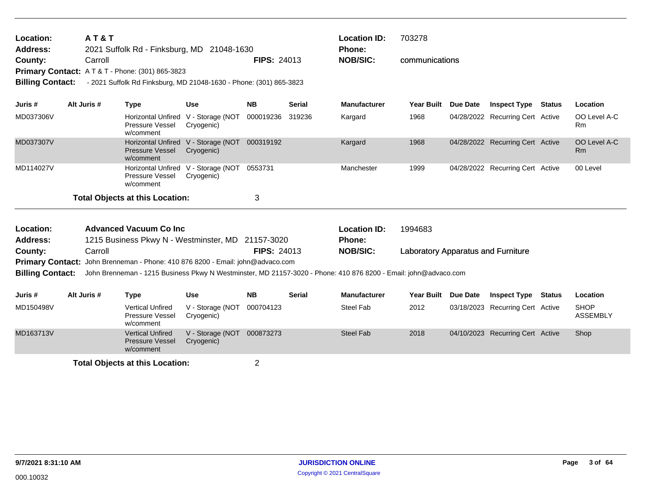| <b>Location:</b>        | <b>AT&amp;T</b> |                                                                                |                                                   |                    |               | <b>Location ID:</b>                                                                                             | 703278                                    |          |                                  |               |                                |
|-------------------------|-----------------|--------------------------------------------------------------------------------|---------------------------------------------------|--------------------|---------------|-----------------------------------------------------------------------------------------------------------------|-------------------------------------------|----------|----------------------------------|---------------|--------------------------------|
| <b>Address:</b>         |                 | 2021 Suffolk Rd - Finksburg, MD 21048-1630                                     |                                                   |                    |               | Phone:                                                                                                          |                                           |          |                                  |               |                                |
| County:                 | Carroll         |                                                                                |                                                   | <b>FIPS: 24013</b> |               | <b>NOB/SIC:</b>                                                                                                 | communications                            |          |                                  |               |                                |
|                         |                 | <b>Primary Contact: AT&amp;T-Phone: (301) 865-3823</b>                         |                                                   |                    |               |                                                                                                                 |                                           |          |                                  |               |                                |
| <b>Billing Contact:</b> |                 | - 2021 Suffolk Rd Finksburg, MD 21048-1630 - Phone: (301) 865-3823             |                                                   |                    |               |                                                                                                                 |                                           |          |                                  |               |                                |
|                         |                 |                                                                                |                                                   |                    |               |                                                                                                                 |                                           |          |                                  |               |                                |
| Juris #                 | Alt Juris #     | <b>Type</b>                                                                    | <b>Use</b>                                        | <b>NB</b>          | <b>Serial</b> | <b>Manufacturer</b>                                                                                             | <b>Year Built</b>                         | Due Date | <b>Inspect Type</b>              | <b>Status</b> | Location                       |
| MD037306V               |                 | Pressure Vessel<br>w/comment                                                   | Horizontal Unfired V - Storage (NOT<br>Cryogenic) | 000019236          | 319236        | Kargard                                                                                                         | 1968                                      |          | 04/28/2022 Recurring Cert Active |               | OO Level A-C<br>Rm             |
| MD037307V               |                 | <b>Pressure Vessel</b><br>w/comment                                            | Horizontal Unfired V - Storage (NOT<br>Cryogenic) | 000319192          |               | Kargard                                                                                                         | 1968                                      |          | 04/28/2022 Recurring Cert Active |               | OO Level A-C<br><b>Rm</b>      |
| MD114027V               |                 | Pressure Vessel<br>w/comment                                                   | Horizontal Unfired V - Storage (NOT<br>Cryogenic) | 0553731            |               | Manchester                                                                                                      | 1999                                      |          | 04/28/2022 Recurring Cert Active |               | 00 Level                       |
|                         |                 | <b>Total Objects at this Location:</b>                                         |                                                   | 3                  |               |                                                                                                                 |                                           |          |                                  |               |                                |
| Location:               |                 | <b>Advanced Vacuum Co Inc.</b>                                                 |                                                   |                    |               | <b>Location ID:</b>                                                                                             | 1994683                                   |          |                                  |               |                                |
| <b>Address:</b>         |                 | 1215 Business Pkwy N - Westminster, MD 21157-3020                              |                                                   |                    |               | Phone:                                                                                                          |                                           |          |                                  |               |                                |
| County:                 | Carroll         |                                                                                |                                                   | <b>FIPS: 24013</b> |               | <b>NOB/SIC:</b>                                                                                                 | <b>Laboratory Apparatus and Furniture</b> |          |                                  |               |                                |
|                         |                 | Primary Contact: John Brenneman - Phone: 410 876 8200 - Email: john@advaco.com |                                                   |                    |               |                                                                                                                 |                                           |          |                                  |               |                                |
| <b>Billing Contact:</b> |                 |                                                                                |                                                   |                    |               | John Brenneman - 1215 Business Pkwy N Westminster, MD 21157-3020 - Phone: 410 876 8200 - Email: john@advaco.com |                                           |          |                                  |               |                                |
|                         |                 |                                                                                |                                                   |                    |               |                                                                                                                 |                                           |          |                                  |               |                                |
| Juris #                 | Alt Juris #     | <b>Type</b>                                                                    | <b>Use</b>                                        | <b>NB</b>          | <b>Serial</b> | <b>Manufacturer</b>                                                                                             | Year Built Due Date                       |          | <b>Inspect Type</b>              | Status        | Location                       |
| MD150498V               |                 | <b>Vertical Unfired</b><br><b>Pressure Vessel</b><br>w/comment                 | V - Storage (NOT<br>Cryogenic)                    | 000704123          |               | Steel Fab                                                                                                       | 2012                                      |          | 03/18/2023 Recurring Cert Active |               | <b>SHOP</b><br><b>ASSEMBLY</b> |
| MD163713V               |                 | <b>Vertical Unfired</b><br><b>Pressure Vessel</b>                              | V - Storage (NOT<br>Cryogenic)                    | 000873273          |               | <b>Steel Fab</b>                                                                                                | 2018                                      |          | 04/10/2023 Recurring Cert Active |               | Shop                           |

w/comment **Total Objects at this Location:** 2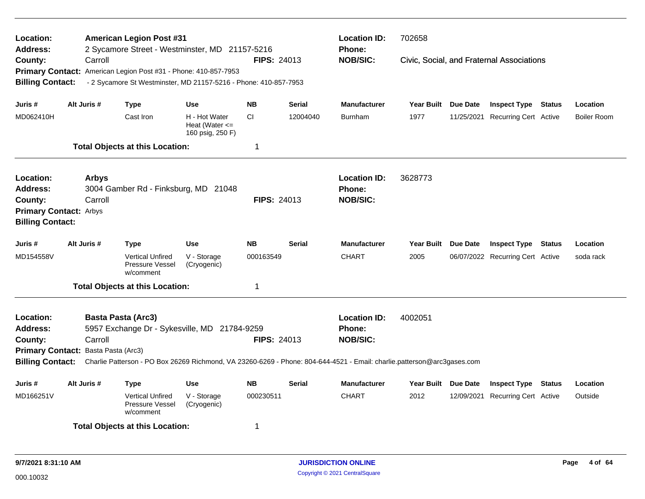| Location:<br><b>Address:</b>        |                           | <b>American Legion Post #31</b><br>2 Sycamore Street - Westminster, MD 21157-5216 |                                                         |                    |               | <b>Location ID:</b><br>Phone:                                                                                                            | 702658              |          |                                           |               |             |
|-------------------------------------|---------------------------|-----------------------------------------------------------------------------------|---------------------------------------------------------|--------------------|---------------|------------------------------------------------------------------------------------------------------------------------------------------|---------------------|----------|-------------------------------------------|---------------|-------------|
| County:                             | Carroll                   |                                                                                   |                                                         | <b>FIPS: 24013</b> |               | <b>NOB/SIC:</b>                                                                                                                          |                     |          | Civic, Social, and Fraternal Associations |               |             |
|                                     |                           | Primary Contact: American Legion Post #31 - Phone: 410-857-7953                   |                                                         |                    |               |                                                                                                                                          |                     |          |                                           |               |             |
| <b>Billing Contact:</b>             |                           | - 2 Sycamore St Westminster, MD 21157-5216 - Phone: 410-857-7953                  |                                                         |                    |               |                                                                                                                                          |                     |          |                                           |               |             |
|                                     |                           |                                                                                   |                                                         |                    |               |                                                                                                                                          |                     |          |                                           |               |             |
| Juris #                             | Alt Juris #               | <b>Type</b>                                                                       | Use                                                     | <b>NB</b>          | <b>Serial</b> | <b>Manufacturer</b>                                                                                                                      | Year Built Due Date |          | <b>Inspect Type Status</b>                |               | Location    |
| MD062410H                           |                           | Cast Iron                                                                         | H - Hot Water<br>Heat (Water $\leq$<br>160 psig, 250 F) | <b>CI</b>          | 12004040      | <b>Burnham</b>                                                                                                                           | 1977                |          | 11/25/2021 Recurring Cert Active          |               | Boiler Room |
|                                     |                           | <b>Total Objects at this Location:</b>                                            |                                                         | 1                  |               |                                                                                                                                          |                     |          |                                           |               |             |
| Location:<br><b>Address:</b>        | <b>Arbys</b>              | 3004 Gamber Rd - Finksburg, MD 21048                                              |                                                         |                    |               | <b>Location ID:</b><br>Phone:                                                                                                            | 3628773             |          |                                           |               |             |
| County:                             | Carroll                   |                                                                                   |                                                         | <b>FIPS: 24013</b> |               | <b>NOB/SIC:</b>                                                                                                                          |                     |          |                                           |               |             |
| <b>Primary Contact: Arbys</b>       |                           |                                                                                   |                                                         |                    |               |                                                                                                                                          |                     |          |                                           |               |             |
| <b>Billing Contact:</b>             |                           |                                                                                   |                                                         |                    |               |                                                                                                                                          |                     |          |                                           |               |             |
|                                     |                           |                                                                                   |                                                         |                    |               |                                                                                                                                          |                     |          |                                           |               |             |
| Juris #                             | Alt Juris #               | <b>Type</b>                                                                       | <b>Use</b>                                              | NΒ                 | <b>Serial</b> | <b>Manufacturer</b>                                                                                                                      | <b>Year Built</b>   | Due Date | <b>Inspect Type</b>                       | Status        | Location    |
| MD154558V                           |                           | <b>Vertical Unfired</b><br>Pressure Vessel<br>w/comment                           | V - Storage<br>(Cryogenic)                              | 000163549          |               | <b>CHART</b>                                                                                                                             | 2005                |          | 06/07/2022 Recurring Cert Active          |               | soda rack   |
|                                     |                           | <b>Total Objects at this Location:</b>                                            |                                                         | 1                  |               |                                                                                                                                          |                     |          |                                           |               |             |
| Location:                           | <b>Basta Pasta (Arc3)</b> |                                                                                   |                                                         |                    |               | <b>Location ID:</b>                                                                                                                      | 4002051             |          |                                           |               |             |
| <b>Address:</b>                     |                           | 5957 Exchange Dr - Sykesville, MD 21784-9259                                      |                                                         |                    |               | <b>Phone:</b>                                                                                                                            |                     |          |                                           |               |             |
| County:                             | Carroll                   |                                                                                   |                                                         | <b>FIPS: 24013</b> |               | <b>NOB/SIC:</b>                                                                                                                          |                     |          |                                           |               |             |
| Primary Contact: Basta Pasta (Arc3) |                           |                                                                                   |                                                         |                    |               |                                                                                                                                          |                     |          |                                           |               |             |
|                                     |                           |                                                                                   |                                                         |                    |               | Billing Contact: Charlie Patterson - PO Box 26269 Richmond, VA 23260-6269 - Phone: 804-644-4521 - Email: charlie.patterson@arc3gases.com |                     |          |                                           |               |             |
| Juris #                             | Alt Juris #               | <b>Type</b>                                                                       | <b>Use</b>                                              | <b>NB</b>          | Serial        | <b>Manufacturer</b>                                                                                                                      | Year Built Due Date |          | <b>Inspect Type</b>                       | <b>Status</b> | Location    |
| MD166251V                           |                           | <b>Vertical Unfired</b><br>Pressure Vessel<br>w/comment                           | V - Storage<br>(Cryogenic)                              | 000230511          |               | <b>CHART</b>                                                                                                                             | 2012                |          | 12/09/2021 Recurring Cert Active          |               | Outside     |
|                                     |                           | <b>Total Objects at this Location:</b>                                            |                                                         | 1                  |               |                                                                                                                                          |                     |          |                                           |               |             |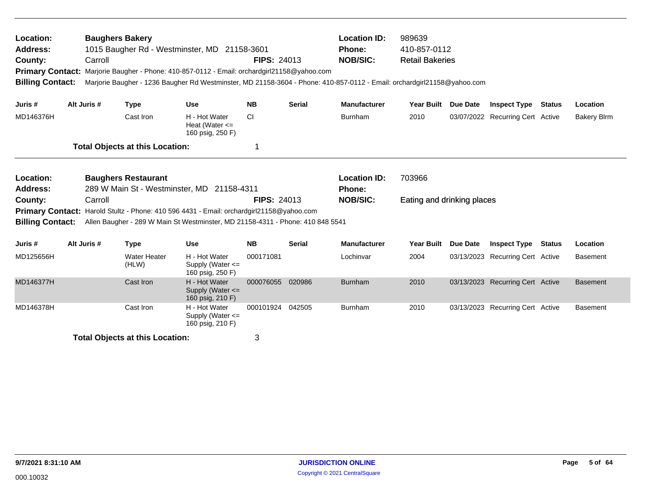| Location:<br><b>Address:</b><br>County:<br><b>Primary Contact:</b><br><b>Billing Contact:</b>                                                                                                                                                                                                                                                                        |  | <b>Baughers Bakery</b><br>Carroll |                                        | 1015 Baugher Rd - Westminster, MD 21158-3601<br>Marjorie Baugher - Phone: 410-857-0112 - Email: orchardgirl21158@yahoo.com<br>Marjorie Baugher - 1236 Baugher Rd Westminster, MD 21158-3604 - Phone: 410-857-0112 - Email: orchardgirl21158@yahoo.com | <b>FIPS: 24013</b> |               | <b>Location ID:</b><br><b>Phone:</b><br><b>NOB/SIC:</b> | 989639<br>410-857-0112<br><b>Retail Bakeries</b> |                 |                                  |               |                    |
|----------------------------------------------------------------------------------------------------------------------------------------------------------------------------------------------------------------------------------------------------------------------------------------------------------------------------------------------------------------------|--|-----------------------------------|----------------------------------------|-------------------------------------------------------------------------------------------------------------------------------------------------------------------------------------------------------------------------------------------------------|--------------------|---------------|---------------------------------------------------------|--------------------------------------------------|-----------------|----------------------------------|---------------|--------------------|
| Juris #                                                                                                                                                                                                                                                                                                                                                              |  | Alt Juris #                       | <b>Type</b>                            | <b>Use</b>                                                                                                                                                                                                                                            | <b>NB</b>          | <b>Serial</b> | <b>Manufacturer</b>                                     | Year Built Due Date                              |                 | <b>Inspect Type</b>              | <b>Status</b> | Location           |
| MD146376H                                                                                                                                                                                                                                                                                                                                                            |  |                                   | Cast Iron                              | H - Hot Water<br>Heat (Water $\leq$<br>160 psig, 250 F)                                                                                                                                                                                               | <b>CI</b>          |               | Burnham                                                 | 2010                                             |                 | 03/07/2022 Recurring Cert Active |               | <b>Bakery Blrm</b> |
|                                                                                                                                                                                                                                                                                                                                                                      |  |                                   | <b>Total Objects at this Location:</b> |                                                                                                                                                                                                                                                       | 1                  |               |                                                         |                                                  |                 |                                  |               |                    |
| Location:<br><b>Baughers Restaurant</b><br>289 W Main St - Westminster, MD 21158-4311<br><b>Address:</b><br>Carroll<br><b>FIPS: 24013</b><br>County:<br><b>Primary Contact:</b> Harold Stultz - Phone: 410 596 4431 - Email: orchardgirl21158@yahoo.com<br>Allen Baugher - 289 W Main St Westminster, MD 21158-4311 - Phone: 410 848 5541<br><b>Billing Contact:</b> |  |                                   |                                        |                                                                                                                                                                                                                                                       |                    |               | <b>Location ID:</b><br><b>Phone:</b><br><b>NOB/SIC:</b> | 703966<br>Eating and drinking places             |                 |                                  |               |                    |
| Juris #                                                                                                                                                                                                                                                                                                                                                              |  | Alt Juris #                       | <b>Type</b>                            | <b>Use</b>                                                                                                                                                                                                                                            | <b>NB</b>          | <b>Serial</b> | <b>Manufacturer</b>                                     | <b>Year Built</b>                                | <b>Due Date</b> | <b>Inspect Type Status</b>       |               | Location           |
| MD125656H                                                                                                                                                                                                                                                                                                                                                            |  |                                   | <b>Water Heater</b><br>(HLW)           | H - Hot Water<br>Supply (Water $\leq$<br>160 psig, 250 F)                                                                                                                                                                                             | 000171081          |               | Lochinvar                                               | 2004                                             |                 | 03/13/2023 Recurring Cert Active |               | <b>Basement</b>    |
| MD146377H                                                                                                                                                                                                                                                                                                                                                            |  |                                   | Cast Iron                              | H - Hot Water<br>Supply (Water <=<br>160 psig, 210 F)                                                                                                                                                                                                 | 000076055          | 020986        | <b>Burnham</b>                                          | 2010                                             |                 | 03/13/2023 Recurring Cert Active |               | <b>Basement</b>    |
| MD146378H                                                                                                                                                                                                                                                                                                                                                            |  |                                   | Cast Iron                              | H - Hot Water<br>Supply (Water $\leq$<br>160 psig, 210 F)                                                                                                                                                                                             | 000101924 042505   |               | Burnham                                                 | 2010                                             |                 | 03/13/2023 Recurring Cert Active |               | <b>Basement</b>    |
|                                                                                                                                                                                                                                                                                                                                                                      |  |                                   | <b>Total Objects at this Location:</b> |                                                                                                                                                                                                                                                       | 3                  |               |                                                         |                                                  |                 |                                  |               |                    |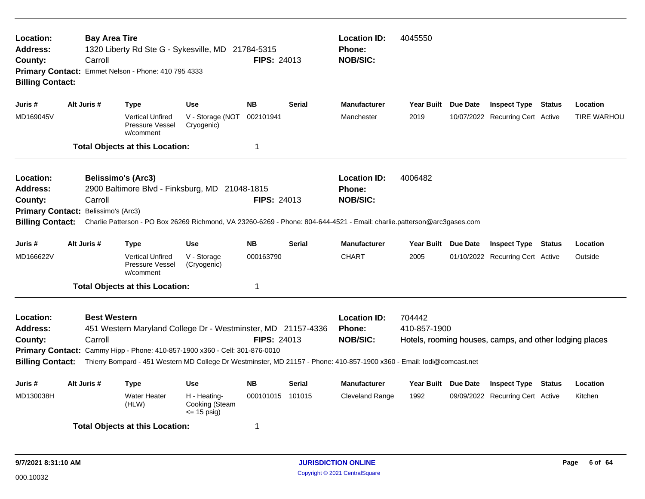| Location:<br><b>Address:</b><br>County:<br><b>Billing Contact:</b>                            | <b>Bay Area Tire</b><br>Carroll | 1320 Liberty Rd Ste G - Sykesville, MD 21784-5315<br>Primary Contact: Emmet Nelson - Phone: 410 795 4333                                                                                                                                                              |                                                | <b>FIPS: 24013</b>                               |               | <b>Location ID:</b><br>Phone:<br><b>NOB/SIC:</b> | 4045550                |                     |                                                         |                    |
|-----------------------------------------------------------------------------------------------|---------------------------------|-----------------------------------------------------------------------------------------------------------------------------------------------------------------------------------------------------------------------------------------------------------------------|------------------------------------------------|--------------------------------------------------|---------------|--------------------------------------------------|------------------------|---------------------|---------------------------------------------------------|--------------------|
| Juris #                                                                                       | Alt Juris #                     | <b>Type</b>                                                                                                                                                                                                                                                           | <b>Use</b>                                     | <b>NB</b>                                        | <b>Serial</b> | <b>Manufacturer</b>                              |                        | Year Built Due Date | <b>Inspect Type Status</b>                              | Location           |
| MD169045V                                                                                     |                                 | <b>Vertical Unfired</b><br>Pressure Vessel<br>w/comment                                                                                                                                                                                                               | V - Storage (NOT<br>Cryogenic)                 | 002101941                                        |               | Manchester                                       | 2019                   |                     | 10/07/2022 Recurring Cert Active                        | <b>TIRE WARHOU</b> |
|                                                                                               |                                 | <b>Total Objects at this Location:</b>                                                                                                                                                                                                                                |                                                | -1                                               |               |                                                  |                        |                     |                                                         |                    |
| Location:<br><b>Address:</b><br>County:<br><b>Primary Contact:</b><br><b>Billing Contact:</b> | Carroll<br>Belissimo's (Arc3)   | <b>Belissimo's (Arc3)</b><br>2900 Baltimore Blvd - Finksburg, MD 21048-1815<br>Charlie Patterson - PO Box 26269 Richmond, VA 23260-6269 - Phone: 804-644-4521 - Email: charlie.patterson@arc3gases.com                                                                | <b>FIPS: 24013</b>                             | <b>Location ID:</b><br>Phone:<br><b>NOB/SIC:</b> | 4006482       |                                                  |                        |                     |                                                         |                    |
| Juris #                                                                                       | Alt Juris #                     | <b>Type</b>                                                                                                                                                                                                                                                           | <b>Use</b>                                     | <b>NB</b>                                        | <b>Serial</b> | <b>Manufacturer</b>                              | Year Built Due Date    |                     | <b>Inspect Type Status</b>                              | Location           |
| MD166622V                                                                                     |                                 | <b>Vertical Unfired</b><br>Pressure Vessel<br>w/comment                                                                                                                                                                                                               | V - Storage<br>(Cryogenic)                     | 000163790                                        |               | <b>CHART</b>                                     | 2005                   |                     | 01/10/2022 Recurring Cert Active                        | Outside            |
|                                                                                               |                                 | <b>Total Objects at this Location:</b>                                                                                                                                                                                                                                |                                                | $\mathbf 1$                                      |               |                                                  |                        |                     |                                                         |                    |
| Location:<br>Address:<br>County:<br><b>Billing Contact:</b>                                   | <b>Best Western</b><br>Carroll  | 451 Western Maryland College Dr - Westminster, MD 21157-4336<br>Primary Contact: Cammy Hipp - Phone: 410-857-1900 x360 - Cell: 301-876-0010<br>Thierry Bompard - 451 Western MD College Dr Westminster, MD 21157 - Phone: 410-857-1900 x360 - Email: lodi@comcast.net |                                                | <b>FIPS: 24013</b>                               |               | <b>Location ID:</b><br>Phone:<br><b>NOB/SIC:</b> | 704442<br>410-857-1900 |                     | Hotels, rooming houses, camps, and other lodging places |                    |
| Juris #                                                                                       | Alt Juris #                     | <b>Type</b>                                                                                                                                                                                                                                                           | <b>Use</b>                                     | <b>NB</b>                                        | <b>Serial</b> | <b>Manufacturer</b>                              | Year Built Due Date    |                     | <b>Inspect Type Status</b>                              | Location           |
| MD130038H                                                                                     |                                 | Water Heater<br>(HLW)                                                                                                                                                                                                                                                 | H - Heating-<br>Cooking (Steam<br>$= 15$ psig) | 000101015 101015                                 |               | Cleveland Range                                  | 1992                   |                     | 09/09/2022 Recurring Cert Active                        | Kitchen            |
|                                                                                               |                                 | <b>Total Objects at this Location:</b>                                                                                                                                                                                                                                |                                                | -1                                               |               |                                                  |                        |                     |                                                         |                    |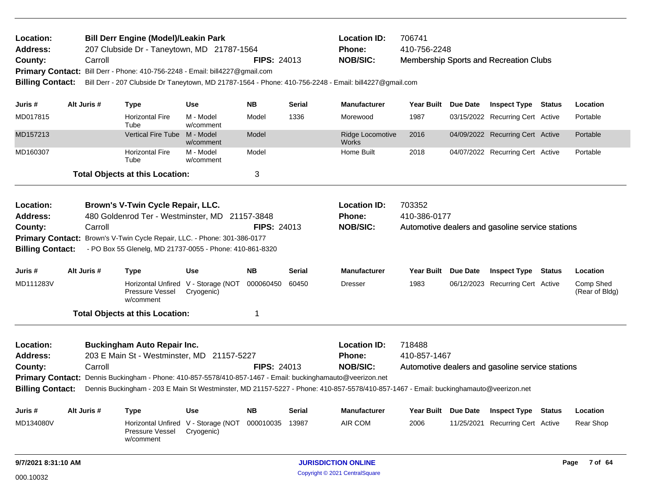| <b>Bill Derr Engine (Model)/Leakin Park</b><br>Location:<br>207 Clubside Dr - Taneytown, MD 21787-1564<br><b>Address:</b><br>County:<br>Carroll<br><b>Primary Contact:</b><br>Bill Derr - Phone: 410-756-2248 - Email: bill4227@gmail.com |                                                                                                                   |             |                                                                                                                                                                                                            | <b>FIPS: 24013</b>                                |                    | <b>Location ID:</b><br><b>Phone:</b><br><b>NOB/SIC:</b> | 706741<br>410-756-2248                                                                                                               |                                                                            | Membership Sports and Recreation Clubs |                                                  |        |                             |
|-------------------------------------------------------------------------------------------------------------------------------------------------------------------------------------------------------------------------------------------|-------------------------------------------------------------------------------------------------------------------|-------------|------------------------------------------------------------------------------------------------------------------------------------------------------------------------------------------------------------|---------------------------------------------------|--------------------|---------------------------------------------------------|--------------------------------------------------------------------------------------------------------------------------------------|----------------------------------------------------------------------------|----------------------------------------|--------------------------------------------------|--------|-----------------------------|
| <b>Billing Contact:</b>                                                                                                                                                                                                                   |                                                                                                                   |             |                                                                                                                                                                                                            |                                                   |                    |                                                         | Bill Derr - 207 Clubside Dr Taneytown, MD 21787-1564 - Phone: 410-756-2248 - Email: bill4227@gmail.com                               |                                                                            |                                        |                                                  |        |                             |
| Juris #                                                                                                                                                                                                                                   |                                                                                                                   | Alt Juris # | <b>Type</b>                                                                                                                                                                                                | Use                                               | <b>NB</b>          | <b>Serial</b>                                           | <b>Manufacturer</b>                                                                                                                  | <b>Year Built</b>                                                          | Due Date                               | <b>Inspect Type Status</b>                       |        | Location                    |
| MD017815                                                                                                                                                                                                                                  |                                                                                                                   |             | <b>Horizontal Fire</b><br>Tube                                                                                                                                                                             | M - Model<br>w/comment                            | Model              | 1336                                                    | Morewood                                                                                                                             | 1987                                                                       |                                        | 03/15/2022 Recurring Cert Active                 |        | Portable                    |
| MD157213                                                                                                                                                                                                                                  |                                                                                                                   |             | Vertical Fire Tube M - Model                                                                                                                                                                               | w/comment                                         | Model              |                                                         | Ridge Locomotive<br><b>Works</b>                                                                                                     | 2016                                                                       |                                        | 04/09/2022 Recurring Cert Active                 |        | Portable                    |
| MD160307                                                                                                                                                                                                                                  |                                                                                                                   |             | <b>Horizontal Fire</b><br>Tube                                                                                                                                                                             | M - Model<br>w/comment                            | Model              |                                                         | Home Built                                                                                                                           | 2018                                                                       |                                        | 04/07/2022 Recurring Cert Active                 |        | Portable                    |
|                                                                                                                                                                                                                                           |                                                                                                                   |             | <b>Total Objects at this Location:</b>                                                                                                                                                                     |                                                   | 3                  |                                                         |                                                                                                                                      |                                                                            |                                        |                                                  |        |                             |
| Location:<br><b>Address:</b><br>County:<br><b>Primary Contact:</b><br><b>Billing Contact:</b>                                                                                                                                             |                                                                                                                   | Carroll     | Brown's V-Twin Cycle Repair, LLC.<br>480 Goldenrod Ter - Westminster, MD 21157-3848<br>Brown's V-Twin Cycle Repair, LLC. - Phone: 301-386-0177<br>- PO Box 55 Glenelg, MD 21737-0055 - Phone: 410-861-8320 |                                                   | <b>FIPS: 24013</b> |                                                         | <b>Location ID:</b><br>Phone:<br><b>NOB/SIC:</b>                                                                                     | 703352<br>410-386-0177                                                     |                                        | Automotive dealers and gasoline service stations |        |                             |
| Juris #                                                                                                                                                                                                                                   |                                                                                                                   | Alt Juris # | <b>Type</b>                                                                                                                                                                                                | Use                                               | <b>NB</b>          | Serial                                                  | <b>Manufacturer</b>                                                                                                                  | <b>Year Built</b>                                                          | Due Date                               | <b>Inspect Type</b>                              | Status | Location                    |
| MD111283V                                                                                                                                                                                                                                 |                                                                                                                   |             | Pressure Vessel<br>w/comment                                                                                                                                                                               | Horizontal Unfired V - Storage (NOT<br>Cryogenic) | 000060450          | 60450                                                   | <b>Dresser</b>                                                                                                                       | 1983                                                                       |                                        | 06/12/2023 Recurring Cert Active                 |        | Comp Shed<br>(Rear of Bldg) |
|                                                                                                                                                                                                                                           |                                                                                                                   |             | <b>Total Objects at this Location:</b>                                                                                                                                                                     |                                                   | 1                  |                                                         |                                                                                                                                      |                                                                            |                                        |                                                  |        |                             |
| Location:<br><b>Address:</b><br>County:                                                                                                                                                                                                   | <b>Buckingham Auto Repair Inc.</b><br>203 E Main St - Westminster, MD 21157-5227<br><b>FIPS: 24013</b><br>Carroll |             |                                                                                                                                                                                                            |                                                   |                    |                                                         | <b>Location ID:</b><br>Phone:<br><b>NOB/SIC:</b>                                                                                     | 718488<br>410-857-1467<br>Automotive dealers and gasoline service stations |                                        |                                                  |        |                             |
| <b>Primary Contact:</b><br><b>Billing Contact:</b>                                                                                                                                                                                        |                                                                                                                   |             | Dennis Buckingham - Phone: 410-857-5578/410-857-1467 - Email: buckinghamauto@veerizon.net                                                                                                                  |                                                   |                    |                                                         | Dennis Buckingham - 203 E Main St Westminster, MD 21157-5227 - Phone: 410-857-5578/410-857-1467 - Email: buckinghamauto@veerizon.net |                                                                            |                                        |                                                  |        |                             |
|                                                                                                                                                                                                                                           |                                                                                                                   |             |                                                                                                                                                                                                            |                                                   |                    |                                                         |                                                                                                                                      |                                                                            |                                        |                                                  |        |                             |
| Juris #                                                                                                                                                                                                                                   |                                                                                                                   | Alt Juris # | <b>Type</b>                                                                                                                                                                                                | <b>Use</b>                                        | <b>NB</b>          | Serial                                                  | <b>Manufacturer</b>                                                                                                                  | <b>Year Built</b>                                                          | Due Date                               | <b>Inspect Type Status</b>                       |        | Location                    |
| MD134080V                                                                                                                                                                                                                                 |                                                                                                                   |             | <b>Horizontal Unfired</b><br>Pressure Vessel<br>w/comment                                                                                                                                                  | V - Storage (NOT 000010035<br>Cryogenic)          |                    | 13987                                                   | AIR COM                                                                                                                              | 2006                                                                       |                                        | 11/25/2021 Recurring Cert Active                 |        | Rear Shop                   |
| 9/7/2021 8:31:10 AM                                                                                                                                                                                                                       |                                                                                                                   |             |                                                                                                                                                                                                            |                                                   |                    |                                                         | <b>JURISDICTION ONLINE</b>                                                                                                           |                                                                            |                                        |                                                  |        | 7 of 64<br>Page             |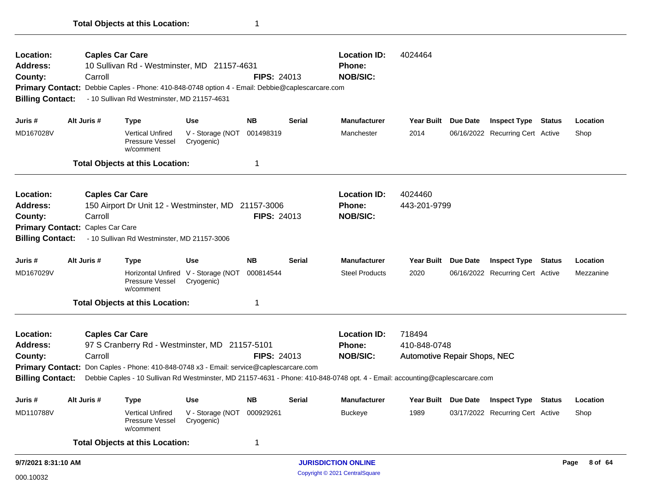| Location:<br><b>Address:</b><br>County:<br><b>Billing Contact:</b> | Carroll                          | <b>Caples Car Care</b><br>10 Sullivan Rd - Westminster, MD 21157-4631<br>Primary Contact: Debbie Caples - Phone: 410-848-0748 option 4 - Email: Debbie@caplescarcare.com<br>- 10 Sullivan Rd Westminster, MD 21157-4631 |                                                   | <b>FIPS: 24013</b> |                            | <b>Location ID:</b><br>Phone:<br><b>NOB/SIC:</b>                                                                             | 4024464                      |          |                                  |                 |           |
|--------------------------------------------------------------------|----------------------------------|-------------------------------------------------------------------------------------------------------------------------------------------------------------------------------------------------------------------------|---------------------------------------------------|--------------------|----------------------------|------------------------------------------------------------------------------------------------------------------------------|------------------------------|----------|----------------------------------|-----------------|-----------|
| Juris #                                                            | Alt Juris #                      | <b>Type</b>                                                                                                                                                                                                             | <b>Use</b>                                        | <b>NB</b>          | <b>Serial</b>              | <b>Manufacturer</b>                                                                                                          | Year Built Due Date          |          | <b>Inspect Type Status</b>       |                 | Location  |
| MD167028V                                                          |                                  | <b>Vertical Unfired</b><br><b>Pressure Vessel</b><br>w/comment                                                                                                                                                          | V - Storage (NOT 001498319<br>Cryogenic)          |                    |                            | Manchester                                                                                                                   | 2014                         |          | 06/16/2022 Recurring Cert Active |                 | Shop      |
|                                                                    |                                  | <b>Total Objects at this Location:</b>                                                                                                                                                                                  |                                                   | $\mathbf 1$        |                            |                                                                                                                              |                              |          |                                  |                 |           |
| Location:                                                          |                                  | <b>Caples Car Care</b>                                                                                                                                                                                                  |                                                   |                    |                            | <b>Location ID:</b>                                                                                                          | 4024460                      |          |                                  |                 |           |
| <b>Address:</b>                                                    |                                  | 150 Airport Dr Unit 12 - Westminster, MD 21157-3006                                                                                                                                                                     |                                                   |                    |                            | <b>Phone:</b>                                                                                                                | 443-201-9799                 |          |                                  |                 |           |
| County:                                                            | Carroll                          |                                                                                                                                                                                                                         |                                                   | <b>FIPS: 24013</b> |                            | <b>NOB/SIC:</b>                                                                                                              |                              |          |                                  |                 |           |
|                                                                    | Primary Contact: Caples Car Care |                                                                                                                                                                                                                         |                                                   |                    |                            |                                                                                                                              |                              |          |                                  |                 |           |
| <b>Billing Contact:</b>                                            |                                  | - 10 Sullivan Rd Westminster, MD 21157-3006                                                                                                                                                                             |                                                   |                    |                            |                                                                                                                              |                              |          |                                  |                 |           |
| Juris #                                                            | Alt Juris #                      | <b>Type</b>                                                                                                                                                                                                             | <b>Use</b>                                        | <b>NB</b>          | <b>Serial</b>              | <b>Manufacturer</b>                                                                                                          | <b>Year Built</b>            | Due Date | <b>Inspect Type</b>              | Status          | Location  |
| MD167029V                                                          |                                  | Pressure Vessel<br>w/comment                                                                                                                                                                                            | Horizontal Unfired V - Storage (NOT<br>Cryogenic) | 000814544          |                            | <b>Steel Products</b>                                                                                                        | 2020                         |          | 06/16/2022 Recurring Cert Active |                 | Mezzanine |
|                                                                    |                                  | <b>Total Objects at this Location:</b>                                                                                                                                                                                  |                                                   | 1                  |                            |                                                                                                                              |                              |          |                                  |                 |           |
| Location:                                                          |                                  | <b>Caples Car Care</b>                                                                                                                                                                                                  |                                                   |                    |                            | <b>Location ID:</b>                                                                                                          | 718494                       |          |                                  |                 |           |
| <b>Address:</b>                                                    |                                  | 97 S Cranberry Rd - Westminster, MD 21157-5101                                                                                                                                                                          |                                                   |                    |                            | Phone:                                                                                                                       | 410-848-0748                 |          |                                  |                 |           |
| County:                                                            | Carroll                          |                                                                                                                                                                                                                         |                                                   | <b>FIPS: 24013</b> |                            | <b>NOB/SIC:</b>                                                                                                              | Automotive Repair Shops, NEC |          |                                  |                 |           |
|                                                                    |                                  | Primary Contact: Don Caples - Phone: 410-848-0748 x3 - Email: service@caplescarcare.com                                                                                                                                 |                                                   |                    |                            |                                                                                                                              |                              |          |                                  |                 |           |
| <b>Billing Contact:</b>                                            |                                  |                                                                                                                                                                                                                         |                                                   |                    |                            | Debbie Caples - 10 Sullivan Rd Westminster, MD 21157-4631 - Phone: 410-848-0748 opt. 4 - Email: accounting@caplescarcare.com |                              |          |                                  |                 |           |
| Juris #                                                            | Alt Juris #                      | <b>Type</b>                                                                                                                                                                                                             | <b>Use</b>                                        | <b>NB</b>          | <b>Serial</b>              | <b>Manufacturer</b>                                                                                                          | Year Built Due Date          |          | <b>Inspect Type Status</b>       |                 | Location  |
| MD110788V                                                          |                                  | <b>Vertical Unfired</b><br><b>Pressure Vessel</b><br>w/comment                                                                                                                                                          | V - Storage (NOT 000929261<br>Cryogenic)          |                    |                            | Buckeye                                                                                                                      | 1989                         |          | 03/17/2022 Recurring Cert Active |                 | Shop      |
|                                                                    |                                  | <b>Total Objects at this Location:</b>                                                                                                                                                                                  |                                                   | $\mathbf 1$        |                            |                                                                                                                              |                              |          |                                  |                 |           |
| 9/7/2021 8:31:10 AM                                                |                                  |                                                                                                                                                                                                                         |                                                   |                    | <b>JURISDICTION ONLINE</b> |                                                                                                                              |                              |          |                                  | 8 of 64<br>Page |           |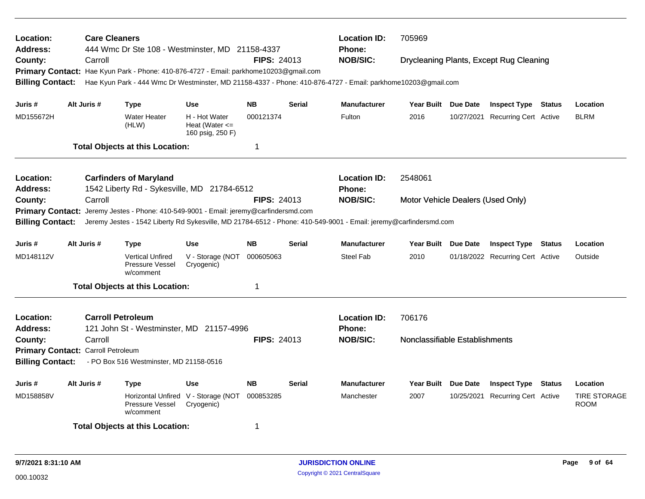| Location:<br><b>Address:</b> |                                    | <b>Care Cleaners</b><br>444 Wmc Dr Ste 108 - Westminster, MD 21158-4337               |                                                         |                    | <b>Location ID:</b><br>Phone: | 705969                                                                                                           |                                   |                                         |                                    |
|------------------------------|------------------------------------|---------------------------------------------------------------------------------------|---------------------------------------------------------|--------------------|-------------------------------|------------------------------------------------------------------------------------------------------------------|-----------------------------------|-----------------------------------------|------------------------------------|
| County:                      | Carroll                            |                                                                                       |                                                         | <b>FIPS: 24013</b> |                               | <b>NOB/SIC:</b>                                                                                                  |                                   | Drycleaning Plants, Except Rug Cleaning |                                    |
|                              |                                    | Primary Contact: Hae Kyun Park - Phone: 410-876-4727 - Email: parkhome10203@gmail.com |                                                         |                    |                               |                                                                                                                  |                                   |                                         |                                    |
| <b>Billing Contact:</b>      |                                    |                                                                                       |                                                         |                    |                               | Hae Kyun Park - 444 Wmc Dr Westminster, MD 21158-4337 - Phone: 410-876-4727 - Email: parkhome10203@gmail.com     |                                   |                                         |                                    |
| Juris #                      | Alt Juris #                        | <b>Type</b>                                                                           | Use                                                     | <b>NB</b>          | <b>Serial</b>                 | <b>Manufacturer</b>                                                                                              | Year Built Due Date               | <b>Inspect Type Status</b>              | Location                           |
| MD155672H                    |                                    | <b>Water Heater</b><br>(HLW)                                                          | H - Hot Water<br>Heat (Water $\leq$<br>160 psig, 250 F) | 000121374          |                               | Fulton                                                                                                           | 2016                              | 10/27/2021 Recurring Cert Active        | <b>BLRM</b>                        |
|                              |                                    | <b>Total Objects at this Location:</b>                                                |                                                         | 1                  |                               |                                                                                                                  |                                   |                                         |                                    |
| Location:                    |                                    | <b>Carfinders of Maryland</b>                                                         |                                                         |                    |                               | <b>Location ID:</b>                                                                                              | 2548061                           |                                         |                                    |
| Address:                     |                                    | 1542 Liberty Rd - Sykesville, MD 21784-6512                                           |                                                         |                    |                               | <b>Phone:</b>                                                                                                    |                                   |                                         |                                    |
| County:                      | Carroll                            |                                                                                       |                                                         | <b>FIPS: 24013</b> |                               | <b>NOB/SIC:</b>                                                                                                  | Motor Vehicle Dealers (Used Only) |                                         |                                    |
| <b>Primary Contact:</b>      |                                    | Jeremy Jestes - Phone: 410-549-9001 - Email: jeremy@carfindersmd.com                  |                                                         |                    |                               | Jeremy Jestes - 1542 Liberty Rd Sykesville, MD 21784-6512 - Phone: 410-549-9001 - Email: jeremy@carfindersmd.com |                                   |                                         |                                    |
| <b>Billing Contact:</b>      |                                    |                                                                                       |                                                         |                    |                               |                                                                                                                  |                                   |                                         |                                    |
| Juris #                      | Alt Juris #                        | <b>Type</b>                                                                           | <b>Use</b>                                              | <b>NB</b>          | <b>Serial</b>                 | <b>Manufacturer</b>                                                                                              | Year Built Due Date               | <b>Inspect Type Status</b>              | Location                           |
| MD148112V                    |                                    | <b>Vertical Unfired</b><br>Pressure Vessel<br>w/comment                               | V - Storage (NOT<br>Cryogenic)                          | 000605063          |                               | <b>Steel Fab</b>                                                                                                 | 2010                              | 01/18/2022 Recurring Cert Active        | Outside                            |
|                              |                                    | <b>Total Objects at this Location:</b>                                                |                                                         | 1                  |                               |                                                                                                                  |                                   |                                         |                                    |
| Location:                    |                                    | <b>Carroll Petroleum</b>                                                              |                                                         |                    |                               | <b>Location ID:</b>                                                                                              | 706176                            |                                         |                                    |
| Address:                     |                                    | 121 John St - Westminster, MD 21157-4996                                              |                                                         |                    |                               | <b>Phone:</b>                                                                                                    |                                   |                                         |                                    |
| County:                      | Carroll                            |                                                                                       |                                                         | <b>FIPS: 24013</b> |                               | <b>NOB/SIC:</b>                                                                                                  | Nonclassifiable Establishments    |                                         |                                    |
|                              | Primary Contact: Carroll Petroleum |                                                                                       |                                                         |                    |                               |                                                                                                                  |                                   |                                         |                                    |
| <b>Billing Contact:</b>      |                                    | - PO Box 516 Westminster, MD 21158-0516                                               |                                                         |                    |                               |                                                                                                                  |                                   |                                         |                                    |
| Juris #                      | Alt Juris #                        | <b>Type</b>                                                                           | <b>Use</b>                                              | <b>NB</b>          | Serial                        | <b>Manufacturer</b>                                                                                              | Year Built Due Date               | <b>Inspect Type Status</b>              | Location                           |
| MD158858V                    |                                    | Pressure Vessel<br>w/comment                                                          | Horizontal Unfired V - Storage (NOT<br>Cryogenic)       | 000853285          |                               | Manchester                                                                                                       | 2007                              | 10/25/2021 Recurring Cert Active        | <b>TIRE STORAGE</b><br><b>ROOM</b> |
|                              |                                    | <b>Total Objects at this Location:</b>                                                |                                                         | 1                  |                               |                                                                                                                  |                                   |                                         |                                    |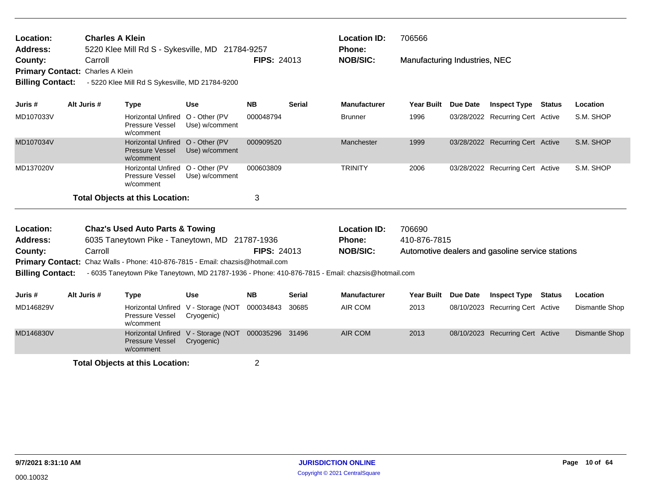| Location:<br>Address:<br>County:<br><b>Billing Contact:</b> | Carroll<br>Primary Contact: Charles A Klein                                                  | <b>Charles A Klein</b><br>5220 Klee Mill Rd S - Sykesville, MD 21784-9257<br>- 5220 Klee Mill Rd S Sykesville, MD 21784-9200                                                        |                                                   | <b>FIPS: 24013</b> |               | <b>Location ID:</b><br><b>Phone:</b><br><b>NOB/SIC:</b> | 706566<br>Manufacturing Industries, NEC |          |                                                  |        |                |
|-------------------------------------------------------------|----------------------------------------------------------------------------------------------|-------------------------------------------------------------------------------------------------------------------------------------------------------------------------------------|---------------------------------------------------|--------------------|---------------|---------------------------------------------------------|-----------------------------------------|----------|--------------------------------------------------|--------|----------------|
| Juris #                                                     | Alt Juris #                                                                                  | <b>Type</b>                                                                                                                                                                         | <b>Use</b>                                        | <b>NB</b>          | <b>Serial</b> | <b>Manufacturer</b>                                     | <b>Year Built</b>                       | Due Date | <b>Inspect Type</b>                              | Status | Location       |
| MD107033V                                                   |                                                                                              | Horizontal Unfired O - Other (PV<br><b>Pressure Vessel</b><br>w/comment                                                                                                             | Use) w/comment                                    | 000048794          |               | <b>Brunner</b>                                          | 1996                                    |          | 03/28/2022 Recurring Cert Active                 |        | S.M. SHOP      |
| MD107034V                                                   |                                                                                              | Horizontal Unfired O - Other (PV<br><b>Pressure Vessel</b><br>w/comment                                                                                                             | Use) w/comment                                    | 000909520          |               | Manchester                                              | 1999                                    |          | 03/28/2022 Recurring Cert Active                 |        | S.M. SHOP      |
| MD137020V                                                   |                                                                                              | Horizontal Unfired O - Other (PV<br><b>Pressure Vessel</b><br>w/comment                                                                                                             | Use) w/comment                                    | 000603809          |               | <b>TRINITY</b>                                          | 2006                                    |          | 03/28/2022 Recurring Cert Active                 |        | S.M. SHOP      |
|                                                             |                                                                                              | <b>Total Objects at this Location:</b>                                                                                                                                              |                                                   | 3                  |               |                                                         |                                         |          |                                                  |        |                |
| Location:<br>Address:                                       | <b>Chaz's Used Auto Parts &amp; Towing</b><br>6035 Taneytown Pike - Taneytown, MD 21787-1936 |                                                                                                                                                                                     |                                                   |                    |               | <b>Location ID:</b><br><b>Phone:</b>                    | 706690<br>410-876-7815                  |          |                                                  |        |                |
| County:                                                     | Carroll                                                                                      |                                                                                                                                                                                     |                                                   | <b>FIPS: 24013</b> |               | <b>NOB/SIC:</b>                                         |                                         |          | Automotive dealers and gasoline service stations |        |                |
| <b>Billing Contact:</b>                                     |                                                                                              | Primary Contact: Chaz Walls - Phone: 410-876-7815 - Email: chazsis@hotmail.com<br>- 6035 Taneytown Pike Taneytown, MD 21787-1936 - Phone: 410-876-7815 - Email: chazsis@hotmail.com |                                                   |                    |               |                                                         |                                         |          |                                                  |        |                |
| Juris #                                                     | Alt Juris #                                                                                  | <b>Type</b>                                                                                                                                                                         | <b>Use</b>                                        | <b>NB</b>          | <b>Serial</b> | <b>Manufacturer</b>                                     | Year Built Due Date                     |          | <b>Inspect Type Status</b>                       |        | Location       |
| MD146829V                                                   |                                                                                              | <b>Pressure Vessel</b><br>w/comment                                                                                                                                                 | Horizontal Unfired V - Storage (NOT<br>Cryogenic) | 000034843          | 30685         | AIR COM                                                 | 2013                                    |          | 08/10/2023 Recurring Cert Active                 |        | Dismantle Shop |
| MD146830V                                                   |                                                                                              | <b>Pressure Vessel</b><br>w/comment                                                                                                                                                 | Horizontal Unfired V - Storage (NOT<br>Cryogenic) | 000035296 31496    |               | <b>AIR COM</b>                                          | 2013                                    |          | 08/10/2023 Recurring Cert Active                 |        | Dismantle Shop |
|                                                             |                                                                                              | <b>Total Objects at this Location:</b>                                                                                                                                              |                                                   | $\overline{2}$     |               |                                                         |                                         |          |                                                  |        |                |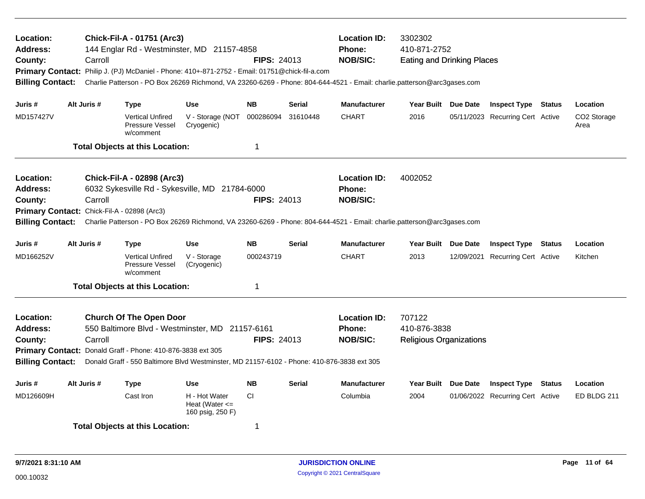| Location:<br>Address:<br>County:<br><b>Billing Contact:</b>                             | Carroll     | Chick-Fil-A - 01751 (Arc3)<br>144 Englar Rd - Westminster, MD 21157-4858<br>Primary Contact: Philip J. (PJ) McDaniel - Phone: 410+-871-2752 - Email: 01751@chick-fil-a.com                                                                             |                                | <b>FIPS: 24013</b>                               |                                                          | 3302302<br><b>Location ID:</b><br>410-871-2752<br><b>Phone:</b><br><b>NOB/SIC:</b><br><b>Eating and Drinking Places</b><br>Charlie Patterson - PO Box 26269 Richmond, VA 23260-6269 - Phone: 804-644-4521 - Email: charlie.patterson@arc3gases.com |                     |  |                                  |               |                     |
|-----------------------------------------------------------------------------------------|-------------|--------------------------------------------------------------------------------------------------------------------------------------------------------------------------------------------------------------------------------------------------------|--------------------------------|--------------------------------------------------|----------------------------------------------------------|----------------------------------------------------------------------------------------------------------------------------------------------------------------------------------------------------------------------------------------------------|---------------------|--|----------------------------------|---------------|---------------------|
| Juris #                                                                                 | Alt Juris # | Type                                                                                                                                                                                                                                                   | <b>Use</b>                     | <b>NB</b>                                        | <b>Serial</b>                                            | <b>Manufacturer</b>                                                                                                                                                                                                                                | Year Built Due Date |  | <b>Inspect Type Status</b>       |               | Location            |
| MD157427V                                                                               |             | <b>Vertical Unfired</b><br>Pressure Vessel<br>w/comment                                                                                                                                                                                                | V - Storage (NOT<br>Cryogenic) | 000286094                                        | 31610448                                                 | <b>CHART</b>                                                                                                                                                                                                                                       | 2016                |  | 05/11/2023 Recurring Cert Active |               | CO2 Storage<br>Area |
|                                                                                         |             | <b>Total Objects at this Location:</b>                                                                                                                                                                                                                 |                                | $\mathbf 1$                                      |                                                          |                                                                                                                                                                                                                                                    |                     |  |                                  |               |                     |
| <b>Location:</b><br><b>Address:</b><br>County:<br><b>Billing Contact:</b>               | Carroll     | Chick-Fil-A - 02898 (Arc3)<br>6032 Sykesville Rd - Sykesville, MD 21784-6000<br>Primary Contact: Chick-Fil-A - 02898 (Arc3)<br>Charlie Patterson - PO Box 26269 Richmond, VA 23260-6269 - Phone: 804-644-4521 - Email: charlie.patterson@arc3gases.com |                                | <b>FIPS: 24013</b>                               |                                                          | <b>Location ID:</b><br>Phone:<br><b>NOB/SIC:</b>                                                                                                                                                                                                   | 4002052             |  |                                  |               |                     |
| Juris #                                                                                 | Alt Juris # | <b>Type</b>                                                                                                                                                                                                                                            | Use                            | NΒ                                               | <b>Serial</b>                                            | <b>Manufacturer</b>                                                                                                                                                                                                                                | Year Built Due Date |  | <b>Inspect Type Status</b>       |               | Location            |
| MD166252V                                                                               |             | <b>Vertical Unfired</b><br>Pressure Vessel<br>w/comment                                                                                                                                                                                                | V - Storage<br>(Cryogenic)     | 000243719                                        |                                                          | <b>CHART</b>                                                                                                                                                                                                                                       | 2013                |  | 12/09/2021 Recurring Cert Active |               | Kitchen             |
|                                                                                         |             | <b>Total Objects at this Location:</b>                                                                                                                                                                                                                 |                                | $\mathbf 1$                                      |                                                          |                                                                                                                                                                                                                                                    |                     |  |                                  |               |                     |
| Location:<br><b>Address:</b><br>County:<br><b>Billing Contact:</b>                      | Carroll     | <b>Church Of The Open Door</b><br>550 Baltimore Blvd - Westminster, MD 21157-6161<br>Primary Contact: Donald Graff - Phone: 410-876-3838 ext 305<br>Donald Graff - 550 Baltimore Blvd Westminster, MD 21157-6102 - Phone: 410-876-3838 ext 305         | FIPS: 24013                    | <b>Location ID:</b><br>Phone:<br><b>NOB/SIC:</b> | 707122<br>410-876-3838<br><b>Religious Organizations</b> |                                                                                                                                                                                                                                                    |                     |  |                                  |               |                     |
| Juris #                                                                                 | Alt Juris # | <b>Type</b>                                                                                                                                                                                                                                            | <b>Use</b>                     | <b>NB</b>                                        | <b>Serial</b>                                            | <b>Manufacturer</b>                                                                                                                                                                                                                                | Year Built Due Date |  | <b>Inspect Type</b>              | <b>Status</b> | Location            |
| CI<br>MD126609H<br>Cast Iron<br>H - Hot Water<br>Heat (Water $\leq$<br>160 psig, 250 F) |             |                                                                                                                                                                                                                                                        |                                |                                                  |                                                          | Columbia                                                                                                                                                                                                                                           | 2004                |  | 01/06/2022 Recurring Cert Active |               | ED BLDG 211         |
|                                                                                         |             | <b>Total Objects at this Location:</b>                                                                                                                                                                                                                 |                                | -1                                               |                                                          |                                                                                                                                                                                                                                                    |                     |  |                                  |               |                     |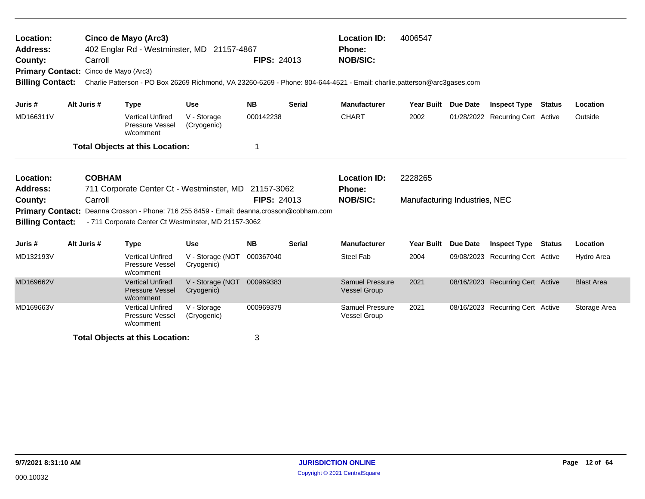| Location:<br><b>Address:</b><br>County:                            | Cinco de Mayo (Arc3)<br><b>Location ID:</b><br>4006547<br>402 Englar Rd - Westminster, MD 21157-4867<br><b>Phone:</b><br><b>FIPS: 24013</b><br><b>NOB/SIC:</b><br>Carroll<br>Primary Contact: Cinco de Mayo (Arc3)<br>Charlie Patterson - PO Box 26269 Richmond, VA 23260-6269 - Phone: 804-644-4521 - Email: charlie.patterson@arc3gases.com<br><b>Billing Contact:</b><br>Alt Juris #<br>Year Built Due Date<br><b>Inspect Type Status</b> |                          |                                                                |                                                                                                                                                                                                          |                    |               |                                                  |                                          |          |                                  |        |                   |
|--------------------------------------------------------------------|----------------------------------------------------------------------------------------------------------------------------------------------------------------------------------------------------------------------------------------------------------------------------------------------------------------------------------------------------------------------------------------------------------------------------------------------|--------------------------|----------------------------------------------------------------|----------------------------------------------------------------------------------------------------------------------------------------------------------------------------------------------------------|--------------------|---------------|--------------------------------------------------|------------------------------------------|----------|----------------------------------|--------|-------------------|
| Juris #                                                            |                                                                                                                                                                                                                                                                                                                                                                                                                                              |                          | <b>Type</b>                                                    | <b>Use</b>                                                                                                                                                                                               | <b>NB</b>          | <b>Serial</b> | <b>Manufacturer</b>                              |                                          |          |                                  |        | Location          |
| MD166311V                                                          |                                                                                                                                                                                                                                                                                                                                                                                                                                              |                          | <b>Vertical Unfired</b><br>Pressure Vessel<br>w/comment        | V - Storage<br>(Cryogenic)                                                                                                                                                                               | 000142238          |               | <b>CHART</b>                                     | 2002                                     |          | 01/28/2022 Recurring Cert Active |        | Outside           |
|                                                                    |                                                                                                                                                                                                                                                                                                                                                                                                                                              |                          | <b>Total Objects at this Location:</b>                         |                                                                                                                                                                                                          |                    |               |                                                  |                                          |          |                                  |        |                   |
| Location:<br><b>Address:</b><br>County:<br><b>Billing Contact:</b> |                                                                                                                                                                                                                                                                                                                                                                                                                                              | <b>COBHAM</b><br>Carroll |                                                                | 711 Corporate Center Ct - Westminster, MD 21157-3062<br>Primary Contact: Deanna Crosson - Phone: 716 255 8459 - Email: deanna.crosson@cobham.com<br>- 711 Corporate Center Ct Westminster, MD 21157-3062 | <b>FIPS: 24013</b> |               | <b>Location ID:</b><br>Phone:<br><b>NOB/SIC:</b> | 2228265<br>Manufacturing Industries, NEC |          |                                  |        |                   |
| Juris #                                                            |                                                                                                                                                                                                                                                                                                                                                                                                                                              | Alt Juris #              | <b>Type</b>                                                    | <b>Use</b>                                                                                                                                                                                               | <b>NB</b>          | <b>Serial</b> | <b>Manufacturer</b>                              | Year Built                               | Due Date | <b>Inspect Type</b>              | Status | Location          |
| MD132193V                                                          |                                                                                                                                                                                                                                                                                                                                                                                                                                              |                          | <b>Vertical Unfired</b><br>Pressure Vessel<br>w/comment        | V - Storage (NOT<br>Cryogenic)                                                                                                                                                                           | 000367040          |               | <b>Steel Fab</b>                                 | 2004                                     |          | 09/08/2023 Recurring Cert Active |        | Hydro Area        |
| MD169662V                                                          |                                                                                                                                                                                                                                                                                                                                                                                                                                              |                          | <b>Vertical Unfired</b><br><b>Pressure Vessel</b><br>w/comment | V - Storage (NOT<br>Cryogenic)                                                                                                                                                                           | 000969383          |               | <b>Samuel Pressure</b><br><b>Vessel Group</b>    | 2021                                     |          | 08/16/2023 Recurring Cert Active |        | <b>Blast Area</b> |
| MD169663V                                                          |                                                                                                                                                                                                                                                                                                                                                                                                                                              |                          | <b>Vertical Unfired</b><br>Pressure Vessel<br>w/comment        | V - Storage<br>(Cryogenic)                                                                                                                                                                               | 000969379          |               | <b>Samuel Pressure</b><br><b>Vessel Group</b>    | 2021                                     |          | 08/16/2023 Recurring Cert Active |        | Storage Area      |
|                                                                    |                                                                                                                                                                                                                                                                                                                                                                                                                                              |                          | <b>Total Objects at this Location:</b>                         |                                                                                                                                                                                                          | 3                  |               |                                                  |                                          |          |                                  |        |                   |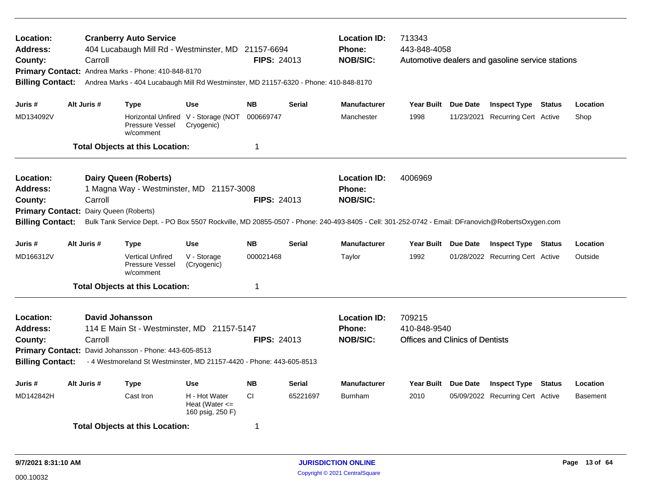| <b>Location ID:</b><br>713343<br>Location:<br><b>Cranberry Auto Service</b><br><b>Address:</b><br>404 Lucabaugh Mill Rd - Westminster, MD 21157-6694<br><b>Phone:</b><br>443-848-4058<br><b>NOB/SIC:</b><br>County:<br>Carroll<br><b>FIPS: 24013</b><br>Automotive dealers and gasoline service stations<br>Primary Contact: Andrea Marks - Phone: 410-848-8170<br>Andrea Marks - 404 Lucabaugh Mill Rd Westminster, MD 21157-6320 - Phone: 410-848-8170<br><b>Billing Contact:</b><br>Alt Juris #<br><b>Use</b><br><b>NB</b><br><b>Serial</b><br><b>Manufacturer</b><br><b>Type</b><br>Year Built Due Date<br>Juris # |             |                                                                                                                                                                                                                                                      |                                                         |                        |               |                                                         |                                                                  |  |                                                                |        |                     |
|------------------------------------------------------------------------------------------------------------------------------------------------------------------------------------------------------------------------------------------------------------------------------------------------------------------------------------------------------------------------------------------------------------------------------------------------------------------------------------------------------------------------------------------------------------------------------------------------------------------------|-------------|------------------------------------------------------------------------------------------------------------------------------------------------------------------------------------------------------------------------------------------------------|---------------------------------------------------------|------------------------|---------------|---------------------------------------------------------|------------------------------------------------------------------|--|----------------------------------------------------------------|--------|---------------------|
| MD134092V                                                                                                                                                                                                                                                                                                                                                                                                                                                                                                                                                                                                              |             | Pressure Vessel                                                                                                                                                                                                                                      | Horizontal Unfired V - Storage (NOT<br>Cryogenic)       | 000669747              |               | Manchester                                              | 1998                                                             |  | <b>Inspect Type Status</b><br>11/23/2021 Recurring Cert Active |        | Location<br>Shop    |
|                                                                                                                                                                                                                                                                                                                                                                                                                                                                                                                                                                                                                        |             | w/comment<br><b>Total Objects at this Location:</b>                                                                                                                                                                                                  |                                                         | 1                      |               |                                                         |                                                                  |  |                                                                |        |                     |
| Location:<br><b>Address:</b><br>County:<br><b>Primary Contact:</b><br><b>Billing Contact:</b>                                                                                                                                                                                                                                                                                                                                                                                                                                                                                                                          | Carroll     | <b>Dairy Queen (Roberts)</b><br>1 Magna Way - Westminster, MD 21157-3008<br>Dairy Queen (Roberts)<br>Bulk Tank Service Dept. - PO Box 5507 Rockville, MD 20855-0507 - Phone: 240-493-8405 - Cell: 301-252-0742 - Email: DFranovich@RobertsOxygen.com |                                                         | <b>FIPS: 24013</b>     |               | <b>Location ID:</b><br><b>Phone:</b><br><b>NOB/SIC:</b> | 4006969                                                          |  |                                                                |        |                     |
| Juris #<br>MD166312V                                                                                                                                                                                                                                                                                                                                                                                                                                                                                                                                                                                                   | Alt Juris # | Type<br><b>Vertical Unfired</b><br>Pressure Vessel<br>w/comment                                                                                                                                                                                      | <b>Use</b><br>V - Storage<br>(Cryogenic)                | <b>NB</b><br>000021468 | <b>Serial</b> | <b>Manufacturer</b><br>Taylor                           | Year Built Due Date<br>1992                                      |  | <b>Inspect Type Status</b><br>01/28/2022 Recurring Cert Active |        | Location<br>Outside |
|                                                                                                                                                                                                                                                                                                                                                                                                                                                                                                                                                                                                                        |             | <b>Total Objects at this Location:</b>                                                                                                                                                                                                               |                                                         | 1                      |               |                                                         |                                                                  |  |                                                                |        |                     |
| Location:<br><b>Address:</b><br>County:<br><b>Billing Contact:</b>                                                                                                                                                                                                                                                                                                                                                                                                                                                                                                                                                     | Carroll     | <b>David Johansson</b><br>114 E Main St - Westminster, MD 21157-5147<br>Primary Contact: David Johansson - Phone: 443-605-8513<br>- 4 Westmoreland St Westminster, MD 21157-4420 - Phone: 443-605-8513                                               |                                                         | <b>FIPS: 24013</b>     |               | <b>Location ID:</b><br><b>Phone:</b><br><b>NOB/SIC:</b> | 709215<br>410-848-9540<br><b>Offices and Clinics of Dentists</b> |  |                                                                |        |                     |
| Juris #                                                                                                                                                                                                                                                                                                                                                                                                                                                                                                                                                                                                                | Alt Juris # | Type                                                                                                                                                                                                                                                 | <b>Use</b>                                              | <b>NB</b>              | <b>Serial</b> | <b>Manufacturer</b>                                     | Year Built Due Date                                              |  | <b>Inspect Type</b>                                            | Status | Location            |
| MD142842H                                                                                                                                                                                                                                                                                                                                                                                                                                                                                                                                                                                                              |             | Cast Iron                                                                                                                                                                                                                                            | H - Hot Water<br>Heat (Water $\leq$<br>160 psig, 250 F) | <b>CI</b>              | 65221697      | Burnham                                                 | 2010                                                             |  | 05/09/2022 Recurring Cert Active                               |        | <b>Basement</b>     |
|                                                                                                                                                                                                                                                                                                                                                                                                                                                                                                                                                                                                                        |             | <b>Total Objects at this Location:</b>                                                                                                                                                                                                               |                                                         | $\overline{1}$         |               |                                                         |                                                                  |  |                                                                |        |                     |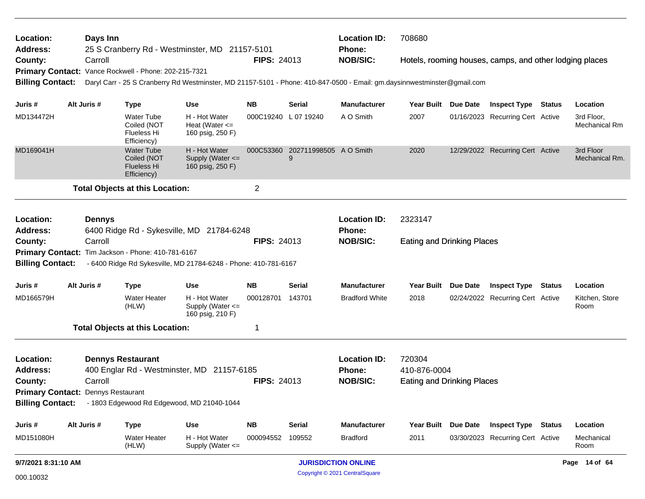| Location:                          | Days Inn      |                                                                       |                                                                                                                          |                    |                                       | <b>Location ID:</b>        | 708680                            |                                                         |        |                             |
|------------------------------------|---------------|-----------------------------------------------------------------------|--------------------------------------------------------------------------------------------------------------------------|--------------------|---------------------------------------|----------------------------|-----------------------------------|---------------------------------------------------------|--------|-----------------------------|
| <b>Address:</b>                    |               |                                                                       | 25 S Cranberry Rd - Westminster, MD 21157-5101                                                                           |                    |                                       | Phone:                     |                                   |                                                         |        |                             |
| County:                            | Carroll       |                                                                       |                                                                                                                          | <b>FIPS: 24013</b> |                                       | <b>NOB/SIC:</b>            |                                   | Hotels, rooming houses, camps, and other lodging places |        |                             |
|                                    |               | Primary Contact: Vance Rockwell - Phone: 202-215-7321                 | Daryl Carr - 25 S Cranberry Rd Westminster, MD 21157-5101 - Phone: 410-847-0500 - Email: gm.daysinnwestminster@gmail.com |                    |                                       |                            |                                   |                                                         |        |                             |
| <b>Billing Contact:</b>            |               |                                                                       |                                                                                                                          |                    |                                       |                            |                                   |                                                         |        |                             |
| Juris #                            | Alt Juris #   | <b>Type</b>                                                           | <b>Use</b>                                                                                                               | NB.                | Serial                                | <b>Manufacturer</b>        | Year Built Due Date               | <b>Inspect Type Status</b>                              |        | Location                    |
| MD134472H                          |               | <b>Water Tube</b><br>Coiled (NOT<br>Flueless Hi<br>Efficiency)        | H - Hot Water<br>Heat (Water $\leq$<br>160 psig, 250 F)                                                                  |                    | 000C19240 L 07 19240                  | A O Smith                  | 2007                              | 01/16/2023 Recurring Cert Active                        |        | 3rd Floor,<br>Mechanical Rm |
| MD169041H                          |               | <b>Water Tube</b><br>Coiled (NOT<br><b>Flueless Hi</b><br>Efficiency) | H - Hot Water<br>Supply (Water <=<br>160 psig, 250 F)                                                                    |                    | 000C53360 202711998505 A O Smith<br>9 |                            | 2020                              | 12/29/2022 Recurring Cert Active                        |        | 3rd Floor<br>Mechanical Rm. |
|                                    |               | <b>Total Objects at this Location:</b>                                |                                                                                                                          | $\overline{2}$     |                                       |                            |                                   |                                                         |        |                             |
|                                    |               |                                                                       |                                                                                                                          |                    |                                       |                            |                                   |                                                         |        |                             |
| Location:                          | <b>Dennys</b> |                                                                       |                                                                                                                          |                    |                                       | <b>Location ID:</b>        | 2323147                           |                                                         |        |                             |
| <b>Address:</b>                    |               |                                                                       | 6400 Ridge Rd - Sykesville, MD 21784-6248                                                                                |                    |                                       | <b>Phone:</b>              |                                   |                                                         |        |                             |
| County:                            | Carroll       |                                                                       |                                                                                                                          | <b>FIPS: 24013</b> |                                       | <b>NOB/SIC:</b>            | <b>Eating and Drinking Places</b> |                                                         |        |                             |
| <b>Billing Contact:</b>            |               | Primary Contact: Tim Jackson - Phone: 410-781-6167                    | - 6400 Ridge Rd Sykesville, MD 21784-6248 - Phone: 410-781-6167                                                          |                    |                                       |                            |                                   |                                                         |        |                             |
| Juris #                            | Alt Juris #   | <b>Type</b>                                                           | <b>Use</b>                                                                                                               | <b>NB</b>          | Serial                                | <b>Manufacturer</b>        | Year Built Due Date               | <b>Inspect Type</b>                                     | Status | Location                    |
| MD166579H                          |               | <b>Water Heater</b><br>(HLW)                                          | H - Hot Water<br>Supply (Water $\leq$<br>160 psig, 210 F)                                                                | 000128701          | 143701                                | <b>Bradford White</b>      | 2018                              | 02/24/2022 Recurring Cert Active                        |        | Kitchen, Store<br>Room      |
|                                    |               | <b>Total Objects at this Location:</b>                                |                                                                                                                          | 1                  |                                       |                            |                                   |                                                         |        |                             |
| Location:                          |               | <b>Dennys Restaurant</b>                                              |                                                                                                                          |                    |                                       | <b>Location ID:</b>        | 720304                            |                                                         |        |                             |
| <b>Address:</b>                    |               |                                                                       | 400 Englar Rd - Westminster, MD 21157-6185                                                                               |                    |                                       | <b>Phone:</b>              | 410-876-0004                      |                                                         |        |                             |
| County:                            | Carroll       |                                                                       |                                                                                                                          | <b>FIPS: 24013</b> |                                       | <b>NOB/SIC:</b>            | <b>Eating and Drinking Places</b> |                                                         |        |                             |
| Primary Contact: Dennys Restaurant |               |                                                                       |                                                                                                                          |                    |                                       |                            |                                   |                                                         |        |                             |
|                                    |               |                                                                       | Billing Contact: - 1803 Edgewood Rd Edgewood, MD 21040-1044                                                              |                    |                                       |                            |                                   |                                                         |        |                             |
| Juris #                            | Alt Juris #   | <b>Type</b>                                                           | <b>Use</b>                                                                                                               | <b>NB</b>          | <b>Serial</b>                         | <b>Manufacturer</b>        | Year Built Due Date               | <b>Inspect Type Status</b>                              |        | Location                    |
| MD151080H                          |               | Water Heater<br>(HLW)                                                 | H - Hot Water<br>Supply (Water <=                                                                                        | 000094552          | 109552                                | <b>Bradford</b>            | 2011                              | 03/30/2023 Recurring Cert Active                        |        | Mechanical<br>Room          |
| 9/7/2021 8:31:10 AM                |               |                                                                       |                                                                                                                          |                    |                                       | <b>JURISDICTION ONLINE</b> |                                   |                                                         |        | Page 14 of 64               |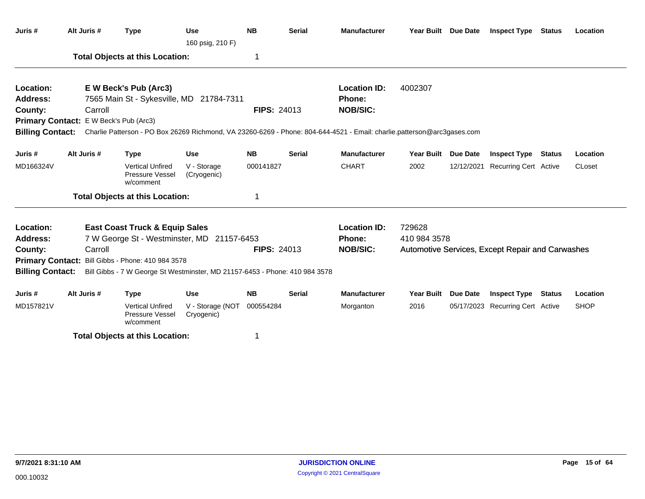|                         |                                        | <b>Type</b>                                                                 | <b>Use</b><br>160 psig, 210 F) | <b>NB</b>          | <b>Serial</b> | <b>Manufacturer</b>                                                                                                     |                     | Year Built Due Date | <b>Inspect Type Status</b>                       |               | Location    |
|-------------------------|----------------------------------------|-----------------------------------------------------------------------------|--------------------------------|--------------------|---------------|-------------------------------------------------------------------------------------------------------------------------|---------------------|---------------------|--------------------------------------------------|---------------|-------------|
|                         |                                        | <b>Total Objects at this Location:</b>                                      |                                | 1                  |               |                                                                                                                         |                     |                     |                                                  |               |             |
| Location:               |                                        | E W Beck's Pub (Arc3)                                                       |                                |                    |               | <b>Location ID:</b>                                                                                                     | 4002307             |                     |                                                  |               |             |
| Address:                |                                        | 7565 Main St - Sykesville, MD 21784-7311                                    |                                |                    |               | Phone:                                                                                                                  |                     |                     |                                                  |               |             |
| County:                 | Carroll                                |                                                                             |                                | <b>FIPS: 24013</b> |               | <b>NOB/SIC:</b>                                                                                                         |                     |                     |                                                  |               |             |
|                         | Primary Contact: E W Beck's Pub (Arc3) |                                                                             |                                |                    |               |                                                                                                                         |                     |                     |                                                  |               |             |
| <b>Billing Contact:</b> |                                        |                                                                             |                                |                    |               | Charlie Patterson - PO Box 26269 Richmond, VA 23260-6269 - Phone: 804-644-4521 - Email: charlie.patterson@arc3gases.com |                     |                     |                                                  |               |             |
| Juris #                 | Alt Juris #                            | <b>Type</b>                                                                 | <b>Use</b>                     | <b>NB</b>          | <b>Serial</b> | <b>Manufacturer</b>                                                                                                     | Year Built Due Date |                     | <b>Inspect Type Status</b>                       |               | Location    |
| MD166324V               |                                        | <b>Vertical Unfired</b><br>Pressure Vessel<br>w/comment                     | V - Storage<br>(Cryogenic)     | 000141827          |               | <b>CHART</b>                                                                                                            | 2002                |                     | 12/12/2021 Recurring Cert Active                 |               | CLoset      |
|                         |                                        | <b>Total Objects at this Location:</b>                                      |                                | 1                  |               |                                                                                                                         |                     |                     |                                                  |               |             |
| Location:               |                                        | <b>East Coast Truck &amp; Equip Sales</b>                                   |                                |                    |               | <b>Location ID:</b>                                                                                                     | 729628              |                     |                                                  |               |             |
| <b>Address:</b>         |                                        | 7 W George St - Westminster, MD                                             | 21157-6453                     |                    |               | Phone:                                                                                                                  | 410 984 3578        |                     |                                                  |               |             |
| County:                 | Carroll                                |                                                                             |                                | <b>FIPS: 24013</b> |               | <b>NOB/SIC:</b>                                                                                                         |                     |                     | Automotive Services, Except Repair and Carwashes |               |             |
|                         |                                        | Primary Contact: Bill Gibbs - Phone: 410 984 3578                           |                                |                    |               |                                                                                                                         |                     |                     |                                                  |               |             |
| <b>Billing Contact:</b> |                                        | Bill Gibbs - 7 W George St Westminster, MD 21157-6453 - Phone: 410 984 3578 |                                |                    |               |                                                                                                                         |                     |                     |                                                  |               |             |
| Juris #                 | Alt Juris #                            | <b>Type</b>                                                                 | <b>Use</b>                     | <b>NB</b>          | <b>Serial</b> | <b>Manufacturer</b>                                                                                                     | <b>Year Built</b>   | <b>Due Date</b>     | <b>Inspect Type</b>                              | <b>Status</b> | Location    |
| MD157821V               |                                        | <b>Vertical Unfired</b><br>Pressure Vessel<br>w/comment                     | V - Storage (NOT<br>Cryogenic) | 000554284          |               | Morganton                                                                                                               | 2016                |                     | 05/17/2023 Recurring Cert Active                 |               | <b>SHOP</b> |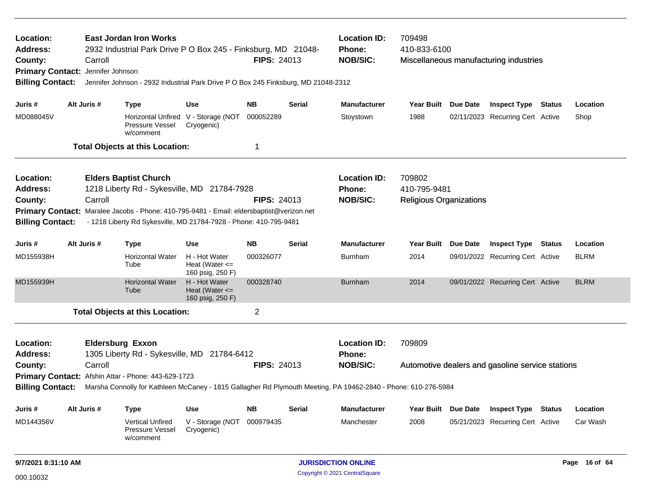| Location:<br><b>Address:</b><br>County:<br><b>Primary Contact:</b> |  | Carroll<br>Jennifer Johnson | <b>East Jordan Iron Works</b><br>2932 Industrial Park Drive P O Box 245 - Finksburg, MD 21048- |                                                         | <b>FIPS: 24013</b> |               | <b>Location ID:</b><br>Phone:<br><b>NOB/SIC:</b>                                                               | 709498<br>410-833-6100         | Miscellaneous manufacturing industries           |               |               |
|--------------------------------------------------------------------|--|-----------------------------|------------------------------------------------------------------------------------------------|---------------------------------------------------------|--------------------|---------------|----------------------------------------------------------------------------------------------------------------|--------------------------------|--------------------------------------------------|---------------|---------------|
| <b>Billing Contact:</b>                                            |  |                             | Jennifer Johnson - 2932 Industrial Park Drive P O Box 245 Finksburg, MD 21048-2312             |                                                         |                    |               |                                                                                                                |                                |                                                  |               |               |
| Juris #                                                            |  | Alt Juris #                 | <b>Type</b>                                                                                    | <b>Use</b>                                              | <b>NB</b>          | <b>Serial</b> | <b>Manufacturer</b>                                                                                            | Year Built Due Date            | <b>Inspect Type Status</b>                       |               | Location      |
| MD088045V                                                          |  |                             | Pressure Vessel<br>w/comment                                                                   | Horizontal Unfired V - Storage (NOT<br>Cryogenic)       | 000052289          |               | Stoystown                                                                                                      | 1988                           | 02/11/2023 Recurring Cert Active                 |               | Shop          |
|                                                                    |  |                             | <b>Total Objects at this Location:</b>                                                         |                                                         | -1                 |               |                                                                                                                |                                |                                                  |               |               |
| Location:                                                          |  |                             | <b>Elders Baptist Church</b>                                                                   |                                                         |                    |               | <b>Location ID:</b>                                                                                            | 709802                         |                                                  |               |               |
| <b>Address:</b>                                                    |  |                             | 1218 Liberty Rd - Sykesville, MD 21784-7928                                                    |                                                         |                    |               | Phone:                                                                                                         | 410-795-9481                   |                                                  |               |               |
| County:                                                            |  | Carroll                     |                                                                                                |                                                         | <b>FIPS: 24013</b> |               | <b>NOB/SIC:</b>                                                                                                | <b>Religious Organizations</b> |                                                  |               |               |
|                                                                    |  |                             | Primary Contact: Maralee Jacobs - Phone: 410-795-9481 - Email: eldersbaptist@verizon.net       |                                                         |                    |               |                                                                                                                |                                |                                                  |               |               |
| <b>Billing Contact:</b>                                            |  |                             | - 1218 Liberty Rd Sykesville, MD 21784-7928 - Phone: 410-795-9481                              |                                                         |                    |               |                                                                                                                |                                |                                                  |               |               |
| Juris #                                                            |  | Alt Juris #                 | <b>Type</b>                                                                                    | <b>Use</b>                                              | <b>NB</b>          | Serial        | <b>Manufacturer</b>                                                                                            | Year Built Due Date            | <b>Inspect Type Status</b>                       |               | Location      |
| MD155938H                                                          |  |                             | <b>Horizontal Water</b><br>Tube                                                                | H - Hot Water<br>Heat (Water $\leq$<br>160 psig, 250 F) | 000326077          |               | Burnham                                                                                                        | 2014                           | 09/01/2022 Recurring Cert Active                 |               | <b>BLRM</b>   |
| MD155939H                                                          |  |                             | <b>Horizontal Water</b><br>Tube                                                                | H - Hot Water<br>Heat (Water $\leq$<br>160 psig, 250 F) | 000328740          |               | <b>Burnham</b>                                                                                                 | 2014                           | 09/01/2022 Recurring Cert Active                 |               | <b>BLRM</b>   |
|                                                                    |  |                             | <b>Total Objects at this Location:</b>                                                         |                                                         | $\overline{2}$     |               |                                                                                                                |                                |                                                  |               |               |
| Location:                                                          |  |                             | <b>Eldersburg Exxon</b>                                                                        |                                                         |                    |               | <b>Location ID:</b>                                                                                            | 709809                         |                                                  |               |               |
| <b>Address:</b>                                                    |  |                             | 1305 Liberty Rd - Sykesville, MD 21784-6412                                                    |                                                         |                    |               | <b>Phone:</b>                                                                                                  |                                |                                                  |               |               |
| County:                                                            |  | Carroll                     |                                                                                                |                                                         | <b>FIPS: 24013</b> |               | <b>NOB/SIC:</b>                                                                                                |                                | Automotive dealers and gasoline service stations |               |               |
|                                                                    |  |                             | Primary Contact: Afshin Attar - Phone: 443-629-1723                                            |                                                         |                    |               |                                                                                                                |                                |                                                  |               |               |
| <b>Billing Contact:</b>                                            |  |                             |                                                                                                |                                                         |                    |               | Marsha Connolly for Kathleen McCaney - 1815 Gallagher Rd Plymouth Meeting, PA 19462-2840 - Phone: 610-276-5984 |                                |                                                  |               |               |
| Juris #                                                            |  | Alt Juris #                 | <b>Type</b>                                                                                    | <b>Use</b>                                              | <b>NB</b>          | Serial        | <b>Manufacturer</b>                                                                                            | Year Built Due Date            | <b>Inspect Type</b>                              | <b>Status</b> | Location      |
| MD144356V                                                          |  |                             | <b>Vertical Unfired</b><br>Pressure Vessel<br>w/comment                                        | V - Storage (NOT<br>Cryogenic)                          | 000979435          |               | Manchester                                                                                                     | 2008                           | 05/21/2023 Recurring Cert Active                 |               | Car Wash      |
| 9/7/2021 8:31:10 AM                                                |  |                             |                                                                                                |                                                         |                    |               | <b>JURISDICTION ONLINE</b>                                                                                     |                                |                                                  |               | Page 16 of 64 |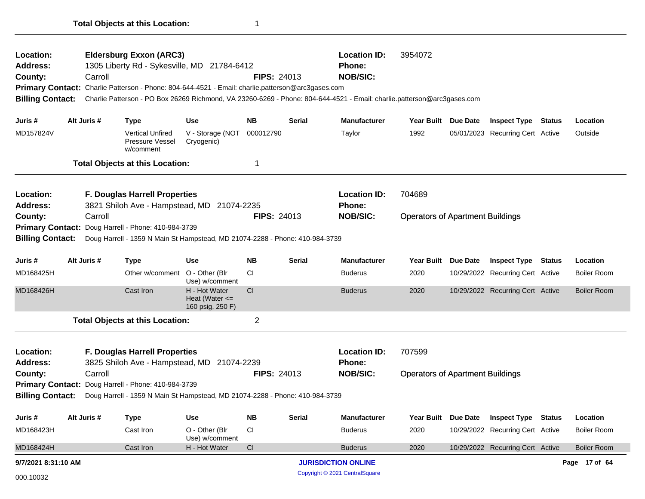| Location:<br><b>Address:</b><br>County:<br><b>Billing Contact:</b> | Carroll     | <b>Eldersburg Exxon (ARC3)</b><br>1305 Liberty Rd - Sykesville, MD 21784-6412<br>Primary Contact: Charlie Patterson - Phone: 804-644-4521 - Email: charlie.patterson@arc3gases.com<br>Charlie Patterson - PO Box 26269 Richmond, VA 23260-6269 - Phone: 804-644-4521 - Email: charlie.patterson@arc3gases.com |                                                         | <b>FIPS: 24013</b> |               | <b>Location ID:</b><br>Phone:<br><b>NOB/SIC:</b>             | 3954072                                 |                 |                                  |        |                    |
|--------------------------------------------------------------------|-------------|---------------------------------------------------------------------------------------------------------------------------------------------------------------------------------------------------------------------------------------------------------------------------------------------------------------|---------------------------------------------------------|--------------------|---------------|--------------------------------------------------------------|-----------------------------------------|-----------------|----------------------------------|--------|--------------------|
| Juris #                                                            | Alt Juris # | <b>Type</b>                                                                                                                                                                                                                                                                                                   | <b>Use</b>                                              | <b>NB</b>          | Serial        | <b>Manufacturer</b>                                          | <b>Year Built</b>                       | <b>Due Date</b> | <b>Inspect Type Status</b>       |        | Location           |
| MD157824V                                                          |             | <b>Vertical Unfired</b><br>Pressure Vessel<br>w/comment                                                                                                                                                                                                                                                       | V - Storage (NOT<br>Cryogenic)                          | 000012790          |               | Taylor                                                       | 1992                                    |                 | 05/01/2023 Recurring Cert Active |        | Outside            |
|                                                                    |             | <b>Total Objects at this Location:</b>                                                                                                                                                                                                                                                                        |                                                         | 1                  |               |                                                              |                                         |                 |                                  |        |                    |
| Location:<br><b>Address:</b>                                       |             | F. Douglas Harrell Properties<br>3821 Shiloh Ave - Hampstead, MD 21074-2235                                                                                                                                                                                                                                   |                                                         |                    |               | <b>Location ID:</b><br><b>Phone:</b>                         | 704689                                  |                 |                                  |        |                    |
| County:<br><b>Primary Contact:</b><br><b>Billing Contact:</b>      | Carroll     | Doug Harrell - Phone: 410-984-3739<br>Doug Harrell - 1359 N Main St Hampstead, MD 21074-2288 - Phone: 410-984-3739                                                                                                                                                                                            |                                                         | <b>FIPS: 24013</b> |               | <b>NOB/SIC:</b>                                              | <b>Operators of Apartment Buildings</b> |                 |                                  |        |                    |
| Juris #                                                            | Alt Juris # | <b>Type</b>                                                                                                                                                                                                                                                                                                   | Use                                                     | <b>NB</b>          | <b>Serial</b> | <b>Manufacturer</b>                                          | <b>Year Built</b>                       | Due Date        | <b>Inspect Type</b>              | Status | Location           |
| MD168425H                                                          |             | Other w/comment                                                                                                                                                                                                                                                                                               | O - Other (Blr<br>Use) w/comment                        | <b>CI</b>          |               | <b>Buderus</b>                                               | 2020                                    |                 | 10/29/2022 Recurring Cert Active |        | <b>Boiler Room</b> |
| MD168426H                                                          |             | Cast Iron                                                                                                                                                                                                                                                                                                     | H - Hot Water<br>Heat (Water $\leq$<br>160 psig, 250 F) | <b>CI</b>          |               | <b>Buderus</b>                                               | 2020                                    |                 | 10/29/2022 Recurring Cert Active |        | <b>Boiler Room</b> |
|                                                                    |             | <b>Total Objects at this Location:</b>                                                                                                                                                                                                                                                                        |                                                         | $\overline{2}$     |               |                                                              |                                         |                 |                                  |        |                    |
| Location:<br><b>Address:</b>                                       |             | F. Douglas Harrell Properties<br>3825 Shiloh Ave - Hampstead, MD 21074-2239                                                                                                                                                                                                                                   |                                                         |                    |               | <b>Location ID:</b><br><b>Phone:</b>                         | 707599                                  |                 |                                  |        |                    |
| County:<br><b>Billing Contact:</b>                                 | Carroll     | Primary Contact: Doug Harrell - Phone: 410-984-3739<br>Doug Harrell - 1359 N Main St Hampstead, MD 21074-2288 - Phone: 410-984-3739                                                                                                                                                                           |                                                         | <b>FIPS: 24013</b> |               | <b>NOB/SIC:</b>                                              | <b>Operators of Apartment Buildings</b> |                 |                                  |        |                    |
| Juris #                                                            | Alt Juris # | <b>Type</b>                                                                                                                                                                                                                                                                                                   | <b>Use</b>                                              | <b>NB</b>          | <b>Serial</b> | <b>Manufacturer</b>                                          | <b>Year Built</b>                       | <b>Due Date</b> | <b>Inspect Type Status</b>       |        | Location           |
| MD168423H                                                          |             | Cast Iron                                                                                                                                                                                                                                                                                                     | O - Other (Blr<br>Use) w/comment                        | CI                 |               | <b>Buderus</b>                                               | 2020                                    |                 | 10/29/2022 Recurring Cert Active |        | <b>Boiler Room</b> |
| MD168424H                                                          |             | Cast Iron                                                                                                                                                                                                                                                                                                     | H - Hot Water                                           | CI                 |               | <b>Buderus</b>                                               | 2020                                    |                 | 10/29/2022 Recurring Cert Active |        | <b>Boiler Room</b> |
| 9/7/2021 8:31:10 AM<br>000.10032                                   |             |                                                                                                                                                                                                                                                                                                               |                                                         |                    |               | <b>JURISDICTION ONLINE</b><br>Copyright © 2021 CentralSquare |                                         |                 |                                  |        | Page 17 of 64      |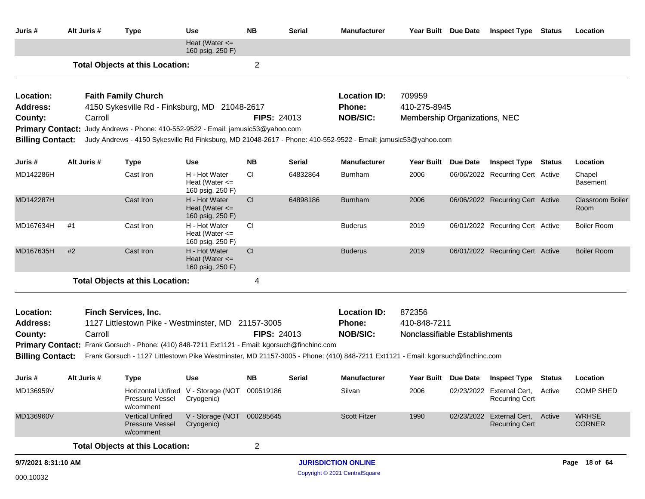| Juris #                      | Alt Juris # | <b>Type</b>                                                                                                                     | Use                                                     | <b>NB</b>          | Serial   | <b>Manufacturer</b>           | Year Built Due Date            | <b>Inspect Type Status</b>                                | Location                        |
|------------------------------|-------------|---------------------------------------------------------------------------------------------------------------------------------|---------------------------------------------------------|--------------------|----------|-------------------------------|--------------------------------|-----------------------------------------------------------|---------------------------------|
|                              |             |                                                                                                                                 | Heat (Water $\leq$<br>160 psig, 250 F)                  |                    |          |                               |                                |                                                           |                                 |
|                              |             | <b>Total Objects at this Location:</b>                                                                                          |                                                         | $\overline{2}$     |          |                               |                                |                                                           |                                 |
| Location:<br><b>Address:</b> |             | <b>Faith Family Church</b><br>4150 Sykesville Rd - Finksburg, MD 21048-2617                                                     |                                                         |                    |          | <b>Location ID:</b><br>Phone: | 709959<br>410-275-8945         |                                                           |                                 |
| County:                      | Carroll     | <b>Primary Contact:</b> Judy Andrews - Phone: 410-552-9522 - Email: jamusic53@yahoo.com                                         |                                                         | <b>FIPS: 24013</b> |          | <b>NOB/SIC:</b>               | Membership Organizations, NEC  |                                                           |                                 |
| <b>Billing Contact:</b>      |             | Judy Andrews - 4150 Sykesville Rd Finksburg, MD 21048-2617 - Phone: 410-552-9522 - Email: jamusic53@yahoo.com                   |                                                         |                    |          |                               |                                |                                                           |                                 |
| Juris #                      | Alt Juris # | <b>Type</b>                                                                                                                     | <b>Use</b>                                              | NΒ                 | Serial   | Manufacturer                  | Year Built Due Date            | <b>Inspect Type Status</b>                                | Location                        |
| MD142286H                    |             | Cast Iron                                                                                                                       | H - Hot Water<br>Heat (Water $\leq$<br>160 psig, 250 F) | CI                 | 64832864 | <b>Burnham</b>                | 2006                           | 06/06/2022 Recurring Cert Active                          | Chapel<br><b>Basement</b>       |
| MD142287H                    |             | Cast Iron                                                                                                                       | H - Hot Water<br>Heat (Water $\leq$<br>160 psig, 250 F) | <sub>CI</sub>      | 64898186 | <b>Burnham</b>                | 2006                           | 06/06/2022 Recurring Cert Active                          | <b>Classroom Boiler</b><br>Room |
| MD167634H                    | #1          | Cast Iron                                                                                                                       | H - Hot Water<br>Heat (Water $\leq$<br>160 psig, 250 F) | <b>CI</b>          |          | <b>Buderus</b>                | 2019                           | 06/01/2022 Recurring Cert Active                          | <b>Boiler Room</b>              |
| MD167635H                    | #2          | Cast Iron                                                                                                                       | H - Hot Water<br>Heat (Water $\leq$<br>160 psig, 250 F) | CI                 |          | <b>Buderus</b>                | 2019                           | 06/01/2022 Recurring Cert Active                          | <b>Boiler Room</b>              |
|                              |             | <b>Total Objects at this Location:</b>                                                                                          |                                                         | 4                  |          |                               |                                |                                                           |                                 |
| Location:                    |             | <b>Finch Services, Inc.</b>                                                                                                     |                                                         |                    |          | <b>Location ID:</b>           | 872356                         |                                                           |                                 |
| <b>Address:</b>              |             | 1127 Littlestown Pike - Westminster, MD 21157-3005                                                                              |                                                         |                    |          | Phone:                        | 410-848-7211                   |                                                           |                                 |
| County:                      | Carroll     | Primary Contact: Frank Gorsuch - Phone: (410) 848-7211 Ext1121 - Email: kgorsuch@finchinc.com                                   |                                                         | <b>FIPS: 24013</b> |          | <b>NOB/SIC:</b>               | Nonclassifiable Establishments |                                                           |                                 |
| <b>Billing Contact:</b>      |             | Frank Gorsuch - 1127 Littlestown Pike Westminster, MD 21157-3005 - Phone: (410) 848-7211 Ext1121 - Email: kgorsuch@finchinc.com |                                                         |                    |          |                               |                                |                                                           |                                 |
| Juris #                      | Alt Juris # | <b>Type</b>                                                                                                                     | <b>Use</b>                                              | NB.                | Serial   | <b>Manufacturer</b>           |                                | Year Built Due Date Inspect Type Status                   | Location                        |
| MD136959V                    |             | Pressure Vessel Cryogenic)<br>w/comment                                                                                         | Horizontal Unfired V - Storage (NOT 000519186           |                    |          | Silvan                        | 2006                           | 02/23/2022 External Cert, Active<br><b>Recurring Cert</b> | <b>COMP SHED</b>                |
| MD136960V                    |             | <b>Vertical Unfired</b><br><b>Pressure Vessel</b><br>w/comment                                                                  | V - Storage (NOT 000285645<br>Cryogenic)                |                    |          | <b>Scott Fitzer</b>           | 1990                           | 02/23/2022 External Cert, Active<br><b>Recurring Cert</b> | <b>WRHSE</b><br><b>CORNER</b>   |
|                              |             | <b>Total Objects at this Location:</b>                                                                                          |                                                         | $\overline{2}$     |          |                               |                                |                                                           |                                 |
| 9/7/2021 8:31:10 AM          |             |                                                                                                                                 |                                                         |                    |          | <b>JURISDICTION ONLINE</b>    |                                |                                                           | Page 18 of 64                   |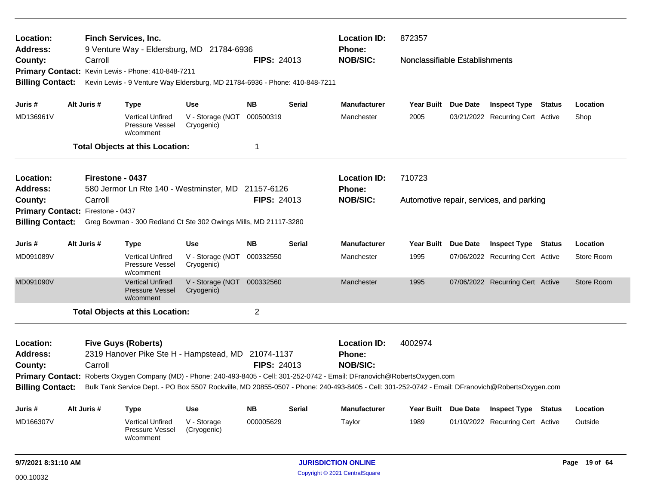| Location:<br><b>Address:</b>      |             |                  | <b>Finch Services, Inc.</b>                                    | 9 Venture Way - Eldersburg, MD 21784-6936                                   |                    |               | <b>Location ID:</b><br><b>Phone:</b>                                                                                                            | 872357                         |                                          |               |               |
|-----------------------------------|-------------|------------------|----------------------------------------------------------------|-----------------------------------------------------------------------------|--------------------|---------------|-------------------------------------------------------------------------------------------------------------------------------------------------|--------------------------------|------------------------------------------|---------------|---------------|
| County:                           |             | Carroll          |                                                                |                                                                             | <b>FIPS: 24013</b> |               | <b>NOB/SIC:</b>                                                                                                                                 | Nonclassifiable Establishments |                                          |               |               |
|                                   |             |                  | Primary Contact: Kevin Lewis - Phone: 410-848-7211             |                                                                             |                    |               |                                                                                                                                                 |                                |                                          |               |               |
| <b>Billing Contact:</b>           |             |                  |                                                                | Kevin Lewis - 9 Venture Way Eldersburg, MD 21784-6936 - Phone: 410-848-7211 |                    |               |                                                                                                                                                 |                                |                                          |               |               |
|                                   |             |                  |                                                                |                                                                             |                    |               |                                                                                                                                                 |                                |                                          |               |               |
| Juris #                           | Alt Juris # |                  | <b>Type</b>                                                    | <b>Use</b>                                                                  | <b>NB</b>          | Serial        | <b>Manufacturer</b>                                                                                                                             | Year Built Due Date            | <b>Inspect Type Status</b>               |               | Location      |
| MD136961V                         |             |                  | <b>Vertical Unfired</b><br>Pressure Vessel<br>w/comment        | V - Storage (NOT<br>Cryogenic)                                              | 000500319          |               | Manchester                                                                                                                                      | 2005                           | 03/21/2022 Recurring Cert Active         |               | Shop          |
|                                   |             |                  | <b>Total Objects at this Location:</b>                         |                                                                             | 1                  |               |                                                                                                                                                 |                                |                                          |               |               |
| Location:                         |             | Firestone - 0437 |                                                                |                                                                             |                    |               | <b>Location ID:</b>                                                                                                                             | 710723                         |                                          |               |               |
| <b>Address:</b>                   |             |                  |                                                                | 580 Jermor Ln Rte 140 - Westminster, MD 21157-6126                          |                    |               | Phone:                                                                                                                                          |                                |                                          |               |               |
| County:                           |             | Carroll          |                                                                |                                                                             | <b>FIPS: 24013</b> |               | <b>NOB/SIC:</b>                                                                                                                                 |                                | Automotive repair, services, and parking |               |               |
| Primary Contact: Firestone - 0437 |             |                  |                                                                |                                                                             |                    |               |                                                                                                                                                 |                                |                                          |               |               |
| <b>Billing Contact:</b>           |             |                  |                                                                | Greg Bowman - 300 Redland Ct Ste 302 Owings Mills, MD 21117-3280            |                    |               |                                                                                                                                                 |                                |                                          |               |               |
| Juris #                           | Alt Juris # |                  | <b>Type</b>                                                    | <b>Use</b>                                                                  | <b>NB</b>          | <b>Serial</b> | <b>Manufacturer</b>                                                                                                                             | Year Built Due Date            | <b>Inspect Type Status</b>               |               | Location      |
| MD091089V                         |             |                  | <b>Vertical Unfired</b><br>Pressure Vessel<br>w/comment        | V - Storage (NOT<br>Cryogenic)                                              | 000332550          |               | Manchester                                                                                                                                      | 1995                           | 07/06/2022 Recurring Cert Active         |               | Store Room    |
| MD091090V                         |             |                  | <b>Vertical Unfired</b><br><b>Pressure Vessel</b><br>w/comment | V - Storage (NOT<br>Cryogenic)                                              | 000332560          |               | Manchester                                                                                                                                      | 1995                           | 07/06/2022 Recurring Cert Active         |               | Store Room    |
|                                   |             |                  | <b>Total Objects at this Location:</b>                         |                                                                             | $\overline{2}$     |               |                                                                                                                                                 |                                |                                          |               |               |
| Location:                         |             |                  | <b>Five Guys (Roberts)</b>                                     |                                                                             |                    |               | <b>Location ID:</b>                                                                                                                             | 4002974                        |                                          |               |               |
| <b>Address:</b>                   |             |                  |                                                                | 2319 Hanover Pike Ste H - Hampstead, MD 21074-1137                          |                    |               | Phone:                                                                                                                                          |                                |                                          |               |               |
| County:                           |             | Carroll          |                                                                |                                                                             | <b>FIPS: 24013</b> |               | <b>NOB/SIC:</b>                                                                                                                                 |                                |                                          |               |               |
|                                   |             |                  |                                                                |                                                                             |                    |               | Primary Contact: Roberts Oxygen Company (MD) - Phone: 240-493-8405 - Cell: 301-252-0742 - Email: DFranovich@RobertsOxygen.com                   |                                |                                          |               |               |
| <b>Billing Contact:</b>           |             |                  |                                                                |                                                                             |                    |               | Bulk Tank Service Dept. - PO Box 5507 Rockville, MD 20855-0507 - Phone: 240-493-8405 - Cell: 301-252-0742 - Email: DFranovich@RobertsOxygen.com |                                |                                          |               |               |
| Juris #                           | Alt Juris # |                  | <b>Type</b>                                                    | <b>Use</b>                                                                  | <b>NB</b>          | <b>Serial</b> | <b>Manufacturer</b>                                                                                                                             | Year Built Due Date            | <b>Inspect Type</b>                      | <b>Status</b> | Location      |
| MD166307V                         |             |                  | <b>Vertical Unfired</b><br><b>Pressure Vessel</b><br>w/comment | V - Storage<br>(Cryogenic)                                                  | 000005629          |               | Taylor                                                                                                                                          | 1989                           | 01/10/2022 Recurring Cert Active         |               | Outside       |
| 9/7/2021 8:31:10 AM               |             |                  |                                                                |                                                                             |                    |               | <b>JURISDICTION ONLINE</b>                                                                                                                      |                                |                                          |               | Page 19 of 64 |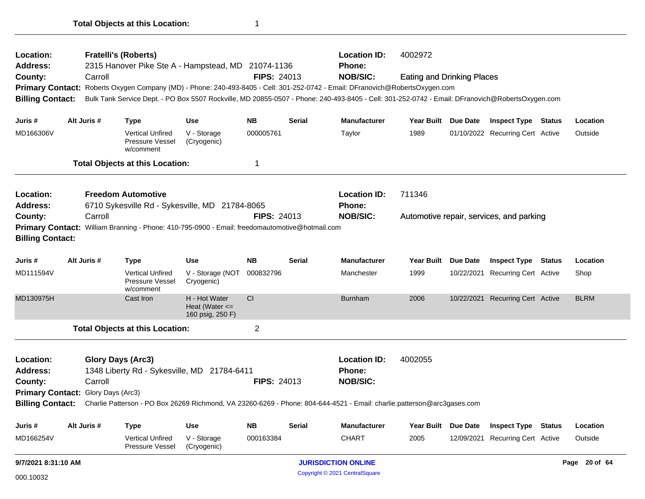| Location:                          |             | <b>Fratelli's (Roberts)</b>                                                                    |                                                     |                    |               | <b>Location ID:</b>                                                                                                                             | 4002972                           |                     |                                          |               |
|------------------------------------|-------------|------------------------------------------------------------------------------------------------|-----------------------------------------------------|--------------------|---------------|-------------------------------------------------------------------------------------------------------------------------------------------------|-----------------------------------|---------------------|------------------------------------------|---------------|
| Address:                           | Carroll     | 2315 Hanover Pike Ste A - Hampstead, MD 21074-1136                                             |                                                     | <b>FIPS: 24013</b> |               | <b>Phone:</b><br><b>NOB/SIC:</b>                                                                                                                |                                   |                     |                                          |               |
| County:                            |             |                                                                                                |                                                     |                    |               | Primary Contact: Roberts Oxygen Company (MD) - Phone: 240-493-8405 - Cell: 301-252-0742 - Email: DFranovich@RobertsOxygen.com                   | <b>Eating and Drinking Places</b> |                     |                                          |               |
| <b>Billing Contact:</b>            |             |                                                                                                |                                                     |                    |               | Bulk Tank Service Dept. - PO Box 5507 Rockville, MD 20855-0507 - Phone: 240-493-8405 - Cell: 301-252-0742 - Email: DFranovich@RobertsOxygen.com |                                   |                     |                                          |               |
| Juris #                            | Alt Juris # | <b>Type</b>                                                                                    | <b>Use</b>                                          | <b>NB</b>          | <b>Serial</b> | <b>Manufacturer</b>                                                                                                                             |                                   | Year Built Due Date | <b>Inspect Type Status</b>               | Location      |
| MD166306V                          |             | <b>Vertical Unfired</b><br>Pressure Vessel<br>w/comment                                        | V - Storage<br>(Cryogenic)                          | 000005761          |               | Taylor                                                                                                                                          | 1989                              |                     | 01/10/2022 Recurring Cert Active         | Outside       |
|                                    |             | <b>Total Objects at this Location:</b>                                                         |                                                     | 1                  |               |                                                                                                                                                 |                                   |                     |                                          |               |
| <b>Location:</b>                   |             | <b>Freedom Automotive</b>                                                                      |                                                     |                    |               | <b>Location ID:</b>                                                                                                                             | 711346                            |                     |                                          |               |
| Address:                           |             | 6710 Sykesville Rd - Sykesville, MD 21784-8065                                                 |                                                     |                    |               | <b>Phone:</b>                                                                                                                                   |                                   |                     |                                          |               |
| County:                            | Carroll     |                                                                                                |                                                     | <b>FIPS: 24013</b> |               | <b>NOB/SIC:</b>                                                                                                                                 |                                   |                     | Automotive repair, services, and parking |               |
| <b>Billing Contact:</b>            |             | Primary Contact: William Branning - Phone: 410-795-0900 - Email: freedomautomotive@hotmail.com |                                                     |                    |               |                                                                                                                                                 |                                   |                     |                                          |               |
| Juris #                            | Alt Juris # | Type                                                                                           | <b>Use</b>                                          | <b>NB</b>          | <b>Serial</b> | <b>Manufacturer</b>                                                                                                                             | Year Built Due Date               |                     | <b>Inspect Type Status</b>               | Location      |
| MD111594V                          |             | <b>Vertical Unfired</b><br>Pressure Vessel<br>w/comment                                        | V - Storage (NOT<br>Cryogenic)                      | 000832796          |               | Manchester                                                                                                                                      | 1999                              | 10/22/2021          | Recurring Cert Active                    | Shop          |
| MD130975H                          |             | Cast Iron                                                                                      | H - Hot Water<br>Heat (Water <=<br>160 psig, 250 F) | CI                 |               | <b>Burnham</b>                                                                                                                                  | 2006                              |                     | 10/22/2021 Recurring Cert Active         | <b>BLRM</b>   |
|                                    |             | <b>Total Objects at this Location:</b>                                                         |                                                     | $\overline{2}$     |               |                                                                                                                                                 |                                   |                     |                                          |               |
| <b>Location:</b>                   |             | <b>Glory Days (Arc3)</b>                                                                       |                                                     |                    |               | <b>Location ID:</b>                                                                                                                             | 4002055                           |                     |                                          |               |
| <b>Address:</b>                    |             | 1348 Liberty Rd - Sykesville, MD 21784-6411                                                    |                                                     |                    |               | Phone:                                                                                                                                          |                                   |                     |                                          |               |
| County:                            | Carroll     |                                                                                                |                                                     | <b>FIPS: 24013</b> |               | <b>NOB/SIC:</b>                                                                                                                                 |                                   |                     |                                          |               |
| Primary Contact: Glory Days (Arc3) |             |                                                                                                |                                                     |                    |               |                                                                                                                                                 |                                   |                     |                                          |               |
| <b>Billing Contact:</b>            |             |                                                                                                |                                                     |                    |               | Charlie Patterson - PO Box 26269 Richmond, VA 23260-6269 - Phone: 804-644-4521 - Email: charlie.patterson@arc3gases.com                         |                                   |                     |                                          |               |
| Juris #                            | Alt Juris # | Type                                                                                           | <b>Use</b>                                          | <b>NB</b>          | <b>Serial</b> | Manufacturer                                                                                                                                    | Year Built Due Date               |                     | <b>Inspect Type Status</b>               | Location      |
| MD166254V                          |             | <b>Vertical Unfired</b><br><b>Pressure Vessel</b>                                              | V - Storage<br>(Cryogenic)                          | 000163384          |               | CHART                                                                                                                                           | 2005                              | 12/09/2021          | Recurring Cert Active                    | Outside       |
| 9/7/2021 8:31:10 AM                |             |                                                                                                |                                                     |                    |               | <b>JURISDICTION ONLINE</b>                                                                                                                      |                                   |                     |                                          | Page 20 of 64 |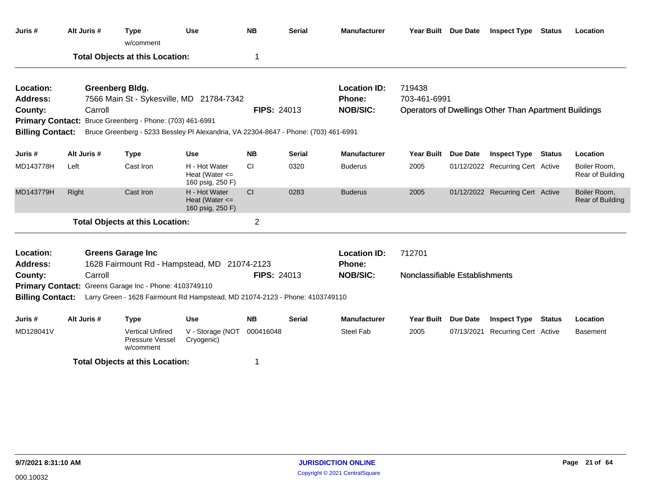| Juris #                      |                                                        | Alt Juris # | <b>Type</b><br>w/comment                                                            | <b>Use</b>                                              | <b>NB</b>          | <b>Serial</b> | <b>Manufacturer</b>                  | Year Built Due Date            |                 | <b>Inspect Type Status</b>                                   |               | Location                         |
|------------------------------|--------------------------------------------------------|-------------|-------------------------------------------------------------------------------------|---------------------------------------------------------|--------------------|---------------|--------------------------------------|--------------------------------|-----------------|--------------------------------------------------------------|---------------|----------------------------------|
|                              |                                                        |             | <b>Total Objects at this Location:</b>                                              |                                                         | 1                  |               |                                      |                                |                 |                                                              |               |                                  |
| Location:<br>Address:        |                                                        |             | <b>Greenberg Bldg.</b><br>7566 Main St - Sykesville, MD 21784-7342                  |                                                         |                    |               | <b>Location ID:</b><br><b>Phone:</b> | 719438<br>703-461-6991         |                 |                                                              |               |                                  |
| County:                      |                                                        | Carroll     |                                                                                     |                                                         | <b>FIPS: 24013</b> |               | <b>NOB/SIC:</b>                      |                                |                 | <b>Operators of Dwellings Other Than Apartment Buildings</b> |               |                                  |
|                              |                                                        |             | Primary Contact: Bruce Greenberg - Phone: (703) 461-6991                            |                                                         |                    |               |                                      |                                |                 |                                                              |               |                                  |
| <b>Billing Contact:</b>      |                                                        |             | Bruce Greenberg - 5233 Bessley PI Alexandria, VA 22304-8647 - Phone: (703) 461-6991 |                                                         |                    |               |                                      |                                |                 |                                                              |               |                                  |
| Juris #                      |                                                        | Alt Juris # | <b>Type</b>                                                                         | Use                                                     | <b>NB</b>          | <b>Serial</b> | <b>Manufacturer</b>                  | <b>Year Built</b>              | <b>Due Date</b> | <b>Inspect Type</b>                                          | <b>Status</b> | Location                         |
| MD143778H                    | Left                                                   |             | Cast Iron                                                                           | H - Hot Water<br>Heat (Water $\leq$<br>160 psig, 250 F) | CI                 | 0320          | <b>Buderus</b>                       | 2005                           |                 | 01/12/2022 Recurring Cert Active                             |               | Boiler Room,<br>Rear of Building |
| MD143779H                    | Right                                                  |             | Cast Iron                                                                           | H - Hot Water<br>Heat (Water $\leq$<br>160 psig, 250 F) | CI                 | 0283          | <b>Buderus</b>                       | 2005                           |                 | 01/12/2022 Recurring Cert Active                             |               | Boiler Room,<br>Rear of Building |
|                              |                                                        |             | <b>Total Objects at this Location:</b>                                              |                                                         | $\overline{2}$     |               |                                      |                                |                 |                                                              |               |                                  |
| Location:<br><b>Address:</b> |                                                        |             | <b>Greens Garage Inc</b><br>1628 Fairmount Rd - Hampstead, MD 21074-2123            |                                                         |                    |               | <b>Location ID:</b><br>Phone:        | 712701                         |                 |                                                              |               |                                  |
| County:                      |                                                        | Carroll     |                                                                                     |                                                         | <b>FIPS: 24013</b> |               | <b>NOB/SIC:</b>                      | Nonclassifiable Establishments |                 |                                                              |               |                                  |
|                              | Primary Contact: Greens Garage Inc - Phone: 4103749110 |             |                                                                                     |                                                         |                    |               |                                      |                                |                 |                                                              |               |                                  |
| <b>Billing Contact:</b>      |                                                        |             | Larry Green - 1628 Fairmount Rd Hampstead, MD 21074-2123 - Phone: 4103749110        |                                                         |                    |               |                                      |                                |                 |                                                              |               |                                  |
| Juris #                      |                                                        | Alt Juris # | <b>Type</b>                                                                         | <b>Use</b>                                              | <b>NB</b>          | <b>Serial</b> | <b>Manufacturer</b>                  | <b>Year Built</b>              | <b>Due Date</b> | <b>Inspect Type</b>                                          | <b>Status</b> | Location                         |
| MD128041V                    |                                                        |             | <b>Vertical Unfired</b><br>Pressure Vessel<br>w/comment                             | V - Storage (NOT<br>Cryogenic)                          | 000416048          |               | <b>Steel Fab</b>                     | 2005                           | 07/13/2021      | <b>Recurring Cert Active</b>                                 |               | Basement                         |
|                              |                                                        |             | <b>Total Objects at this Location:</b>                                              |                                                         | 1                  |               |                                      |                                |                 |                                                              |               |                                  |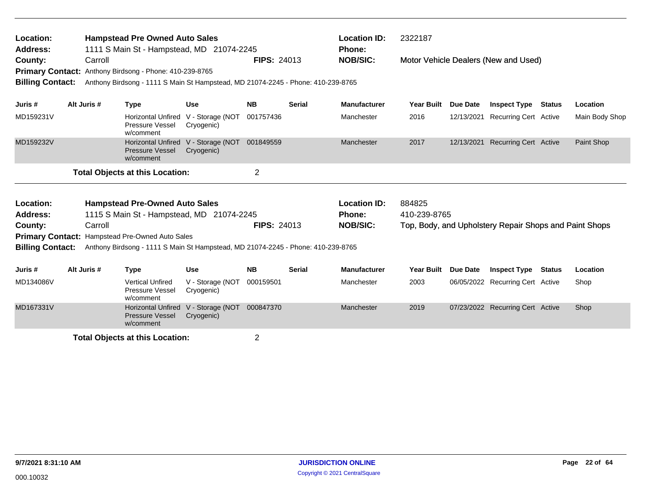| Location:<br>Address:                                         |             |         | <b>Hampstead Pre Owned Auto Sales</b><br>1111 S Main St - Hampstead, MD 21074-2245                                         |                                          |                    |               | <b>Location ID:</b><br><b>Phone:</b> | 2322187           |            |                                                        |               |                |
|---------------------------------------------------------------|-------------|---------|----------------------------------------------------------------------------------------------------------------------------|------------------------------------------|--------------------|---------------|--------------------------------------|-------------------|------------|--------------------------------------------------------|---------------|----------------|
| County:<br><b>Primary Contact:</b><br><b>Billing Contact:</b> |             | Carroll | Anthony Birdsong - Phone: 410-239-8765<br>Anthony Birdsong - 1111 S Main St Hampstead, MD 21074-2245 - Phone: 410-239-8765 |                                          | <b>FIPS: 24013</b> |               | <b>NOB/SIC:</b>                      |                   |            | Motor Vehicle Dealers (New and Used)                   |               |                |
| Juris #                                                       | Alt Juris # |         | <b>Type</b>                                                                                                                | <b>Use</b>                               | <b>NB</b>          | <b>Serial</b> | <b>Manufacturer</b>                  | <b>Year Built</b> | Due Date   | <b>Inspect Type</b>                                    | Status        | Location       |
| MD159231V                                                     |             |         | <b>Horizontal Unfired</b><br>Pressure Vessel<br>w/comment                                                                  | V - Storage (NOT<br>Cryogenic)           | 001757436          |               | Manchester                           | 2016              | 12/13/2021 | Recurring Cert Active                                  |               | Main Body Shop |
| MD159232V                                                     |             |         | <b>Horizontal Unfired</b><br><b>Pressure Vessel</b><br>w/comment                                                           | V - Storage (NOT 001849559<br>Cryogenic) |                    |               | Manchester                           | 2017              | 12/13/2021 | <b>Recurring Cert Active</b>                           |               | Paint Shop     |
|                                                               |             |         | <b>Total Objects at this Location:</b>                                                                                     |                                          | $\overline{c}$     |               |                                      |                   |            |                                                        |               |                |
| Location:                                                     |             |         | <b>Hampstead Pre-Owned Auto Sales</b>                                                                                      |                                          |                    |               | <b>Location ID:</b>                  | 884825            |            |                                                        |               |                |
| <b>Address:</b>                                               |             |         | 1115 S Main St - Hampstead, MD 21074-2245                                                                                  |                                          |                    |               | <b>Phone:</b>                        | 410-239-8765      |            |                                                        |               |                |
| County:                                                       |             | Carroll |                                                                                                                            |                                          | <b>FIPS: 24013</b> |               | <b>NOB/SIC:</b>                      |                   |            | Top, Body, and Upholstery Repair Shops and Paint Shops |               |                |
|                                                               |             |         | Primary Contact: Hampstead Pre-Owned Auto Sales                                                                            |                                          |                    |               |                                      |                   |            |                                                        |               |                |
| <b>Billing Contact:</b>                                       |             |         | Anthony Birdsong - 1111 S Main St Hampstead, MD 21074-2245 - Phone: 410-239-8765                                           |                                          |                    |               |                                      |                   |            |                                                        |               |                |
| Juris #                                                       | Alt Juris # |         | <b>Type</b>                                                                                                                | <b>Use</b>                               | <b>NB</b>          | <b>Serial</b> | <b>Manufacturer</b>                  | <b>Year Built</b> | Due Date   | <b>Inspect Type</b>                                    | <b>Status</b> | Location       |
| MD134086V                                                     |             |         | <b>Vertical Unfired</b><br>Pressure Vessel<br>w/comment                                                                    | V - Storage (NOT<br>Cryogenic)           | 000159501          |               | Manchester                           | 2003              |            | 06/05/2022 Recurring Cert Active                       |               | Shop           |
| MD167331V                                                     |             |         | <b>Horizontal Unfired</b><br><b>Pressure Vessel</b><br>w/comment                                                           | V - Storage (NOT<br>Cryogenic)           | 000847370          |               | Manchester                           | 2019              |            | 07/23/2022 Recurring Cert Active                       |               | Shop           |
|                                                               |             |         | <b>Total Objects at this Location:</b>                                                                                     |                                          | $\overline{2}$     |               |                                      |                   |            |                                                        |               |                |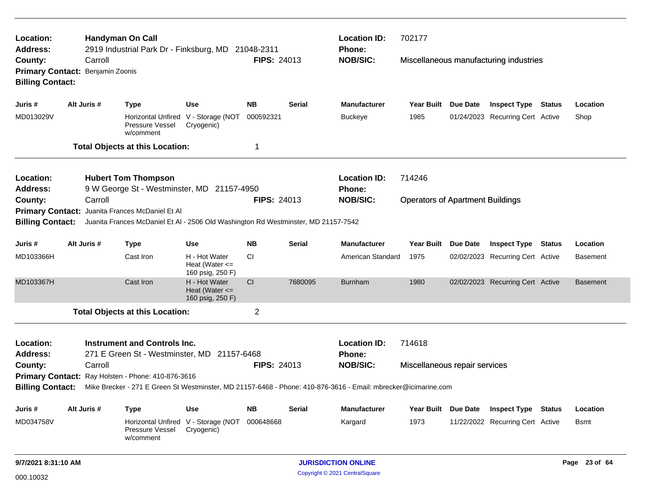| Location:<br><b>Address:</b>                                  |  |                            | <b>Handyman On Call</b><br>2919 Industrial Park Dr - Finksburg, MD 21048-2311      |                                                         |                    |               | <b>Location ID:</b><br>Phone:                                                                                  | 702177                                  |                 |                                        |                 |
|---------------------------------------------------------------|--|----------------------------|------------------------------------------------------------------------------------|---------------------------------------------------------|--------------------|---------------|----------------------------------------------------------------------------------------------------------------|-----------------------------------------|-----------------|----------------------------------------|-----------------|
| County:<br><b>Primary Contact:</b><br><b>Billing Contact:</b> |  | Carroll<br>Benjamin Zoonis |                                                                                    |                                                         | <b>FIPS: 24013</b> |               | <b>NOB/SIC:</b>                                                                                                |                                         |                 | Miscellaneous manufacturing industries |                 |
| Juris #                                                       |  | Alt Juris #                | <b>Type</b>                                                                        | <b>Use</b>                                              | <b>NB</b>          | <b>Serial</b> | <b>Manufacturer</b>                                                                                            | Year Built Due Date                     |                 | <b>Inspect Type Status</b>             | Location        |
| MD013029V                                                     |  |                            | Horizontal Unfired V - Storage (NOT<br>Pressure Vessel<br>w/comment                | Cryogenic)                                              | 000592321          |               | <b>Buckeye</b>                                                                                                 | 1985                                    |                 | 01/24/2023 Recurring Cert Active       | Shop            |
|                                                               |  |                            | <b>Total Objects at this Location:</b>                                             |                                                         | 1                  |               |                                                                                                                |                                         |                 |                                        |                 |
| Location:                                                     |  |                            | <b>Hubert Tom Thompson</b>                                                         |                                                         |                    |               | <b>Location ID:</b>                                                                                            | 714246                                  |                 |                                        |                 |
| <b>Address:</b>                                               |  |                            | 9 W George St - Westminster, MD 21157-4950                                         |                                                         |                    |               | Phone:                                                                                                         |                                         |                 |                                        |                 |
| County:                                                       |  | Carroll                    |                                                                                    |                                                         | <b>FIPS: 24013</b> |               | <b>NOB/SIC:</b>                                                                                                | <b>Operators of Apartment Buildings</b> |                 |                                        |                 |
| <b>Primary Contact:</b>                                       |  |                            | Juanita Frances McDaniel Et Al                                                     |                                                         |                    |               |                                                                                                                |                                         |                 |                                        |                 |
| <b>Billing Contact:</b>                                       |  |                            | Juanita Frances McDaniel Et Al - 2506 Old Washington Rd Westminster, MD 21157-7542 |                                                         |                    |               |                                                                                                                |                                         |                 |                                        |                 |
| Juris #                                                       |  | Alt Juris #                | <b>Type</b>                                                                        | <b>Use</b>                                              | <b>NB</b>          | <b>Serial</b> | Manufacturer                                                                                                   | Year Built                              | Due Date        | <b>Inspect Type Status</b>             | Location        |
| MD103366H                                                     |  |                            | Cast Iron                                                                          | H - Hot Water<br>Heat (Water $\leq$<br>160 psig, 250 F) | СI                 |               | American Standard                                                                                              | 1975                                    |                 | 02/02/2023 Recurring Cert Active       | <b>Basement</b> |
| MD103367H                                                     |  |                            | Cast Iron                                                                          | H - Hot Water<br>Heat (Water $\leq$<br>160 psig, 250 F) | CI                 | 7680095       | <b>Burnham</b>                                                                                                 | 1980                                    |                 | 02/02/2023 Recurring Cert Active       | <b>Basement</b> |
|                                                               |  |                            | <b>Total Objects at this Location:</b>                                             |                                                         | $\overline{2}$     |               |                                                                                                                |                                         |                 |                                        |                 |
| Location:                                                     |  |                            | <b>Instrument and Controls Inc.</b>                                                |                                                         |                    |               | <b>Location ID:</b>                                                                                            | 714618                                  |                 |                                        |                 |
| <b>Address:</b>                                               |  |                            | 271 E Green St - Westminster, MD 21157-6468                                        |                                                         |                    |               | Phone:                                                                                                         |                                         |                 |                                        |                 |
| County:                                                       |  | Carroll                    |                                                                                    |                                                         | <b>FIPS: 24013</b> |               | <b>NOB/SIC:</b>                                                                                                | Miscellaneous repair services           |                 |                                        |                 |
|                                                               |  |                            | Primary Contact: Ray Holsten - Phone: 410-876-3616                                 |                                                         |                    |               |                                                                                                                |                                         |                 |                                        |                 |
| <b>Billing Contact:</b>                                       |  |                            |                                                                                    |                                                         |                    |               | Mike Brecker - 271 E Green St Westminster, MD 21157-6468 - Phone: 410-876-3616 - Email: mbrecker@icimarine.com |                                         |                 |                                        |                 |
| Juris #                                                       |  | Alt Juris #                | Type                                                                               | <b>Use</b>                                              | <b>NB</b>          | <b>Serial</b> | <b>Manufacturer</b>                                                                                            | <b>Year Built</b>                       | <b>Due Date</b> | <b>Inspect Type Status</b>             | Location        |
| MD034758V                                                     |  |                            | Horizontal Unfired V - Storage (NOT<br>Pressure Vessel<br>w/comment                | Cryogenic)                                              | 000648668          |               | Kargard                                                                                                        | 1973                                    |                 | 11/22/2022 Recurring Cert Active       | <b>B</b> smt    |
| 9/7/2021 8:31:10 AM                                           |  |                            |                                                                                    |                                                         |                    |               | <b>JURISDICTION ONLINE</b>                                                                                     |                                         |                 |                                        | Page 23 of 64   |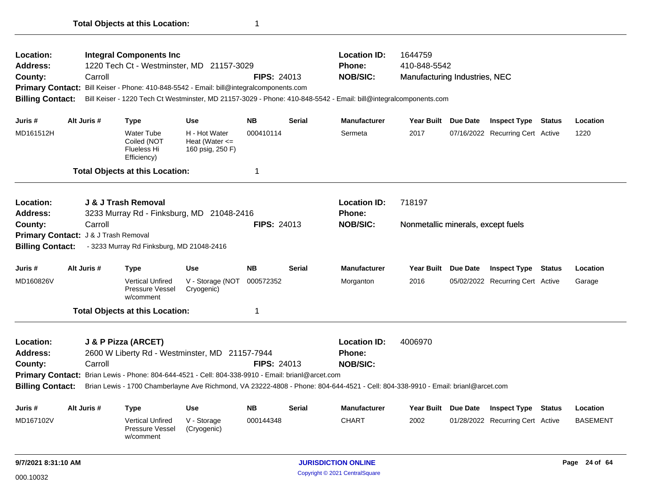| Location:<br>Address:<br>County:<br><b>Billing Contact:</b> | Carroll                                         | <b>Integral Components Inc</b><br>1220 Tech Ct - Westminster, MD 21157-3029<br>Primary Contact: Bill Keiser - Phone: 410-848-5542 - Email: bill@integralcomponents.com     |                                                         | <b>FIPS: 24013</b>                                                                                                                                                                          |               | <b>Location ID:</b><br><b>Phone:</b><br><b>NOB/SIC:</b><br>Bill Keiser - 1220 Tech Ct Westminster, MD 21157-3029 - Phone: 410-848-5542 - Email: bill@integralcomponents.com | 1644759<br>410-848-5542<br>Manufacturing Industries, NEC |          |                                  |        |                 |
|-------------------------------------------------------------|-------------------------------------------------|----------------------------------------------------------------------------------------------------------------------------------------------------------------------------|---------------------------------------------------------|---------------------------------------------------------------------------------------------------------------------------------------------------------------------------------------------|---------------|-----------------------------------------------------------------------------------------------------------------------------------------------------------------------------|----------------------------------------------------------|----------|----------------------------------|--------|-----------------|
| Juris #                                                     | Alt Juris #                                     | <b>Type</b>                                                                                                                                                                | <b>Use</b>                                              | <b>NB</b>                                                                                                                                                                                   | <b>Serial</b> | <b>Manufacturer</b>                                                                                                                                                         | <b>Year Built</b>                                        | Due Date | <b>Inspect Type Status</b>       |        | Location        |
| MD161512H                                                   |                                                 | Water Tube<br>Coiled (NOT<br>Flueless Hi<br>Efficiency)                                                                                                                    | H - Hot Water<br>Heat (Water $\leq$<br>160 psig, 250 F) | 000410114                                                                                                                                                                                   |               | Sermeta                                                                                                                                                                     | 2017                                                     |          | 07/16/2022 Recurring Cert Active |        | 1220            |
|                                                             |                                                 | <b>Total Objects at this Location:</b>                                                                                                                                     |                                                         | $\overline{1}$                                                                                                                                                                              |               |                                                                                                                                                                             |                                                          |          |                                  |        |                 |
| Location:<br><b>Address:</b>                                |                                                 | J & J Trash Removal<br>3233 Murray Rd - Finksburg, MD 21048-2416                                                                                                           |                                                         |                                                                                                                                                                                             |               | <b>Location ID:</b><br><b>Phone:</b>                                                                                                                                        | 718197                                                   |          |                                  |        |                 |
| County:<br><b>Billing Contact:</b>                          | Carroll<br>Primary Contact: J & J Trash Removal | - 3233 Murray Rd Finksburg, MD 21048-2416                                                                                                                                  |                                                         | <b>FIPS: 24013</b>                                                                                                                                                                          |               | <b>NOB/SIC:</b>                                                                                                                                                             | Nonmetallic minerals, except fuels                       |          |                                  |        |                 |
| Juris #                                                     | Alt Juris #                                     | Type                                                                                                                                                                       | <b>Use</b>                                              | <b>NB</b>                                                                                                                                                                                   | <b>Serial</b> | <b>Manufacturer</b>                                                                                                                                                         | Year Built Due Date                                      |          | <b>Inspect Type</b>              | Status | Location        |
| MD160826V                                                   |                                                 | <b>Vertical Unfired</b><br>Pressure Vessel<br>w/comment                                                                                                                    | V - Storage (NOT<br>Cryogenic)                          | 000572352                                                                                                                                                                                   |               | Morganton                                                                                                                                                                   | 2016                                                     |          | 05/02/2022 Recurring Cert Active |        | Garage          |
|                                                             |                                                 | <b>Total Objects at this Location:</b>                                                                                                                                     |                                                         | -1                                                                                                                                                                                          |               |                                                                                                                                                                             |                                                          |          |                                  |        |                 |
| Location:<br>Address:<br>County:<br><b>Billing Contact:</b> | Carroll                                         | J & P Pizza (ARCET)<br>2600 W Liberty Rd - Westminster, MD 21157-7944<br>Primary Contact: Brian Lewis - Phone: 804-644-4521 - Cell: 804-338-9910 - Email: brianl@arcet.com | <b>FIPS: 24013</b>                                      | <b>Location ID:</b><br><b>Phone:</b><br><b>NOB/SIC:</b><br>Brian Lewis - 1700 Chamberlayne Ave Richmond, VA 23222-4808 - Phone: 804-644-4521 - Cell: 804-338-9910 - Email: brianl@arcet.com | 4006970       |                                                                                                                                                                             |                                                          |          |                                  |        |                 |
| Juris #                                                     | Alt Juris #                                     | <b>Type</b>                                                                                                                                                                | <b>Use</b>                                              | <b>NB</b>                                                                                                                                                                                   | <b>Serial</b> | <b>Manufacturer</b>                                                                                                                                                         | <b>Year Built</b>                                        | Due Date | <b>Inspect Type</b>              | Status | Location        |
| MD167102V                                                   |                                                 | <b>Vertical Unfired</b><br>Pressure Vessel<br>w/comment                                                                                                                    | V - Storage<br>(Cryogenic)                              | 000144348                                                                                                                                                                                   |               | <b>CHART</b>                                                                                                                                                                | 2002                                                     |          | 01/28/2022 Recurring Cert Active |        | <b>BASEMENT</b> |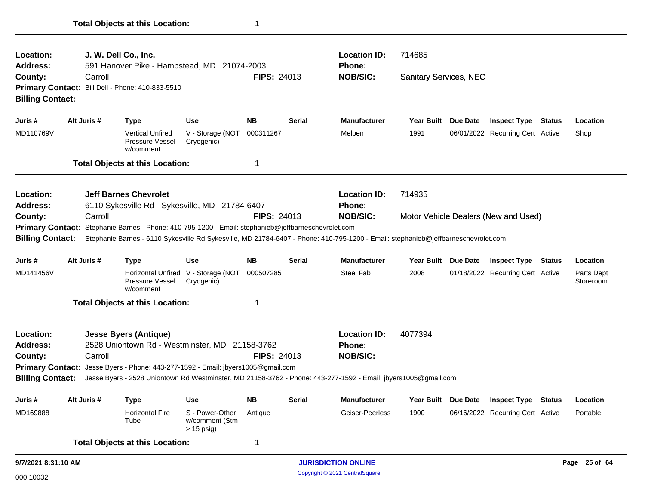| Location:<br><b>Address:</b>       |             | J. W. Dell Co., Inc.<br>591 Hanover Pike - Hampstead, MD 21074-2003                                                                                                                                                                      |                                                   |                    |                                             | <b>Location ID:</b><br><b>Phone:</b> | 714685                        |  |                                      |  |                         |
|------------------------------------|-------------|------------------------------------------------------------------------------------------------------------------------------------------------------------------------------------------------------------------------------------------|---------------------------------------------------|--------------------|---------------------------------------------|--------------------------------------|-------------------------------|--|--------------------------------------|--|-------------------------|
| County:<br><b>Billing Contact:</b> | Carroll     | Primary Contact: Bill Dell - Phone: 410-833-5510                                                                                                                                                                                         |                                                   | <b>FIPS: 24013</b> |                                             | <b>NOB/SIC:</b>                      | <b>Sanitary Services, NEC</b> |  |                                      |  |                         |
| Juris #                            | Alt Juris # | <b>Type</b>                                                                                                                                                                                                                              | <b>Use</b>                                        | <b>NB</b>          | <b>Serial</b>                               | <b>Manufacturer</b>                  | Year Built Due Date           |  | <b>Inspect Type Status</b>           |  | Location                |
| MD110769V                          |             | <b>Vertical Unfired</b><br>Pressure Vessel<br>w/comment                                                                                                                                                                                  | V - Storage (NOT<br>Cryogenic)                    | 000311267          |                                             | Melben                               | 1991                          |  | 06/01/2022 Recurring Cert Active     |  | Shop                    |
|                                    |             | <b>Total Objects at this Location:</b>                                                                                                                                                                                                   |                                                   | 1                  |                                             |                                      |                               |  |                                      |  |                         |
| Location:                          |             | <b>Jeff Barnes Chevrolet</b>                                                                                                                                                                                                             |                                                   |                    |                                             | <b>Location ID:</b>                  | 714935                        |  |                                      |  |                         |
| <b>Address:</b>                    |             | 6110 Sykesville Rd - Sykesville, MD 21784-6407                                                                                                                                                                                           |                                                   |                    |                                             | Phone:                               |                               |  |                                      |  |                         |
| County:                            | Carroll     |                                                                                                                                                                                                                                          |                                                   | <b>FIPS: 24013</b> |                                             | <b>NOB/SIC:</b>                      |                               |  | Motor Vehicle Dealers (New and Used) |  |                         |
| <b>Billing Contact:</b>            |             | Primary Contact: Stephanie Barnes - Phone: 410-795-1200 - Email: stephanieb@jeffbarneschevrolet.com<br>Stephanie Barnes - 6110 Sykesville Rd Sykesville, MD 21784-6407 - Phone: 410-795-1200 - Email: stephanieb@jeffbarneschevrolet.com |                                                   |                    |                                             |                                      |                               |  |                                      |  |                         |
| Juris #                            | Alt Juris # | <b>Type</b>                                                                                                                                                                                                                              | <b>Use</b>                                        | <b>NB</b>          | Serial                                      | <b>Manufacturer</b>                  | Year Built Due Date           |  | <b>Inspect Type Status</b>           |  | Location                |
| MD141456V                          |             | Pressure Vessel<br>w/comment                                                                                                                                                                                                             | Horizontal Unfired V - Storage (NOT<br>Cryogenic) | 000507285          |                                             | <b>Steel Fab</b>                     | 2008                          |  | 01/18/2022 Recurring Cert Active     |  | Parts Dept<br>Storeroom |
|                                    |             | <b>Total Objects at this Location:</b>                                                                                                                                                                                                   |                                                   | 1                  |                                             |                                      |                               |  |                                      |  |                         |
| <b>Location:</b>                   |             | <b>Jesse Byers (Antique)</b>                                                                                                                                                                                                             |                                                   |                    |                                             | <b>Location ID:</b>                  | 4077394                       |  |                                      |  |                         |
| <b>Address:</b>                    |             | 2528 Uniontown Rd - Westminster, MD 21158-3762                                                                                                                                                                                           |                                                   |                    |                                             | <b>Phone:</b>                        |                               |  |                                      |  |                         |
| County:                            | Carroll     |                                                                                                                                                                                                                                          |                                                   | <b>FIPS: 24013</b> |                                             | <b>NOB/SIC:</b>                      |                               |  |                                      |  |                         |
| <b>Primary Contact:</b>            |             | Jesse Byers - Phone: 443-277-1592 - Email: jbyers1005@gmail.com                                                                                                                                                                          |                                                   |                    |                                             |                                      |                               |  |                                      |  |                         |
| <b>Billing Contact:</b>            |             | Jesse Byers - 2528 Uniontown Rd Westminster, MD 21158-3762 - Phone: 443-277-1592 - Email: jbyers1005@gmail.com                                                                                                                           |                                                   |                    |                                             |                                      |                               |  |                                      |  |                         |
| Juris #                            | Alt Juris # | <b>Type</b>                                                                                                                                                                                                                              | <b>Use</b>                                        | <b>NB</b>          | <b>Serial</b>                               | <b>Manufacturer</b>                  | Year Built Due Date           |  | <b>Inspect Type Status</b>           |  | Location                |
| MD169888                           |             | <b>Horizontal Fire</b><br>Tube                                                                                                                                                                                                           | S - Power-Other<br>w/comment (Stm<br>> 15 psig)   | Antique            |                                             | Geiser-Peerless                      | 1900                          |  | 06/16/2022 Recurring Cert Active     |  | Portable                |
|                                    |             | <b>Total Objects at this Location:</b>                                                                                                                                                                                                   |                                                   | 1                  |                                             |                                      |                               |  |                                      |  |                         |
| 9/7/2021 8:31:10 AM                |             |                                                                                                                                                                                                                                          |                                                   |                    | <b>JURISDICTION ONLINE</b><br>Page 25 of 64 |                                      |                               |  |                                      |  |                         |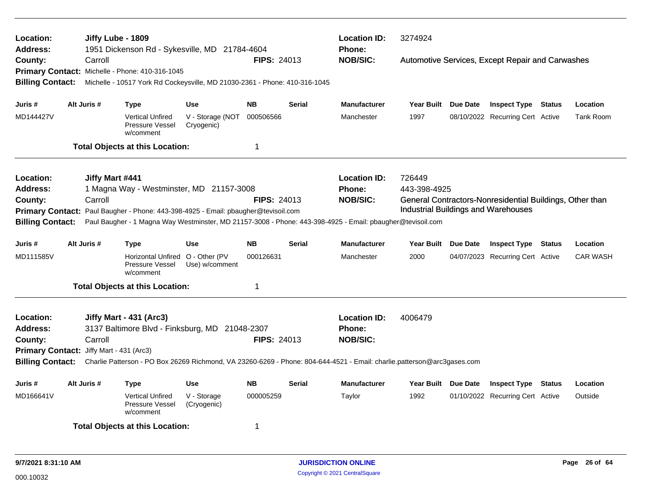| Location:<br><b>Address:</b>                                                                                    |  | Jiffy Lube - 1809 | 1951 Dickenson Rd - Sykesville, MD 21784-4604                              |                                |                    |               | <b>Location ID:</b><br>Phone:                                                                                                                                                                                                                                                                                                                                                                                                                                                                                                                                                                                                                                                                                            | 3274924 |  |  |  |           |  |  |
|-----------------------------------------------------------------------------------------------------------------|--|-------------------|----------------------------------------------------------------------------|--------------------------------|--------------------|---------------|--------------------------------------------------------------------------------------------------------------------------------------------------------------------------------------------------------------------------------------------------------------------------------------------------------------------------------------------------------------------------------------------------------------------------------------------------------------------------------------------------------------------------------------------------------------------------------------------------------------------------------------------------------------------------------------------------------------------------|---------|--|--|--|-----------|--|--|
| County:                                                                                                         |  | Carroll           |                                                                            |                                | <b>FIPS: 24013</b> |               | <b>NOB/SIC:</b>                                                                                                                                                                                                                                                                                                                                                                                                                                                                                                                                                                                                                                                                                                          |         |  |  |  |           |  |  |
|                                                                                                                 |  |                   | Primary Contact: Michelle - Phone: 410-316-1045                            |                                |                    |               |                                                                                                                                                                                                                                                                                                                                                                                                                                                                                                                                                                                                                                                                                                                          |         |  |  |  |           |  |  |
| <b>Billing Contact:</b>                                                                                         |  |                   | Michelle - 10517 York Rd Cockeysville, MD 21030-2361 - Phone: 410-316-1045 |                                |                    |               |                                                                                                                                                                                                                                                                                                                                                                                                                                                                                                                                                                                                                                                                                                                          |         |  |  |  |           |  |  |
| Juris #                                                                                                         |  | Alt Juris #       | Type                                                                       | <b>Use</b>                     | <b>NB</b>          | <b>Serial</b> | <b>Manufacturer</b>                                                                                                                                                                                                                                                                                                                                                                                                                                                                                                                                                                                                                                                                                                      |         |  |  |  | Location  |  |  |
| MD144427V                                                                                                       |  |                   | <b>Vertical Unfired</b><br>Pressure Vessel<br>w/comment                    | V - Storage (NOT<br>Cryogenic) | 000506566          |               | Manchester                                                                                                                                                                                                                                                                                                                                                                                                                                                                                                                                                                                                                                                                                                               | 1997    |  |  |  | Tank Room |  |  |
|                                                                                                                 |  |                   | <b>Total Objects at this Location:</b>                                     |                                | $\mathbf 1$        |               |                                                                                                                                                                                                                                                                                                                                                                                                                                                                                                                                                                                                                                                                                                                          |         |  |  |  |           |  |  |
| Location:                                                                                                       |  | Jiffy Mart #441   |                                                                            |                                |                    |               | <b>Location ID:</b>                                                                                                                                                                                                                                                                                                                                                                                                                                                                                                                                                                                                                                                                                                      | 726449  |  |  |  |           |  |  |
| <b>Address:</b>                                                                                                 |  |                   | 1 Magna Way - Westminster, MD 21157-3008                                   |                                |                    |               | Automotive Services, Except Repair and Carwashes<br>Year Built Due Date<br><b>Inspect Type Status</b><br>08/10/2022 Recurring Cert Active<br>Phone:<br>443-398-4925<br><b>NOB/SIC:</b><br>General Contractors-Nonresidential Buildings, Other than<br><b>Industrial Buildings and Warehouses</b><br><b>Manufacturer</b><br><b>Year Built</b><br>Due Date<br><b>Inspect Type Status</b><br>Location<br>2000<br><b>CAR WASH</b><br>Manchester<br>04/07/2023 Recurring Cert Active<br><b>Location ID:</b><br>4006479<br><b>Phone:</b><br><b>NOB/SIC:</b><br><b>Manufacturer</b><br>Year Built Due Date<br><b>Inspect Type</b><br><b>Status</b><br>Location<br>1992<br>Taylor<br>01/10/2022 Recurring Cert Active<br>Outside |         |  |  |  |           |  |  |
| Carroll<br><b>FIPS: 24013</b><br>County:                                                                        |  |                   |                                                                            |                                |                    |               | Paul Baugher - 1 Magna Way Westminster, MD 21157-3008 - Phone: 443-398-4925 - Email: pbaugher@tevisoil.com<br>Charlie Patterson - PO Box 26269 Richmond, VA 23260-6269 - Phone: 804-644-4521 - Email: charlie.patterson@arc3gases.com                                                                                                                                                                                                                                                                                                                                                                                                                                                                                    |         |  |  |  |           |  |  |
| Primary Contact: Paul Baugher - Phone: 443-398-4925 - Email: pbaugher@tevisoil.com                              |  |                   |                                                                            |                                |                    |               |                                                                                                                                                                                                                                                                                                                                                                                                                                                                                                                                                                                                                                                                                                                          |         |  |  |  |           |  |  |
| <b>Billing Contact:</b>                                                                                         |  |                   |                                                                            |                                |                    |               |                                                                                                                                                                                                                                                                                                                                                                                                                                                                                                                                                                                                                                                                                                                          |         |  |  |  |           |  |  |
| Juris #                                                                                                         |  | Alt Juris #       | Type                                                                       | <b>Use</b>                     | <b>NB</b>          | <b>Serial</b> |                                                                                                                                                                                                                                                                                                                                                                                                                                                                                                                                                                                                                                                                                                                          |         |  |  |  |           |  |  |
| MD111585V                                                                                                       |  |                   | Horizontal Unfired O - Other (PV<br>Pressure Vessel<br>w/comment           | Use) w/comment                 | 000126631          |               |                                                                                                                                                                                                                                                                                                                                                                                                                                                                                                                                                                                                                                                                                                                          |         |  |  |  |           |  |  |
|                                                                                                                 |  |                   | <b>Total Objects at this Location:</b>                                     |                                | -1                 |               |                                                                                                                                                                                                                                                                                                                                                                                                                                                                                                                                                                                                                                                                                                                          |         |  |  |  |           |  |  |
| Location:                                                                                                       |  |                   | Jiffy Mart - 431 (Arc3)                                                    |                                |                    |               |                                                                                                                                                                                                                                                                                                                                                                                                                                                                                                                                                                                                                                                                                                                          |         |  |  |  |           |  |  |
| <b>Address:</b>                                                                                                 |  |                   | 3137 Baltimore Blvd - Finksburg, MD 21048-2307                             |                                |                    |               |                                                                                                                                                                                                                                                                                                                                                                                                                                                                                                                                                                                                                                                                                                                          |         |  |  |  |           |  |  |
| County:                                                                                                         |  | Carroll           |                                                                            |                                | FIPS: 24013        |               |                                                                                                                                                                                                                                                                                                                                                                                                                                                                                                                                                                                                                                                                                                                          |         |  |  |  |           |  |  |
| Primary Contact: Jiffy Mart - 431 (Arc3)                                                                        |  |                   |                                                                            |                                |                    |               |                                                                                                                                                                                                                                                                                                                                                                                                                                                                                                                                                                                                                                                                                                                          |         |  |  |  |           |  |  |
| <b>Billing Contact:</b>                                                                                         |  |                   |                                                                            |                                |                    |               |                                                                                                                                                                                                                                                                                                                                                                                                                                                                                                                                                                                                                                                                                                                          |         |  |  |  |           |  |  |
| Juris #                                                                                                         |  | Alt Juris #       | Type                                                                       | Use                            | <b>NB</b>          | <b>Serial</b> |                                                                                                                                                                                                                                                                                                                                                                                                                                                                                                                                                                                                                                                                                                                          |         |  |  |  |           |  |  |
| MD166641V<br><b>Vertical Unfired</b><br>V - Storage<br>000005259<br>Pressure Vessel<br>(Cryogenic)<br>w/comment |  |                   |                                                                            |                                |                    |               |                                                                                                                                                                                                                                                                                                                                                                                                                                                                                                                                                                                                                                                                                                                          |         |  |  |  |           |  |  |
|                                                                                                                 |  |                   | <b>Total Objects at this Location:</b>                                     |                                | -1                 |               |                                                                                                                                                                                                                                                                                                                                                                                                                                                                                                                                                                                                                                                                                                                          |         |  |  |  |           |  |  |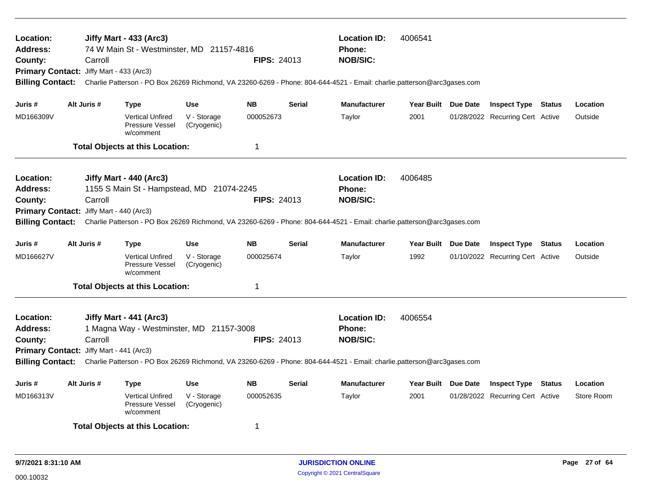| Location:<br>Address:<br>County:<br><b>Billing Contact:</b>                                                                                                                                                                                                                                                                             | Carroll<br>Primary Contact: Jiffy Mart - 433 (Arc3) | Jiffy Mart - 433 (Arc3)<br>74 W Main St - Westminster, MD 21157-4816 |                            | <b>FIPS: 24013</b> |               | <b>Location ID:</b><br><b>Phone:</b><br><b>NOB/SIC:</b><br>Charlie Patterson - PO Box 26269 Richmond, VA 23260-6269 - Phone: 804-644-4521 - Email: charlie.patterson@arc3gases.com | 4006541             |                                  |            |
|-----------------------------------------------------------------------------------------------------------------------------------------------------------------------------------------------------------------------------------------------------------------------------------------------------------------------------------------|-----------------------------------------------------|----------------------------------------------------------------------|----------------------------|--------------------|---------------|------------------------------------------------------------------------------------------------------------------------------------------------------------------------------------|---------------------|----------------------------------|------------|
| Juris #                                                                                                                                                                                                                                                                                                                                 | Alt Juris #                                         | <b>Type</b>                                                          | <b>Use</b>                 | <b>NB</b>          | <b>Serial</b> | <b>Manufacturer</b>                                                                                                                                                                | Year Built Due Date | <b>Inspect Type Status</b>       | Location   |
| MD166309V                                                                                                                                                                                                                                                                                                                               |                                                     | <b>Vertical Unfired</b><br><b>Pressure Vessel</b><br>w/comment       | V - Storage<br>(Cryogenic) | 000052673          |               | Taylor                                                                                                                                                                             | 2001                | 01/28/2022 Recurring Cert Active | Outside    |
|                                                                                                                                                                                                                                                                                                                                         |                                                     | <b>Total Objects at this Location:</b>                               |                            | 1                  |               |                                                                                                                                                                                    |                     |                                  |            |
| Location:<br>Address:<br>County:<br><b>Billing Contact:</b>                                                                                                                                                                                                                                                                             | Carroll<br>Primary Contact: Jiffy Mart - 440 (Arc3) | Jiffy Mart - 440 (Arc3)<br>1155 S Main St - Hampstead, MD 21074-2245 |                            | <b>FIPS: 24013</b> |               | <b>Location ID:</b><br>Phone:<br><b>NOB/SIC:</b><br>Charlie Patterson - PO Box 26269 Richmond, VA 23260-6269 - Phone: 804-644-4521 - Email: charlie.patterson@arc3gases.com        | 4006485             |                                  |            |
| Juris #                                                                                                                                                                                                                                                                                                                                 | Alt Juris #                                         | <b>Type</b>                                                          | <b>Use</b>                 | <b>NB</b>          | <b>Serial</b> | <b>Manufacturer</b>                                                                                                                                                                | Year Built Due Date | <b>Inspect Type Status</b>       | Location   |
| MD166627V                                                                                                                                                                                                                                                                                                                               |                                                     | <b>Vertical Unfired</b><br>Pressure Vessel<br>w/comment              | V - Storage<br>(Cryogenic) | 000025674          |               | Taylor                                                                                                                                                                             | 1992                | 01/10/2022 Recurring Cert Active | Outside    |
|                                                                                                                                                                                                                                                                                                                                         |                                                     | <b>Total Objects at this Location:</b>                               |                            | 1                  |               |                                                                                                                                                                                    |                     |                                  |            |
| Location:<br>Jiffy Mart - 441 (Arc3)<br><b>Address:</b><br>1 Magna Way - Westminster, MD 21157-3008<br>Carroll<br><b>FIPS: 24013</b><br>County:<br>Primary Contact: Jiffy Mart - 441 (Arc3)<br>Billing Contact: Charlie Patterson - PO Box 26269 Richmond, VA 23260-6269 - Phone: 804-644-4521 - Email: charlie.patterson@arc3gases.com |                                                     |                                                                      |                            |                    |               | <b>Location ID:</b><br>Phone:<br><b>NOB/SIC:</b>                                                                                                                                   | 4006554             |                                  |            |
| Juris #                                                                                                                                                                                                                                                                                                                                 | Alt Juris #                                         | <b>Type</b>                                                          | <b>Use</b>                 | <b>NB</b>          | Serial        | <b>Manufacturer</b>                                                                                                                                                                | Year Built Due Date | <b>Inspect Type Status</b>       | Location   |
| MD166313V                                                                                                                                                                                                                                                                                                                               |                                                     | <b>Vertical Unfired</b><br>Pressure Vessel<br>w/comment              | V - Storage<br>(Cryogenic) | 000052635          |               | Taylor                                                                                                                                                                             | 2001                | 01/28/2022 Recurring Cert Active | Store Room |
|                                                                                                                                                                                                                                                                                                                                         |                                                     | <b>Total Objects at this Location:</b>                               |                            | 1                  |               |                                                                                                                                                                                    |                     |                                  |            |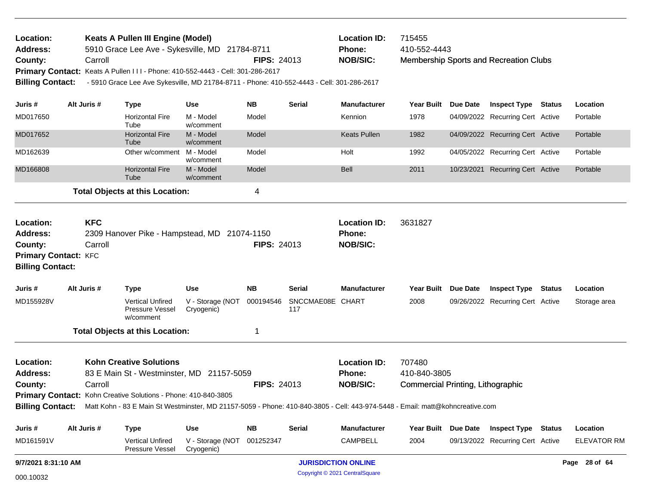| Location:<br><b>Address:</b><br>County:                                                           | <b>Keats A Pullen III Engine (Model)</b><br>5910 Grace Lee Ave - Sykesville, MD 21784-8711<br>Carroll<br>Primary Contact: Keats A Pullen III - Phone: 410-552-4443 - Cell: 301-286-2617<br>- 5910 Grace Lee Ave Sykesville, MD 21784-8711 - Phone: 410-552-4443 - Cell: 301-286-2617<br><b>Billing Contact:</b><br>Alt Juris # |                       |                                                                                                                                                                                                                                                                                                 |                                              |                        | <b>FIPS: 24013</b>      | <b>Location ID:</b><br>715455<br>410-552-4443<br>Phone:<br><b>NOB/SIC:</b><br>Membership Sports and Recreation Clubs |                                                                    |  |                                                                |  |                                |
|---------------------------------------------------------------------------------------------------|--------------------------------------------------------------------------------------------------------------------------------------------------------------------------------------------------------------------------------------------------------------------------------------------------------------------------------|-----------------------|-------------------------------------------------------------------------------------------------------------------------------------------------------------------------------------------------------------------------------------------------------------------------------------------------|----------------------------------------------|------------------------|-------------------------|----------------------------------------------------------------------------------------------------------------------|--------------------------------------------------------------------|--|----------------------------------------------------------------|--|--------------------------------|
| Juris #                                                                                           |                                                                                                                                                                                                                                                                                                                                |                       | <b>Type</b>                                                                                                                                                                                                                                                                                     | Use                                          | <b>NB</b>              | <b>Serial</b>           | <b>Manufacturer</b>                                                                                                  | Year Built Due Date                                                |  | <b>Inspect Type Status</b>                                     |  | Location                       |
| MD017650                                                                                          |                                                                                                                                                                                                                                                                                                                                |                       | <b>Horizontal Fire</b><br>Tube                                                                                                                                                                                                                                                                  | M - Model<br>w/comment                       | Model                  |                         | Kennion                                                                                                              | 1978                                                               |  | 04/09/2022 Recurring Cert Active                               |  | Portable                       |
| MD017652                                                                                          |                                                                                                                                                                                                                                                                                                                                |                       | <b>Horizontal Fire</b><br>Tube                                                                                                                                                                                                                                                                  | M - Model<br>w/comment                       | Model                  |                         | <b>Keats Pullen</b>                                                                                                  | 1982                                                               |  | 04/09/2022 Recurring Cert Active                               |  | Portable                       |
| MD162639                                                                                          |                                                                                                                                                                                                                                                                                                                                |                       | Other w/comment M - Model                                                                                                                                                                                                                                                                       | w/comment                                    | Model                  |                         | Holt                                                                                                                 | 1992                                                               |  | 04/05/2022 Recurring Cert Active                               |  | Portable                       |
| MD166808                                                                                          |                                                                                                                                                                                                                                                                                                                                |                       | <b>Horizontal Fire</b><br>Tube                                                                                                                                                                                                                                                                  | M - Model<br>w/comment                       | Model                  |                         | Bell                                                                                                                 | 2011                                                               |  | 10/23/2021 Recurring Cert Active                               |  | Portable                       |
|                                                                                                   |                                                                                                                                                                                                                                                                                                                                |                       | <b>Total Objects at this Location:</b>                                                                                                                                                                                                                                                          |                                              | 4                      |                         |                                                                                                                      |                                                                    |  |                                                                |  |                                |
| Location:<br><b>Address:</b><br>County:<br><b>Primary Contact: KFC</b><br><b>Billing Contact:</b> |                                                                                                                                                                                                                                                                                                                                | <b>KFC</b><br>Carroll | 2309 Hanover Pike - Hampstead, MD 21074-1150                                                                                                                                                                                                                                                    |                                              | <b>FIPS: 24013</b>     |                         | <b>Location ID:</b><br>Phone:<br><b>NOB/SIC:</b>                                                                     | 3631827                                                            |  |                                                                |  |                                |
| Juris #                                                                                           |                                                                                                                                                                                                                                                                                                                                | Alt Juris #           | <b>Type</b>                                                                                                                                                                                                                                                                                     | <b>Use</b>                                   | <b>NB</b>              | <b>Serial</b>           | <b>Manufacturer</b>                                                                                                  | Year Built Due Date                                                |  | <b>Inspect Type Status</b>                                     |  | Location                       |
| MD155928V                                                                                         |                                                                                                                                                                                                                                                                                                                                |                       | <b>Vertical Unfired</b><br><b>Pressure Vessel</b><br>w/comment                                                                                                                                                                                                                                  | V - Storage (NOT<br>Cryogenic)               | 000194546              | SNCCMAE08E CHART<br>117 |                                                                                                                      | 2008                                                               |  | 09/26/2022 Recurring Cert Active                               |  | Storage area                   |
|                                                                                                   |                                                                                                                                                                                                                                                                                                                                |                       | <b>Total Objects at this Location:</b>                                                                                                                                                                                                                                                          |                                              | 1                      |                         |                                                                                                                      |                                                                    |  |                                                                |  |                                |
| Location:<br><b>Address:</b><br>County:                                                           |                                                                                                                                                                                                                                                                                                                                | Carroll               | <b>Kohn Creative Solutions</b><br>83 E Main St - Westminster, MD 21157-5059<br>Primary Contact: Kohn Creative Solutions - Phone: 410-840-3805<br>Billing Contact: Matt Kohn - 83 E Main St Westminster, MD 21157-5059 - Phone: 410-840-3805 - Cell: 443-974-5448 - Email: matt@kohncreative.com |                                              | <b>FIPS: 24013</b>     |                         | <b>Location ID:</b><br>Phone:<br><b>NOB/SIC:</b>                                                                     | 707480<br>410-840-3805<br><b>Commercial Printing, Lithographic</b> |  |                                                                |  |                                |
|                                                                                                   |                                                                                                                                                                                                                                                                                                                                |                       |                                                                                                                                                                                                                                                                                                 |                                              |                        |                         |                                                                                                                      |                                                                    |  |                                                                |  |                                |
| Juris #<br>MD161591V                                                                              |                                                                                                                                                                                                                                                                                                                                | Alt Juris #           | <b>Type</b><br>Vertical Unfired<br>Pressure Vessel                                                                                                                                                                                                                                              | <b>Use</b><br>V - Storage (NOT<br>Cryogenic) | <b>NB</b><br>001252347 | <b>Serial</b>           | <b>Manufacturer</b><br>CAMPBELL                                                                                      | Year Built Due Date<br>2004                                        |  | <b>Inspect Type Status</b><br>09/13/2022 Recurring Cert Active |  | Location<br><b>ELEVATOR RM</b> |
| 9/7/2021 8:31:10 AM                                                                               |                                                                                                                                                                                                                                                                                                                                |                       |                                                                                                                                                                                                                                                                                                 |                                              |                        |                         | <b>JURISDICTION ONLINE</b>                                                                                           |                                                                    |  |                                                                |  | Page 28 of 64                  |
| 000.10032                                                                                         |                                                                                                                                                                                                                                                                                                                                |                       |                                                                                                                                                                                                                                                                                                 |                                              |                        |                         | Copyright © 2021 CentralSquare                                                                                       |                                                                    |  |                                                                |  |                                |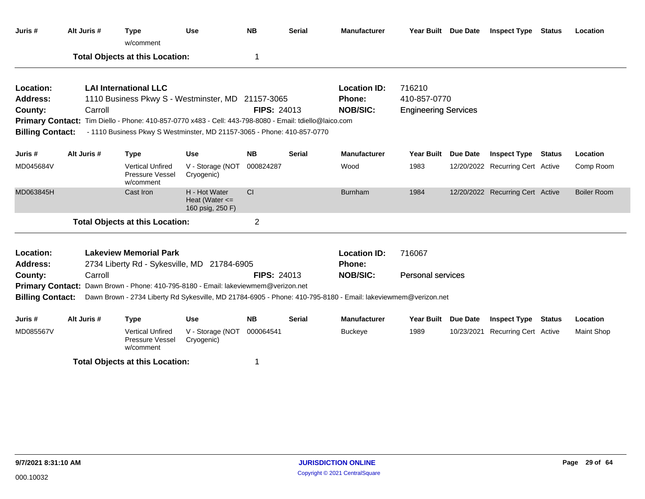| Juris #                                            | Alt Juris #                                                       | <b>Type</b><br>w/comment                                                                               | <b>Use</b>                                                                                                    | <b>NB</b>          | <b>Serial</b> | <b>Manufacturer</b>           | Year Built Due Date         |                 | <b>Inspect Type Status</b>       |               | Location           |
|----------------------------------------------------|-------------------------------------------------------------------|--------------------------------------------------------------------------------------------------------|---------------------------------------------------------------------------------------------------------------|--------------------|---------------|-------------------------------|-----------------------------|-----------------|----------------------------------|---------------|--------------------|
|                                                    |                                                                   | <b>Total Objects at this Location:</b>                                                                 |                                                                                                               | 1                  |               |                               |                             |                 |                                  |               |                    |
| Location:                                          |                                                                   | <b>LAI International LLC</b>                                                                           |                                                                                                               |                    |               | <b>Location ID:</b>           | 716210                      |                 |                                  |               |                    |
| Address:                                           |                                                                   | 1110 Business Pkwy S - Westminster, MD 21157-3065                                                      |                                                                                                               |                    |               | <b>Phone:</b>                 | 410-857-0770                |                 |                                  |               |                    |
| County:                                            | Carroll                                                           |                                                                                                        |                                                                                                               | <b>FIPS: 24013</b> |               | <b>NOB/SIC:</b>               | <b>Engineering Services</b> |                 |                                  |               |                    |
|                                                    |                                                                   | Primary Contact: Tim Diello - Phone: 410-857-0770 x483 - Cell: 443-798-8080 - Email: tdiello@laico.com |                                                                                                               |                    |               |                               |                             |                 |                                  |               |                    |
| <b>Billing Contact:</b>                            |                                                                   | - 1110 Business Pkwy S Westminster, MD 21157-3065 - Phone: 410-857-0770                                |                                                                                                               |                    |               |                               |                             |                 |                                  |               |                    |
| Juris #                                            | Alt Juris #                                                       | <b>Type</b>                                                                                            | <b>Use</b>                                                                                                    | <b>NB</b>          | <b>Serial</b> | <b>Manufacturer</b>           | <b>Year Built</b>           | Due Date        | <b>Inspect Type Status</b>       |               | Location           |
| MD045684V                                          |                                                                   | <b>Vertical Unfired</b><br>Pressure Vessel<br>w/comment                                                | V - Storage (NOT<br>Cryogenic)                                                                                | 000824287          |               | Wood                          | 1983                        |                 | 12/20/2022 Recurring Cert Active |               | Comp Room          |
| MD063845H                                          |                                                                   | Cast Iron                                                                                              | H - Hot Water<br>Heat (Water $\leq$<br>160 psig, 250 F)                                                       | CI                 |               | <b>Burnham</b>                | 1984                        |                 | 12/20/2022 Recurring Cert Active |               | <b>Boiler Room</b> |
|                                                    |                                                                   | <b>Total Objects at this Location:</b>                                                                 |                                                                                                               | 2                  |               |                               |                             |                 |                                  |               |                    |
| Location:<br><b>Address:</b>                       |                                                                   | <b>Lakeview Memorial Park</b><br>2734 Liberty Rd - Sykesville, MD 21784-6905                           |                                                                                                               |                    |               | <b>Location ID:</b><br>Phone: | 716067                      |                 |                                  |               |                    |
| County:                                            | Carroll                                                           |                                                                                                        |                                                                                                               | <b>FIPS: 24013</b> |               | <b>NOB/SIC:</b>               | <b>Personal services</b>    |                 |                                  |               |                    |
| <b>Primary Contact:</b><br><b>Billing Contact:</b> | Dawn Brown - Phone: 410-795-8180 - Email: lakeviewmem@verizon.net |                                                                                                        | Dawn Brown - 2734 Liberty Rd Sykesville, MD 21784-6905 - Phone: 410-795-8180 - Email: lakeviewmem@verizon.net |                    |               |                               |                             |                 |                                  |               |                    |
| Juris #                                            | Alt Juris #                                                       | <b>Type</b>                                                                                            | <b>Use</b>                                                                                                    | <b>NB</b>          | <b>Serial</b> | <b>Manufacturer</b>           | <b>Year Built</b>           | <b>Due Date</b> | <b>Inspect Type</b>              | <b>Status</b> | Location           |
| MD085567V                                          |                                                                   | <b>Vertical Unfired</b><br>Pressure Vessel<br>w/comment                                                | V - Storage (NOT<br>Cryogenic)                                                                                | 000064541          |               | <b>Buckeye</b>                | 1989                        |                 | 10/23/2021 Recurring Cert Active |               | <b>Maint Shop</b>  |
|                                                    |                                                                   | <b>Total Objects at this Location:</b>                                                                 |                                                                                                               |                    |               |                               |                             |                 |                                  |               |                    |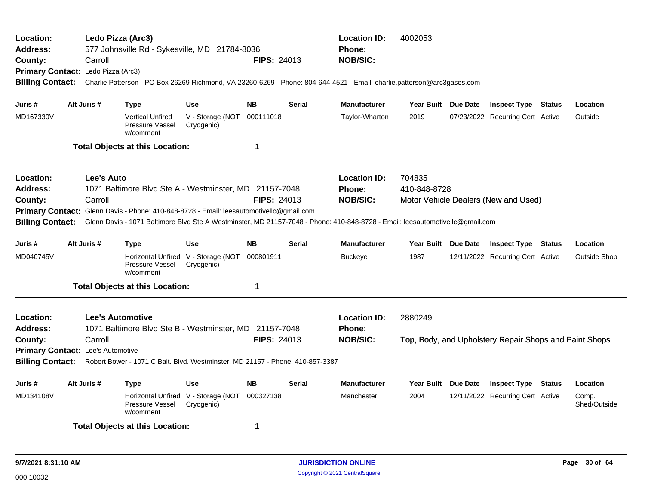| Location:<br><b>Address:</b><br>County:<br><b>Primary Contact:</b><br><b>Billing Contact:</b>                                                                                                                                                                                                           | Carroll<br>Ledo Pizza (Arc3) | Ledo Pizza (Arc3)<br>577 Johnsville Rd - Sykesville, MD 21784-8036                                                                                                                                                                                                |                                                   | <b>FIPS: 24013</b> |               | <b>Location ID:</b><br>4002053<br><b>Phone:</b><br><b>NOB/SIC:</b><br>Charlie Patterson - PO Box 26269 Richmond, VA 23260-6269 - Phone: 804-644-4521 - Email: charlie.patterson@arc3gases.com |                        |                 |                                                        |               |                       |
|---------------------------------------------------------------------------------------------------------------------------------------------------------------------------------------------------------------------------------------------------------------------------------------------------------|------------------------------|-------------------------------------------------------------------------------------------------------------------------------------------------------------------------------------------------------------------------------------------------------------------|---------------------------------------------------|--------------------|---------------|-----------------------------------------------------------------------------------------------------------------------------------------------------------------------------------------------|------------------------|-----------------|--------------------------------------------------------|---------------|-----------------------|
| Juris #                                                                                                                                                                                                                                                                                                 | Alt Juris #                  | Type                                                                                                                                                                                                                                                              | <b>Use</b>                                        | <b>NB</b>          | <b>Serial</b> | <b>Manufacturer</b>                                                                                                                                                                           | Year Built Due Date    |                 | <b>Inspect Type Status</b>                             |               | Location              |
| MD167330V                                                                                                                                                                                                                                                                                               |                              | <b>Vertical Unfired</b><br>Pressure Vessel<br>w/comment                                                                                                                                                                                                           | V - Storage (NOT<br>Cryogenic)                    | 000111018          |               | Taylor-Wharton                                                                                                                                                                                | 2019                   |                 | 07/23/2022 Recurring Cert Active                       |               | Outside               |
|                                                                                                                                                                                                                                                                                                         |                              | <b>Total Objects at this Location:</b>                                                                                                                                                                                                                            |                                                   | $\mathbf 1$        |               |                                                                                                                                                                                               |                        |                 |                                                        |               |                       |
| Location:<br>Address:<br>County:<br><b>Primary Contact:</b><br><b>Billing Contact:</b>                                                                                                                                                                                                                  | Lee's Auto<br>Carroll        | 1071 Baltimore Blvd Ste A - Westminster, MD 21157-7048<br>Glenn Davis - Phone: 410-848-8728 - Email: leesautomotivellc@gmail.com<br>Glenn Davis - 1071 Baltimore Blvd Ste A Westminster, MD 21157-7048 - Phone: 410-848-8728 - Email: leesautomotivellc@gmail.com |                                                   | <b>FIPS: 24013</b> |               | <b>Location ID:</b><br><b>Phone:</b><br><b>NOB/SIC:</b>                                                                                                                                       | 704835<br>410-848-8728 |                 | Motor Vehicle Dealers (New and Used)                   |               |                       |
| Juris #                                                                                                                                                                                                                                                                                                 | Alt Juris #                  | <b>Type</b>                                                                                                                                                                                                                                                       | <b>Use</b>                                        | <b>NB</b>          | <b>Serial</b> | <b>Manufacturer</b>                                                                                                                                                                           | Year Built Due Date    |                 | <b>Inspect Type Status</b>                             |               | Location              |
| MD040745V                                                                                                                                                                                                                                                                                               |                              | Pressure Vessel<br>w/comment                                                                                                                                                                                                                                      | Horizontal Unfired V - Storage (NOT<br>Cryogenic) | 000801911          |               | <b>Buckeye</b>                                                                                                                                                                                | 1987                   |                 | 12/11/2022 Recurring Cert Active                       |               | <b>Outside Shop</b>   |
|                                                                                                                                                                                                                                                                                                         |                              | <b>Total Objects at this Location:</b>                                                                                                                                                                                                                            |                                                   | 1                  |               |                                                                                                                                                                                               |                        |                 |                                                        |               |                       |
| Location:<br><b>Lee's Automotive</b><br>1071 Baltimore Blvd Ste B - Westminster, MD 21157-7048<br>Address:<br>FIPS: 24013<br>County:<br>Carroll<br><b>Primary Contact: Lee's Automotive</b><br><b>Billing Contact:</b><br>Robert Bower - 1071 C Balt. Blvd. Westminster, MD 21157 - Phone: 410-857-3387 |                              |                                                                                                                                                                                                                                                                   |                                                   |                    |               | <b>Location ID:</b><br>Phone:<br><b>NOB/SIC:</b>                                                                                                                                              | 2880249                |                 | Top, Body, and Upholstery Repair Shops and Paint Shops |               |                       |
| Juris #                                                                                                                                                                                                                                                                                                 | Alt Juris #                  | <b>Type</b>                                                                                                                                                                                                                                                       | <b>Use</b>                                        | <b>NB</b>          | <b>Serial</b> | <b>Manufacturer</b>                                                                                                                                                                           | <b>Year Built</b>      | <b>Due Date</b> | <b>Inspect Type</b>                                    | <b>Status</b> | Location              |
| MD134108V                                                                                                                                                                                                                                                                                               |                              | Pressure Vessel<br>w/comment                                                                                                                                                                                                                                      | Horizontal Unfired V - Storage (NOT<br>Cryogenic) | 000327138          |               | Manchester                                                                                                                                                                                    | 2004                   |                 | 12/11/2022 Recurring Cert Active                       |               | Comp.<br>Shed/Outside |
|                                                                                                                                                                                                                                                                                                         |                              | <b>Total Objects at this Location:</b>                                                                                                                                                                                                                            |                                                   | 1                  |               |                                                                                                                                                                                               |                        |                 |                                                        |               |                       |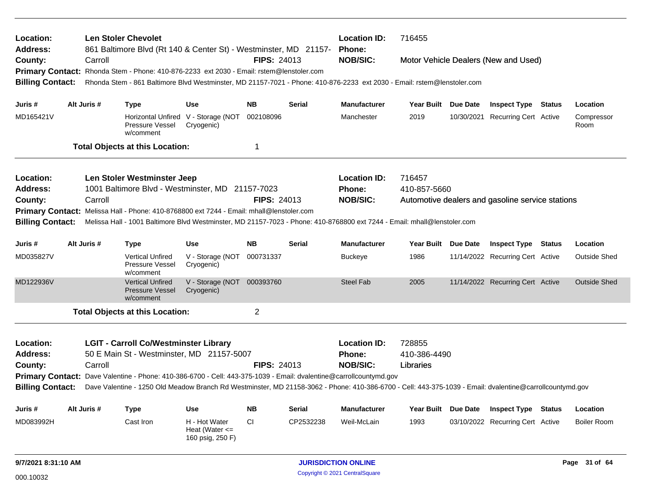| Location:<br>Address:   |                                                                                                                                                                |             | <b>Len Stoler Chevolet</b><br>861 Baltimore Blvd (Rt 140 & Center St) - Westminster, MD 21157-                                                           |                                                         |                    |               | <b>Location ID:</b><br>716455<br><b>Phone:</b><br><b>NOB/SIC:</b><br>Motor Vehicle Dealers (New and Used) |                                                  |  |                                  |  |                     |  |  |
|-------------------------|----------------------------------------------------------------------------------------------------------------------------------------------------------------|-------------|----------------------------------------------------------------------------------------------------------------------------------------------------------|---------------------------------------------------------|--------------------|---------------|-----------------------------------------------------------------------------------------------------------|--------------------------------------------------|--|----------------------------------|--|---------------------|--|--|
| County:                 |                                                                                                                                                                | Carroll     |                                                                                                                                                          |                                                         | FIPS: 24013        |               |                                                                                                           |                                                  |  |                                  |  |                     |  |  |
|                         |                                                                                                                                                                |             | Primary Contact: Rhonda Stem - Phone: 410-876-2233 ext 2030 - Email: rstem@lenstoler.com                                                                 |                                                         |                    |               |                                                                                                           |                                                  |  |                                  |  |                     |  |  |
| <b>Billing Contact:</b> |                                                                                                                                                                |             | Rhonda Stem - 861 Baltimore Blvd Westminster, MD 21157-7021 - Phone: 410-876-2233 ext 2030 - Email: rstem@lenstoler.com                                  |                                                         |                    |               |                                                                                                           |                                                  |  |                                  |  |                     |  |  |
| Juris #                 |                                                                                                                                                                | Alt Juris # | <b>Type</b>                                                                                                                                              | <b>Use</b>                                              | <b>NB</b>          | <b>Serial</b> | <b>Manufacturer</b>                                                                                       | Year Built Due Date                              |  | <b>Inspect Type Status</b>       |  | Location            |  |  |
| MD165421V               |                                                                                                                                                                |             | Pressure Vessel<br>w/comment                                                                                                                             | Horizontal Unfired V - Storage (NOT<br>Cryogenic)       | 002108096          |               | Manchester                                                                                                | 2019                                             |  | 10/30/2021 Recurring Cert Active |  | Compressor<br>Room  |  |  |
|                         |                                                                                                                                                                |             | <b>Total Objects at this Location:</b>                                                                                                                   |                                                         | $\overline{1}$     |               |                                                                                                           |                                                  |  |                                  |  |                     |  |  |
| Location:               |                                                                                                                                                                |             | Len Stoler Westminster Jeep                                                                                                                              |                                                         |                    |               | <b>Location ID:</b>                                                                                       | 716457                                           |  |                                  |  |                     |  |  |
| <b>Address:</b>         |                                                                                                                                                                |             | 1001 Baltimore Blvd - Westminster, MD 21157-7023                                                                                                         |                                                         |                    |               | Phone:                                                                                                    | 410-857-5660                                     |  |                                  |  |                     |  |  |
| County:                 |                                                                                                                                                                | Carroll     |                                                                                                                                                          |                                                         | <b>FIPS: 24013</b> |               | <b>NOB/SIC:</b>                                                                                           | Automotive dealers and gasoline service stations |  |                                  |  |                     |  |  |
|                         | Melissa Hall - Phone: 410-8768800 ext 7244 - Email: mhall@lenstoler.com<br><b>Primary Contact:</b>                                                             |             |                                                                                                                                                          |                                                         |                    |               |                                                                                                           |                                                  |  |                                  |  |                     |  |  |
| <b>Billing Contact:</b> |                                                                                                                                                                |             | Melissa Hall - 1001 Baltimore Blvd Westminster, MD 21157-7023 - Phone: 410-8768800 ext 7244 - Email: mhall@lenstoler.com                                 |                                                         |                    |               |                                                                                                           |                                                  |  |                                  |  |                     |  |  |
|                         |                                                                                                                                                                |             |                                                                                                                                                          |                                                         |                    |               |                                                                                                           |                                                  |  |                                  |  |                     |  |  |
| Juris #                 |                                                                                                                                                                | Alt Juris # | Type                                                                                                                                                     | <b>Use</b>                                              | <b>NB</b>          | <b>Serial</b> | <b>Manufacturer</b>                                                                                       | Year Built Due Date                              |  | <b>Inspect Type Status</b>       |  | Location            |  |  |
| MD035827V               |                                                                                                                                                                |             | <b>Vertical Unfired</b><br>Pressure Vessel<br>w/comment                                                                                                  | V - Storage (NOT<br>Cryogenic)                          | 000731337          |               | Buckeye                                                                                                   | 1986                                             |  | 11/14/2022 Recurring Cert Active |  | Outside Shed        |  |  |
| MD122936V               |                                                                                                                                                                |             | <b>Vertical Unfired</b><br><b>Pressure Vessel</b><br>w/comment                                                                                           | V - Storage (NOT<br>Cryogenic)                          | 000393760          |               | <b>Steel Fab</b>                                                                                          | 2005                                             |  | 11/14/2022 Recurring Cert Active |  | <b>Outside Shed</b> |  |  |
|                         |                                                                                                                                                                |             | <b>Total Objects at this Location:</b>                                                                                                                   |                                                         | $\overline{2}$     |               |                                                                                                           |                                                  |  |                                  |  |                     |  |  |
| Location:<br>Address:   |                                                                                                                                                                |             | <b>LGIT - Carroll Co/Westminster Library</b><br>50 E Main St - Westminster, MD 21157-5007                                                                |                                                         |                    |               | <b>Location ID:</b><br><b>Phone:</b><br><b>NOB/SIC:</b>                                                   | 728855<br>410-386-4490                           |  |                                  |  |                     |  |  |
|                         | Carroll<br><b>FIPS: 24013</b><br>County:<br>Primary Contact: Dave Valentine - Phone: 410-386-6700 - Cell: 443-375-1039 - Email: dvalentine@carrollcountymd.gov |             |                                                                                                                                                          |                                                         |                    |               |                                                                                                           | Libraries                                        |  |                                  |  |                     |  |  |
| <b>Billing Contact:</b> |                                                                                                                                                                |             | Dave Valentine - 1250 Old Meadow Branch Rd Westminster, MD 21158-3062 - Phone: 410-386-6700 - Cell: 443-375-1039 - Email: dvalentine@carrollcountymd.gov |                                                         |                    |               |                                                                                                           |                                                  |  |                                  |  |                     |  |  |
|                         |                                                                                                                                                                |             |                                                                                                                                                          |                                                         |                    |               |                                                                                                           |                                                  |  |                                  |  |                     |  |  |
| Juris #                 |                                                                                                                                                                | Alt Juris # | <b>Type</b>                                                                                                                                              | <b>Use</b>                                              | <b>NB</b>          | <b>Serial</b> | <b>Manufacturer</b>                                                                                       | Year Built Due Date                              |  | <b>Inspect Type Status</b>       |  | Location            |  |  |
| MD083992H               |                                                                                                                                                                |             | Cast Iron                                                                                                                                                | H - Hot Water<br>Heat (Water $\leq$<br>160 psig, 250 F) | CI.                | CP2532238     | Weil-McLain                                                                                               | 1993                                             |  | 03/10/2022 Recurring Cert Active |  | <b>Boiler Room</b>  |  |  |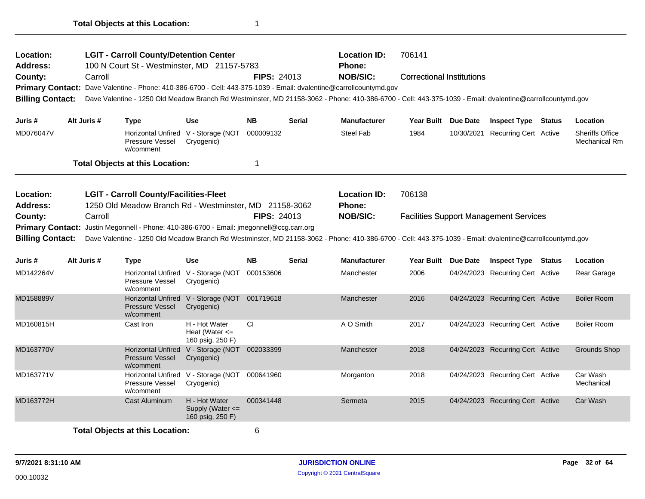| Location:<br><b>Address:</b> |                                                                   |             | <b>LGIT - Carroll County/Detention Center</b><br>100 N Court St - Westminster, MD 21157-5783                                                             |                                                             |                    |               | <b>Location ID:</b><br>Phone: | 706141                           |            |                                               |                                                |
|------------------------------|-------------------------------------------------------------------|-------------|----------------------------------------------------------------------------------------------------------------------------------------------------------|-------------------------------------------------------------|--------------------|---------------|-------------------------------|----------------------------------|------------|-----------------------------------------------|------------------------------------------------|
| County:                      |                                                                   | Carroll     |                                                                                                                                                          |                                                             | <b>FIPS: 24013</b> |               | <b>NOB/SIC:</b>               | <b>Correctional Institutions</b> |            |                                               |                                                |
|                              |                                                                   |             | Primary Contact: Dave Valentine - Phone: 410-386-6700 - Cell: 443-375-1039 - Email: dvalentine@carrollcountymd.gov                                       |                                                             |                    |               |                               |                                  |            |                                               |                                                |
| <b>Billing Contact:</b>      |                                                                   |             | Dave Valentine - 1250 Old Meadow Branch Rd Westminster, MD 21158-3062 - Phone: 410-386-6700 - Cell: 443-375-1039 - Email: dvalentine@carrollcountymd.gov |                                                             |                    |               |                               |                                  |            |                                               |                                                |
| Juris #                      |                                                                   | Alt Juris # | <b>Type</b>                                                                                                                                              | <b>Use</b>                                                  | <b>NB</b>          | <b>Serial</b> | <b>Manufacturer</b>           | Year Built                       | Due Date   | <b>Inspect Type Status</b>                    | Location                                       |
| MD076047V                    |                                                                   |             | Pressure Vessel<br>w/comment                                                                                                                             | Horizontal Unfired V - Storage (NOT<br>Cryogenic)           | 000009132          |               | Steel Fab                     | 1984                             | 10/30/2021 | <b>Recurring Cert Active</b>                  | <b>Sheriffs Office</b><br><b>Mechanical Rm</b> |
|                              |                                                                   |             | <b>Total Objects at this Location:</b>                                                                                                                   |                                                             | -1                 |               |                               |                                  |            |                                               |                                                |
| Location:                    |                                                                   |             | <b>LGIT - Carroll County/Facilities-Fleet</b>                                                                                                            |                                                             |                    |               | <b>Location ID:</b>           | 706138                           |            |                                               |                                                |
| <b>Address:</b>              |                                                                   |             |                                                                                                                                                          |                                                             |                    |               | <b>Phone:</b>                 |                                  |            |                                               |                                                |
| County:                      | 1250 Old Meadow Branch Rd - Westminster, MD 21158-3062<br>Carroll |             |                                                                                                                                                          |                                                             | <b>FIPS: 24013</b> |               | <b>NOB/SIC:</b>               |                                  |            | <b>Facilities Support Management Services</b> |                                                |
| <b>Primary Contact:</b>      |                                                                   |             | Justin Megonnell - Phone: 410-386-6700 - Email: jmegonnell@ccg.carr.org                                                                                  |                                                             |                    |               |                               |                                  |            |                                               |                                                |
| <b>Billing Contact:</b>      |                                                                   |             | Dave Valentine - 1250 Old Meadow Branch Rd Westminster, MD 21158-3062 - Phone: 410-386-6700 - Cell: 443-375-1039 - Email: dvalentine@carrollcountymd.gov |                                                             |                    |               |                               |                                  |            |                                               |                                                |
|                              |                                                                   |             |                                                                                                                                                          |                                                             |                    |               |                               |                                  |            |                                               |                                                |
| Juris #                      |                                                                   | Alt Juris # | <b>Type</b>                                                                                                                                              | <b>Use</b>                                                  | <b>NB</b>          | <b>Serial</b> | <b>Manufacturer</b>           | Year Built                       | Due Date   | <b>Inspect Type Status</b>                    | Location                                       |
| MD142264V                    |                                                                   |             | Pressure Vessel<br>w/comment                                                                                                                             | Horizontal Unfired V - Storage (NOT<br>Cryogenic)           | 000153606          |               | Manchester                    | 2006                             |            | 04/24/2023 Recurring Cert Active              | Rear Garage                                    |
| MD158889V                    |                                                                   |             | <b>Pressure Vessel</b><br>w/comment                                                                                                                      | Horizontal Unfired V - Storage (NOT 001719618<br>Cryogenic) |                    |               | Manchester                    | 2016                             |            | 04/24/2023 Recurring Cert Active              | <b>Boiler Room</b>                             |
| MD160815H                    |                                                                   |             | Cast Iron                                                                                                                                                | H - Hot Water<br>Heat (Water $\leq$<br>160 psig, 250 F)     | СI                 |               | A O Smith                     | 2017                             |            | 04/24/2023 Recurring Cert Active              | <b>Boiler Room</b>                             |
| MD163770V                    |                                                                   |             | <b>Horizontal Unfired</b><br>Pressure Vessel<br>w/comment                                                                                                | V - Storage (NOT 002033399<br>Cryogenic)                    |                    |               | Manchester                    | 2018                             |            | 04/24/2023 Recurring Cert Active              | Grounds Shop                                   |
| MD163771V                    |                                                                   |             | Horizontal Unfired V - Storage (NOT<br><b>Pressure Vessel</b><br>w/comment                                                                               | Cryogenic)                                                  | 000641960          |               | Morganton                     | 2018                             |            | 04/24/2023 Recurring Cert Active              | Car Wash<br>Mechanical                         |
| MD163772H                    |                                                                   |             | Cast Aluminum                                                                                                                                            | H - Hot Water<br>Supply (Water <=<br>160 psig, 250 F)       | 000341448          |               | Sermeta                       | 2015                             |            | 04/24/2023 Recurring Cert Active              | Car Wash                                       |
|                              |                                                                   |             | Total Ohioato at this Location                                                                                                                           |                                                             | $\epsilon$         |               |                               |                                  |            |                                               |                                                |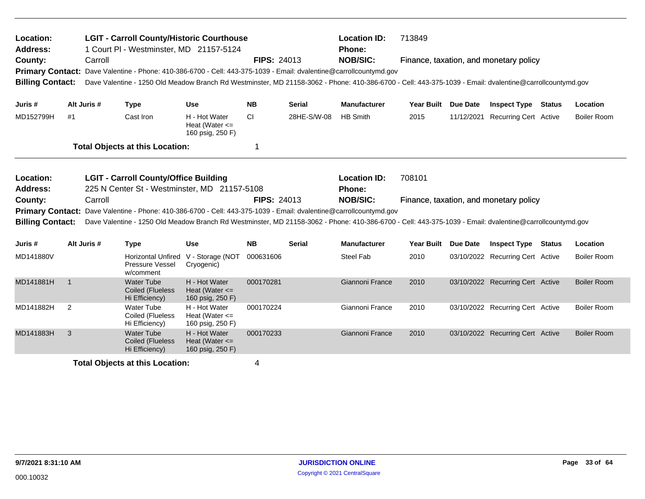| <b>LGIT - Carroll County/Historic Courthouse</b><br>Location:<br><b>Address:</b><br>1 Court PI - Westminster, MD 21157-5124 |                |         |                                                                |                                                         |                    | <b>Location ID:</b><br><b>Phone:</b> | 713849                                                                                                                                                   |                     |                                        |               |                    |
|-----------------------------------------------------------------------------------------------------------------------------|----------------|---------|----------------------------------------------------------------|---------------------------------------------------------|--------------------|--------------------------------------|----------------------------------------------------------------------------------------------------------------------------------------------------------|---------------------|----------------------------------------|---------------|--------------------|
| County:                                                                                                                     |                | Carroll |                                                                |                                                         | <b>FIPS: 24013</b> |                                      | <b>NOB/SIC:</b><br>Primary Contact: Dave Valentine - Phone: 410-386-6700 - Cell: 443-375-1039 - Email: dvalentine@carrollcountymd.gov                    |                     | Finance, taxation, and monetary policy |               |                    |
| <b>Billing Contact:</b>                                                                                                     |                |         |                                                                |                                                         |                    |                                      | Dave Valentine - 1250 Old Meadow Branch Rd Westminster, MD 21158-3062 - Phone: 410-386-6700 - Cell: 443-375-1039 - Email: dvalentine@carrollcountymd.gov |                     |                                        |               |                    |
| Juris #                                                                                                                     | Alt Juris #    |         | <b>Type</b>                                                    | Use                                                     | <b>NB</b>          | <b>Serial</b>                        | <b>Manufacturer</b>                                                                                                                                      | Year Built Due Date | <b>Inspect Type</b>                    | <b>Status</b> | Location           |
| MD152799H                                                                                                                   | #1             |         | Cast Iron                                                      | H - Hot Water<br>Heat (Water $\leq$<br>160 psig, 250 F) | <b>CI</b>          | 28HE-S/W-08                          | <b>HB Smith</b>                                                                                                                                          | 2015                | 11/12/2021 Recurring Cert Active       |               | <b>Boiler Room</b> |
|                                                                                                                             |                |         | <b>Total Objects at this Location:</b>                         |                                                         | 1                  |                                      |                                                                                                                                                          |                     |                                        |               |                    |
| Location:<br>Address:                                                                                                       |                |         | <b>LGIT - Carroll County/Office Building</b>                   | 225 N Center St - Westminster, MD 21157-5108            |                    |                                      | <b>Location ID:</b><br>Phone:                                                                                                                            | 708101              |                                        |               |                    |
| County:                                                                                                                     |                | Carroll |                                                                |                                                         | <b>FIPS: 24013</b> |                                      | <b>NOB/SIC:</b>                                                                                                                                          |                     | Finance, taxation, and monetary policy |               |                    |
| <b>Primary Contact:</b>                                                                                                     |                |         |                                                                |                                                         |                    |                                      | Dave Valentine - Phone: 410-386-6700 - Cell: 443-375-1039 - Email: dvalentine@carrollcountymd.gov                                                        |                     |                                        |               |                    |
| <b>Billing Contact:</b>                                                                                                     |                |         |                                                                |                                                         |                    |                                      | Dave Valentine - 1250 Old Meadow Branch Rd Westminster, MD 21158-3062 - Phone: 410-386-6700 - Cell: 443-375-1039 - Email: dvalentine@carrollcountymd.gov |                     |                                        |               |                    |
| Juris #                                                                                                                     | Alt Juris #    |         | <b>Type</b>                                                    | <b>Use</b>                                              | <b>NB</b>          | <b>Serial</b>                        | <b>Manufacturer</b>                                                                                                                                      | Year Built Due Date | <b>Inspect Type Status</b>             |               | Location           |
| MD141880V                                                                                                                   |                |         | <b>Horizontal Unfired</b><br>Pressure Vessel<br>w/comment      | V - Storage (NOT<br>Cryogenic)                          | 000631606          |                                      | <b>Steel Fab</b>                                                                                                                                         | 2010                | 03/10/2022 Recurring Cert Active       |               | <b>Boiler Room</b> |
| MD141881H                                                                                                                   | $\overline{1}$ |         | <b>Water Tube</b><br>Coiled (Flueless<br>Hi Efficiency)        | H - Hot Water<br>Heat (Water $\leq$<br>160 psig, 250 F) | 000170281          |                                      | Giannoni France                                                                                                                                          | 2010                | 03/10/2022 Recurring Cert Active       |               | <b>Boiler Room</b> |
| MD141882H                                                                                                                   | $\overline{2}$ |         | Water Tube<br>Coiled (Flueless<br>Hi Efficiency)               | H - Hot Water<br>Heat (Water $\leq$<br>160 psig, 250 F) | 000170224          |                                      | Giannoni France                                                                                                                                          | 2010                | 03/10/2022 Recurring Cert Active       |               | <b>Boiler Room</b> |
| MD141883H                                                                                                                   | 3              |         | <b>Water Tube</b><br><b>Coiled (Flueless</b><br>Hi Efficiency) | H - Hot Water<br>Heat (Water $\leq$<br>160 psig, 250 F) | 000170233          |                                      | Giannoni France                                                                                                                                          | 2010                | 03/10/2022 Recurring Cert Active       |               | <b>Boiler Room</b> |
|                                                                                                                             |                |         | <b>Total Objects at this Location:</b>                         |                                                         | 4                  |                                      |                                                                                                                                                          |                     |                                        |               |                    |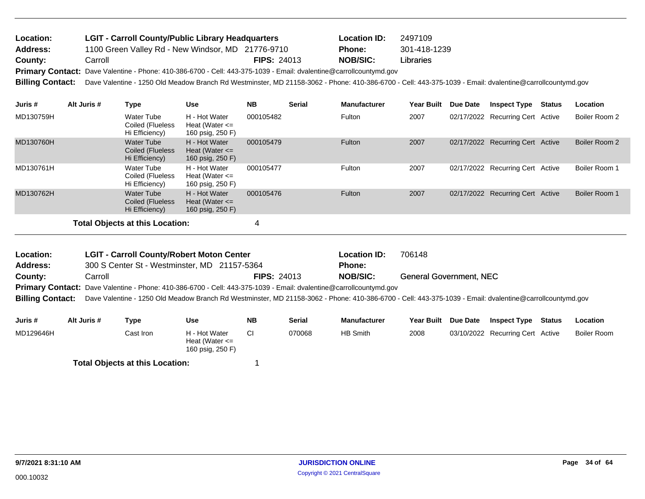| <b>Location:</b> | <b>LGIT - Carroll County/Public Library Headquarters</b> |                    | <b>Location ID:</b> | 2497109      |
|------------------|----------------------------------------------------------|--------------------|---------------------|--------------|
| <b>Address:</b>  | 1100 Green Valley Rd - New Windsor, MD 21776-9710        |                    | Phone:              | 301-418-1239 |
| County:          | Carroll                                                  | <b>FIPS: 24013</b> | NOB/SIC:            | Libraries    |

Primary Contact: Dave Valentine - Phone: 410-386-6700 - Cell: 443-375-1039 - Email: dvalentine@carrollcountymd.gov

**Billing Contact:** Dave Valentine - 1250 Old Meadow Branch Rd Westminster, MD 21158-3062 - Phone: 410-386-6700 - Cell: 443-375-1039 - Email: dvalentine@carrollcountymd.gov

| Juris #                                | Alt Juris # | Type                                                    | <b>Use</b>                                              | NB.       | <b>Serial</b> | <b>Manufacturer</b> | <b>Year Built</b> | <b>Due Date</b> | <b>Inspect Type</b>              | <b>Status</b> | <b>Location</b> |
|----------------------------------------|-------------|---------------------------------------------------------|---------------------------------------------------------|-----------|---------------|---------------------|-------------------|-----------------|----------------------------------|---------------|-----------------|
| MD130759H                              |             | Water Tube<br>Coiled (Flueless<br>Hi Efficiency)        | H - Hot Water<br>Heat (Water $\leq$<br>160 psig, 250 F) | 000105482 |               | Fulton              | 2007              |                 | 02/17/2022 Recurring Cert Active |               | Boiler Room 2   |
| MD130760H                              |             | <b>Water Tube</b><br>Coiled (Flueless<br>Hi Efficiency) | H - Hot Water<br>Heat (Water $\leq$<br>160 psig, 250 F) | 000105479 |               | Fulton              | 2007              |                 | 02/17/2022 Recurring Cert Active |               | Boiler Room 2   |
| MD130761H                              |             | Water Tube<br>Coiled (Flueless<br>Hi Efficiency)        | H - Hot Water<br>Heat (Water $\leq$<br>160 psig, 250 F) | 000105477 |               | Fulton              | 2007              |                 | 02/17/2022 Recurring Cert Active |               | Boiler Room 1   |
| MD130762H                              |             | <b>Water Tube</b><br>Coiled (Flueless<br>Hi Efficiency) | H - Hot Water<br>Heat (Water $\leq$<br>160 psig, 250 F) | 000105476 |               | Fulton              | 2007              |                 | 02/17/2022 Recurring Cert Active |               | Boiler Room 1   |
| <b>Total Objects at this Location:</b> |             |                                                         |                                                         | 4         |               |                     |                   |                 |                                  |               |                 |

| Location:               | <b>LGIT - Carroll County/Robert Moton Center</b>                                                                   |                    | <b>Location ID:</b> | 706148                                                                                                                                                   |
|-------------------------|--------------------------------------------------------------------------------------------------------------------|--------------------|---------------------|----------------------------------------------------------------------------------------------------------------------------------------------------------|
| <b>Address:</b>         | 300 S Center St - Westminster, MD 21157-5364                                                                       |                    | <b>Phone:</b>       |                                                                                                                                                          |
| County:                 | Carroll                                                                                                            | <b>FIPS: 24013</b> | <b>NOB/SIC:</b>     | <b>General Government, NEC</b>                                                                                                                           |
|                         | Primary Contact: Dave Valentine - Phone: 410-386-6700 - Cell: 443-375-1039 - Email: dvalentine@carrollcountymd.gov |                    |                     |                                                                                                                                                          |
| <b>Billing Contact:</b> |                                                                                                                    |                    |                     | Dave Valentine - 1250 Old Meadow Branch Rd Westminster, MD 21158-3062 - Phone: 410-386-6700 - Cell: 443-375-1039 - Email: dvalentine@carrollcountymd.gov |
|                         |                                                                                                                    |                    |                     |                                                                                                                                                          |

| Juris #   | Alt Juris # | Type                                   | Use                                                     | <b>NB</b> | <b>Serial</b> | <b>Manufacturer</b> | <b>Year Built</b> | <b>Due Date</b> | <b>Inspect Type</b>              | Status | Location    |
|-----------|-------------|----------------------------------------|---------------------------------------------------------|-----------|---------------|---------------------|-------------------|-----------------|----------------------------------|--------|-------------|
| MD129646H |             | Cast Iron l                            | H - Hot Water<br>Heat (Water $\leq$<br>160 psig, 250 F) |           | 070068        | HB Smith            | 2008              |                 | 03/10/2022 Recurring Cert Active |        | Boiler Room |
|           |             | <b>Total Objects at this Location:</b> |                                                         |           |               |                     |                   |                 |                                  |        |             |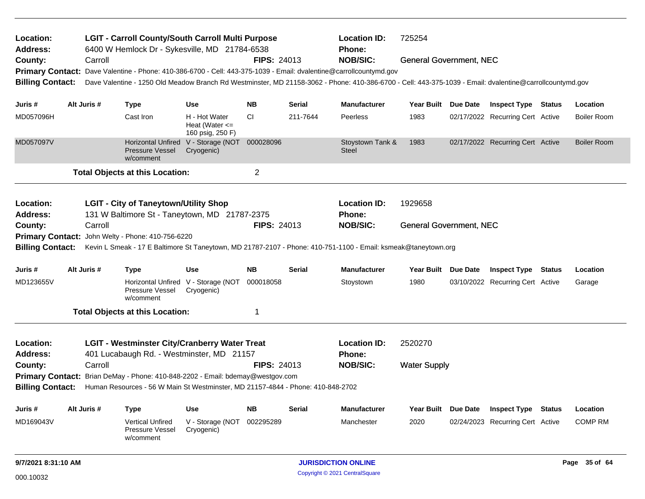| Location:<br><b>LGIT - Carroll County/South Carroll Multi Purpose</b><br>6400 W Hemlock Dr - Sykesville, MD 21784-6538<br>Address:<br>Carroll<br>County: |  |             |                                                                |                                                                                 |                    | <b>Location ID:</b><br><b>Phone:</b> | 725254                                                                                                                                                   |                                                                                                                |          |                                  |               |                    |
|----------------------------------------------------------------------------------------------------------------------------------------------------------|--|-------------|----------------------------------------------------------------|---------------------------------------------------------------------------------|--------------------|--------------------------------------|----------------------------------------------------------------------------------------------------------------------------------------------------------|----------------------------------------------------------------------------------------------------------------|----------|----------------------------------|---------------|--------------------|
|                                                                                                                                                          |  |             |                                                                |                                                                                 | <b>FIPS: 24013</b> |                                      | <b>NOB/SIC:</b>                                                                                                                                          | <b>General Government, NEC</b>                                                                                 |          |                                  |               |                    |
|                                                                                                                                                          |  |             |                                                                |                                                                                 |                    |                                      | Primary Contact: Dave Valentine - Phone: 410-386-6700 - Cell: 443-375-1039 - Email: dvalentine@carrollcountymd.gov                                       |                                                                                                                |          |                                  |               |                    |
| <b>Billing Contact:</b>                                                                                                                                  |  |             |                                                                |                                                                                 |                    |                                      | Dave Valentine - 1250 Old Meadow Branch Rd Westminster, MD 21158-3062 - Phone: 410-386-6700 - Cell: 443-375-1039 - Email: dvalentine@carrollcountymd.gov |                                                                                                                |          |                                  |               |                    |
| Juris #                                                                                                                                                  |  | Alt Juris # | <b>Type</b>                                                    | <b>Use</b>                                                                      | <b>NB</b>          | Serial                               | <b>Manufacturer</b>                                                                                                                                      | Year Built Due Date                                                                                            |          | <b>Inspect Type Status</b>       |               | Location           |
| MD057096H                                                                                                                                                |  |             | Cast Iron                                                      | H - Hot Water<br>Heat (Water $\leq$<br>160 psig, 250 F)                         | <b>CI</b>          | 211-7644                             | Peerless                                                                                                                                                 | 1983                                                                                                           |          | 02/17/2022 Recurring Cert Active |               | <b>Boiler Room</b> |
| MD057097V                                                                                                                                                |  |             | Horizontal Unfired<br><b>Pressure Vessel</b><br>w/comment      | V - Storage (NOT 000028096<br>Cryogenic)                                        |                    |                                      | Stoystown Tank &<br><b>Steel</b>                                                                                                                         | 1983                                                                                                           |          | 02/17/2022 Recurring Cert Active |               | <b>Boiler Room</b> |
|                                                                                                                                                          |  |             | <b>Total Objects at this Location:</b>                         |                                                                                 | $\overline{c}$     |                                      |                                                                                                                                                          |                                                                                                                |          |                                  |               |                    |
| Location:                                                                                                                                                |  |             | <b>LGIT - City of Taneytown/Utility Shop</b>                   |                                                                                 |                    |                                      | <b>Location ID:</b>                                                                                                                                      | 1929658                                                                                                        |          |                                  |               |                    |
| <b>Address:</b>                                                                                                                                          |  |             |                                                                | 131 W Baltimore St - Taneytown, MD 21787-2375                                   |                    |                                      | Phone:                                                                                                                                                   |                                                                                                                |          |                                  |               |                    |
| County:                                                                                                                                                  |  | Carroll     |                                                                |                                                                                 | <b>FIPS: 24013</b> |                                      | <b>NOB/SIC:</b>                                                                                                                                          | <b>General Government, NEC</b>                                                                                 |          |                                  |               |                    |
|                                                                                                                                                          |  |             | Primary Contact: John Welty - Phone: 410-756-6220              |                                                                                 |                    |                                      |                                                                                                                                                          |                                                                                                                |          |                                  |               |                    |
| <b>Billing Contact:</b>                                                                                                                                  |  |             |                                                                |                                                                                 |                    |                                      |                                                                                                                                                          | Kevin L Smeak - 17 E Baltimore St Taneytown, MD 21787-2107 - Phone: 410-751-1100 - Email: ksmeak@taneytown.org |          |                                  |               |                    |
| Juris #                                                                                                                                                  |  | Alt Juris # | <b>Type</b>                                                    | Use                                                                             | <b>NB</b>          | <b>Serial</b>                        | <b>Manufacturer</b>                                                                                                                                      | Year Built Due Date                                                                                            |          | <b>Inspect Type Status</b>       |               | Location           |
| MD123655V                                                                                                                                                |  |             | Pressure Vessel<br>w/comment                                   | Horizontal Unfired V - Storage (NOT<br>Cryogenic)                               | 000018058          |                                      | Stoystown                                                                                                                                                | 1980                                                                                                           |          | 03/10/2022 Recurring Cert Active |               | Garage             |
|                                                                                                                                                          |  |             | <b>Total Objects at this Location:</b>                         |                                                                                 | 1                  |                                      |                                                                                                                                                          |                                                                                                                |          |                                  |               |                    |
| Location:                                                                                                                                                |  |             |                                                                | <b>LGIT - Westminster City/Cranberry Water Treat</b>                            |                    |                                      | <b>Location ID:</b>                                                                                                                                      | 2520270                                                                                                        |          |                                  |               |                    |
| <b>Address:</b>                                                                                                                                          |  |             |                                                                | 401 Lucabaugh Rd. - Westminster, MD 21157                                       |                    |                                      | Phone:                                                                                                                                                   |                                                                                                                |          |                                  |               |                    |
| County:                                                                                                                                                  |  | Carroll     |                                                                |                                                                                 | <b>FIPS: 24013</b> |                                      | <b>NOB/SIC:</b>                                                                                                                                          | <b>Water Supply</b>                                                                                            |          |                                  |               |                    |
|                                                                                                                                                          |  |             |                                                                | Primary Contact: Brian DeMay - Phone: 410-848-2202 - Email: bdemay@westgov.com  |                    |                                      |                                                                                                                                                          |                                                                                                                |          |                                  |               |                    |
| <b>Billing Contact:</b>                                                                                                                                  |  |             |                                                                | Human Resources - 56 W Main St Westminster, MD 21157-4844 - Phone: 410-848-2702 |                    |                                      |                                                                                                                                                          |                                                                                                                |          |                                  |               |                    |
| Juris #                                                                                                                                                  |  | Alt Juris # | <b>Type</b>                                                    | <b>Use</b>                                                                      | <b>NB</b>          | Serial                               | <b>Manufacturer</b>                                                                                                                                      | <b>Year Built</b>                                                                                              | Due Date | <b>Inspect Type</b>              | <b>Status</b> | Location           |
| MD169043V                                                                                                                                                |  |             | <b>Vertical Unfired</b><br><b>Pressure Vessel</b><br>w/comment | V - Storage (NOT<br>Cryogenic)                                                  | 002295289          |                                      | Manchester                                                                                                                                               | 2020                                                                                                           |          | 02/24/2023 Recurring Cert Active |               | <b>COMP RM</b>     |
| 9/7/2021 8:31:10 AM                                                                                                                                      |  |             |                                                                |                                                                                 |                    |                                      | <b>JURISDICTION ONLINE</b>                                                                                                                               |                                                                                                                |          |                                  |               | Page 35 of 64      |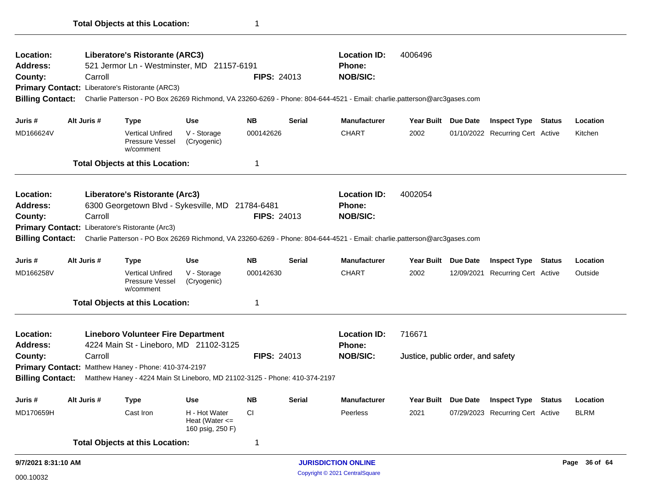| <b>Location:</b>        |             | Liberatore's Ristorante (ARC3)                                             |                                                         |                    |               | <b>Location ID:</b>                                                                                                                      | 4006496                           |                                         |               |
|-------------------------|-------------|----------------------------------------------------------------------------|---------------------------------------------------------|--------------------|---------------|------------------------------------------------------------------------------------------------------------------------------------------|-----------------------------------|-----------------------------------------|---------------|
| Address:                |             | 521 Jermor Ln - Westminster, MD 21157-6191                                 |                                                         |                    |               | <b>Phone:</b>                                                                                                                            |                                   |                                         |               |
| County:                 | Carroll     |                                                                            |                                                         | <b>FIPS: 24013</b> |               | <b>NOB/SIC:</b>                                                                                                                          |                                   |                                         |               |
|                         |             | Primary Contact: Liberatore's Ristorante (ARC3)                            |                                                         |                    |               |                                                                                                                                          |                                   |                                         |               |
| <b>Billing Contact:</b> |             |                                                                            |                                                         |                    |               | Charlie Patterson - PO Box 26269 Richmond, VA 23260-6269 - Phone: 804-644-4521 - Email: charlie.patterson@arc3gases.com                  |                                   |                                         |               |
| Juris #                 | Alt Juris # | Type                                                                       | <b>Use</b>                                              | NB.                | Serial        | <b>Manufacturer</b>                                                                                                                      | Year Built Due Date               | <b>Inspect Type Status</b>              | Location      |
| MD166624V               |             | <b>Vertical Unfired</b><br>Pressure Vessel<br>w/comment                    | V - Storage<br>(Cryogenic)                              | 000142626          |               | <b>CHART</b>                                                                                                                             | 2002                              | 01/10/2022 Recurring Cert Active        | Kitchen       |
|                         |             | <b>Total Objects at this Location:</b>                                     |                                                         | 1                  |               |                                                                                                                                          |                                   |                                         |               |
| Location:               |             | Liberatore's Ristorante (Arc3)                                             |                                                         |                    |               | <b>Location ID:</b>                                                                                                                      | 4002054                           |                                         |               |
| Address:                |             | 6300 Georgetown Blvd - Sykesville, MD 21784-6481                           |                                                         |                    |               | <b>Phone:</b>                                                                                                                            |                                   |                                         |               |
| County:                 | Carroll     |                                                                            |                                                         | <b>FIPS: 24013</b> |               | <b>NOB/SIC:</b>                                                                                                                          |                                   |                                         |               |
|                         |             | Primary Contact: Liberatore's Ristorante (Arc3)                            |                                                         |                    |               |                                                                                                                                          |                                   |                                         |               |
|                         |             |                                                                            |                                                         |                    |               | Billing Contact: Charlie Patterson - PO Box 26269 Richmond, VA 23260-6269 - Phone: 804-644-4521 - Email: charlie.patterson@arc3gases.com |                                   |                                         |               |
| Juris #                 | Alt Juris # | <b>Type</b>                                                                | Use                                                     | NB.                | Serial        | <b>Manufacturer</b>                                                                                                                      | Year Built Due Date               | <b>Inspect Type Status</b>              | Location      |
| MD166258V               |             | <b>Vertical Unfired</b><br><b>Pressure Vessel</b><br>w/comment             | V - Storage<br>(Cryogenic)                              | 000142630          |               | <b>CHART</b>                                                                                                                             | 2002                              | 12/09/2021 Recurring Cert Active        | Outside       |
|                         |             | <b>Total Objects at this Location:</b>                                     |                                                         | 1                  |               |                                                                                                                                          |                                   |                                         |               |
| <b>Location:</b>        |             | <b>Lineboro Volunteer Fire Department</b>                                  |                                                         |                    |               | <b>Location ID:</b>                                                                                                                      | 716671                            |                                         |               |
| Address:                |             | 4224 Main St - Lineboro, MD 21102-3125                                     |                                                         |                    |               | Phone:                                                                                                                                   |                                   |                                         |               |
| County:                 | Carroll     |                                                                            |                                                         | <b>FIPS: 24013</b> |               | <b>NOB/SIC:</b>                                                                                                                          | Justice, public order, and safety |                                         |               |
|                         |             | Primary Contact: Matthew Haney - Phone: 410-374-2197                       |                                                         |                    |               |                                                                                                                                          |                                   |                                         |               |
| <b>Billing Contact:</b> |             | Matthew Haney - 4224 Main St Lineboro, MD 21102-3125 - Phone: 410-374-2197 |                                                         |                    |               |                                                                                                                                          |                                   |                                         |               |
| Juris #                 | Alt Juris # | <b>Type</b>                                                                | <b>Use</b>                                              | <b>NB</b>          | <b>Serial</b> | <b>Manufacturer</b>                                                                                                                      |                                   | Year Built Due Date Inspect Type Status | Location      |
| MD170659H               |             | Cast Iron                                                                  | H - Hot Water<br>Heat (Water $\leq$<br>160 psig, 250 F) | <b>CI</b>          |               | Peerless                                                                                                                                 | 2021                              | 07/29/2023 Recurring Cert Active        | <b>BLRM</b>   |
|                         |             | <b>Total Objects at this Location:</b>                                     |                                                         | $\mathbf{1}$       |               |                                                                                                                                          |                                   |                                         |               |
| 9/7/2021 8:31:10 AM     |             |                                                                            |                                                         |                    |               | <b>JURISDICTION ONLINE</b>                                                                                                               |                                   |                                         | Page 36 of 64 |

 $\overline{\phantom{0}}$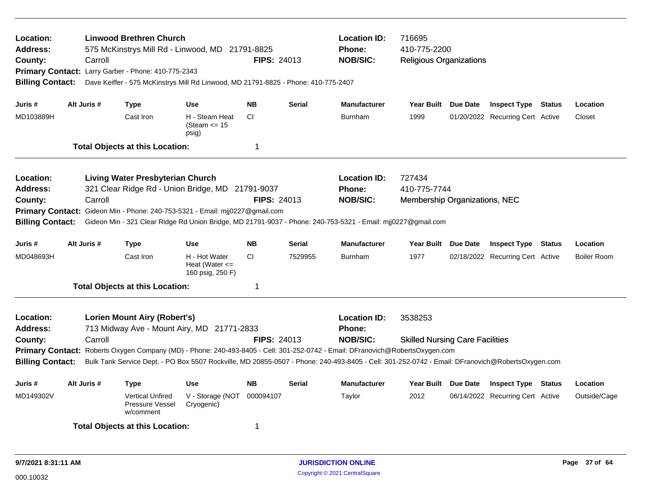| Location:<br>Address:<br>County:<br><b>Billing Contact:</b>        | Carroll     | <b>Linwood Brethren Church</b><br>Primary Contact: Larry Garber - Phone: 410-775-2343 | 575 McKinstrys Mill Rd - Linwood, MD 21791-8825<br>Dave Keiffer - 575 McKinstrys Mill Rd Linwood, MD 21791-8825 - Phone: 410-775-2407 | <b>FIPS: 24013</b> |               | <b>Location ID:</b><br><b>Phone:</b><br><b>NOB/SIC:</b>                                                                                                                                                                                                                                                                              | 716695<br>410-775-2200<br><b>Religious Organizations</b> |                                  |                    |
|--------------------------------------------------------------------|-------------|---------------------------------------------------------------------------------------|---------------------------------------------------------------------------------------------------------------------------------------|--------------------|---------------|--------------------------------------------------------------------------------------------------------------------------------------------------------------------------------------------------------------------------------------------------------------------------------------------------------------------------------------|----------------------------------------------------------|----------------------------------|--------------------|
| Juris #                                                            | Alt Juris # | <b>Type</b>                                                                           | <b>Use</b>                                                                                                                            | <b>NB</b>          | <b>Serial</b> | <b>Manufacturer</b>                                                                                                                                                                                                                                                                                                                  | Year Built Due Date                                      | <b>Inspect Type Status</b>       | Location           |
| MD103889H                                                          |             | Cast Iron                                                                             | H - Steam Heat<br>(Steam $\le$ 15<br>psig)                                                                                            | CI.                |               | <b>Burnham</b>                                                                                                                                                                                                                                                                                                                       | 1999                                                     | 01/20/2022 Recurring Cert Active | Closet             |
|                                                                    |             | <b>Total Objects at this Location:</b>                                                |                                                                                                                                       | 1                  |               |                                                                                                                                                                                                                                                                                                                                      |                                                          |                                  |                    |
| Location:<br>Address:<br>County:                                   | Carroll     | <b>Living Water Presbyterian Church</b>                                               | 321 Clear Ridge Rd - Union Bridge, MD 21791-9037                                                                                      | <b>FIPS: 24013</b> |               | <b>Location ID:</b><br><b>Phone:</b><br><b>NOB/SIC:</b>                                                                                                                                                                                                                                                                              | 727434<br>410-775-7744<br>Membership Organizations, NEC  |                                  |                    |
| <b>Billing Contact:</b>                                            |             |                                                                                       | Primary Contact: Gideon Min - Phone: 240-753-5321 - Email: mjj0227@gmail.com                                                          |                    |               | Gideon Min - 321 Clear Ridge Rd Union Bridge, MD 21791-9037 - Phone: 240-753-5321 - Email: mij0227@gmail.com                                                                                                                                                                                                                         |                                                          |                                  |                    |
| Juris#                                                             | Alt Juris # | <b>Type</b>                                                                           | <b>Use</b>                                                                                                                            | <b>NB</b>          | <b>Serial</b> | <b>Manufacturer</b>                                                                                                                                                                                                                                                                                                                  | Year Built Due Date                                      | <b>Inspect Type Status</b>       | Location           |
| MD048693H                                                          |             | Cast Iron                                                                             | H - Hot Water<br>Heat (Water $\leq$<br>160 psig, 250 F)                                                                               | CI.                | 7529955       | <b>Burnham</b>                                                                                                                                                                                                                                                                                                                       | 1977                                                     | 02/18/2022 Recurring Cert Active | <b>Boiler Room</b> |
|                                                                    |             | <b>Total Objects at this Location:</b>                                                |                                                                                                                                       | 1                  |               |                                                                                                                                                                                                                                                                                                                                      |                                                          |                                  |                    |
| Location:<br><b>Address:</b><br>County:<br><b>Billing Contact:</b> | Carroll     | <b>Lorien Mount Airy (Robert's)</b>                                                   | 713 Midway Ave - Mount Airy, MD 21771-2833                                                                                            | <b>FIPS: 24013</b> |               | <b>Location ID:</b><br>Phone:<br><b>NOB/SIC:</b><br>Primary Contact: Roberts Oxygen Company (MD) - Phone: 240-493-8405 - Cell: 301-252-0742 - Email: DFranovich@RobertsOxygen.com<br>Bulk Tank Service Dept. - PO Box 5507 Rockville, MD 20855-0507 - Phone: 240-493-8405 - Cell: 301-252-0742 - Email: DFranovich@RobertsOxygen.com | 3538253<br><b>Skilled Nursing Care Facilities</b>        |                                  |                    |
| Juris #                                                            | Alt Juris # | Type                                                                                  | <b>Use</b>                                                                                                                            | <b>NB</b>          | <b>Serial</b> | <b>Manufacturer</b>                                                                                                                                                                                                                                                                                                                  | Year Built Due Date                                      | <b>Inspect Type Status</b>       | Location           |
| MD149302V                                                          |             | <b>Vertical Unfired</b><br>Pressure Vessel<br>w/comment                               | V - Storage (NOT<br>Cryogenic)                                                                                                        | 000094107          |               | Taylor                                                                                                                                                                                                                                                                                                                               | 2012                                                     | 06/14/2022 Recurring Cert Active | Outside/Cage       |
|                                                                    |             | <b>Total Objects at this Location:</b>                                                |                                                                                                                                       | 1                  |               |                                                                                                                                                                                                                                                                                                                                      |                                                          |                                  |                    |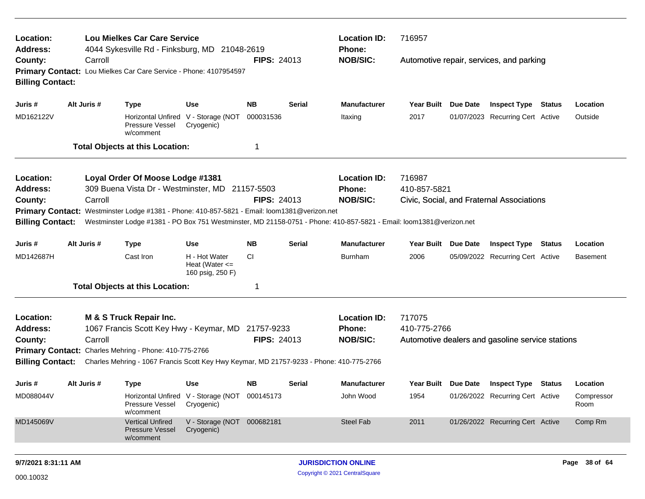| Location:<br>Address:<br>County:<br>Primary Contact: Lou Mielkes Car Care Service - Phone: 4107954597 |  |             | <b>Lou Mielkes Car Care Service</b><br>4044 Sykesville Rd - Finksburg, MD 21048-2619                                                                                                                                |                                                             |                    |               | <b>Location ID:</b><br><b>Phone:</b>             | 716957                 |          |                                                  |        |                    |
|-------------------------------------------------------------------------------------------------------|--|-------------|---------------------------------------------------------------------------------------------------------------------------------------------------------------------------------------------------------------------|-------------------------------------------------------------|--------------------|---------------|--------------------------------------------------|------------------------|----------|--------------------------------------------------|--------|--------------------|
| <b>Billing Contact:</b>                                                                               |  | Carroll     |                                                                                                                                                                                                                     |                                                             | <b>FIPS: 24013</b> |               | <b>NOB/SIC:</b>                                  |                        |          | Automotive repair, services, and parking         |        |                    |
| Juris #                                                                                               |  | Alt Juris # | <b>Type</b>                                                                                                                                                                                                         | <b>Use</b>                                                  | <b>NB</b>          | Serial        | <b>Manufacturer</b>                              | Year Built Due Date    |          | <b>Inspect Type Status</b>                       |        | Location           |
| MD162122V                                                                                             |  |             | Horizontal Unfired V - Storage (NOT<br>Pressure Vessel<br>w/comment                                                                                                                                                 | Cryogenic)                                                  | 000031536          |               | Itaxing                                          | 2017                   |          | 01/07/2023 Recurring Cert Active                 |        | Outside            |
|                                                                                                       |  |             | <b>Total Objects at this Location:</b>                                                                                                                                                                              |                                                             | -1                 |               |                                                  |                        |          |                                                  |        |                    |
| Location:                                                                                             |  |             | Loyal Order Of Moose Lodge #1381                                                                                                                                                                                    |                                                             |                    |               | <b>Location ID:</b>                              | 716987                 |          |                                                  |        |                    |
| Address:                                                                                              |  |             | 309 Buena Vista Dr - Westminster, MD 21157-5503                                                                                                                                                                     |                                                             |                    |               | Phone:                                           | 410-857-5821           |          |                                                  |        |                    |
| County:                                                                                               |  | Carroll     |                                                                                                                                                                                                                     |                                                             | <b>FIPS: 24013</b> |               | <b>NOB/SIC:</b>                                  |                        |          | Civic, Social, and Fraternal Associations        |        |                    |
| <b>Billing Contact:</b>                                                                               |  |             | Primary Contact: Westminster Lodge #1381 - Phone: 410-857-5821 - Email: loom1381@verizon.net<br>Westminster Lodge #1381 - PO Box 751 Westminster, MD 21158-0751 - Phone: 410-857-5821 - Email: loom1381@verizon.net |                                                             |                    |               |                                                  |                        |          |                                                  |        |                    |
| Juris #                                                                                               |  | Alt Juris # | <b>Type</b>                                                                                                                                                                                                         | Use                                                         | <b>NB</b>          | <b>Serial</b> | <b>Manufacturer</b>                              | <b>Year Built</b>      | Due Date | <b>Inspect Type</b>                              | Status | Location           |
| MD142687H                                                                                             |  |             | Cast Iron                                                                                                                                                                                                           | H - Hot Water<br>Heat (Water $\leq$<br>160 psig, 250 F)     | <b>CI</b>          |               | <b>Burnham</b>                                   | 2006                   |          | 05/09/2022 Recurring Cert Active                 |        | <b>Basement</b>    |
|                                                                                                       |  |             | <b>Total Objects at this Location:</b>                                                                                                                                                                              |                                                             | -1                 |               |                                                  |                        |          |                                                  |        |                    |
| Location:<br><b>Address:</b><br>County:                                                               |  | Carroll     | M & S Truck Repair Inc.<br>1067 Francis Scott Key Hwy - Keymar, MD 21757-9233                                                                                                                                       |                                                             | <b>FIPS: 24013</b> |               | <b>Location ID:</b><br>Phone:<br><b>NOB/SIC:</b> | 717075<br>410-775-2766 |          | Automotive dealers and gasoline service stations |        |                    |
|                                                                                                       |  |             | Primary Contact: Charles Mehring - Phone: 410-775-2766                                                                                                                                                              |                                                             |                    |               |                                                  |                        |          |                                                  |        |                    |
| <b>Billing Contact:</b>                                                                               |  |             | Charles Mehring - 1067 Francis Scott Key Hwy Keymar, MD 21757-9233 - Phone: 410-775-2766                                                                                                                            |                                                             |                    |               |                                                  |                        |          |                                                  |        |                    |
| Juris #                                                                                               |  | Alt Juris # | <b>Type</b>                                                                                                                                                                                                         | Use                                                         | <b>NB</b>          | Serial        | <b>Manufacturer</b>                              | Year Built Due Date    |          | <b>Inspect Type Status</b>                       |        | Location           |
| MD088044V                                                                                             |  |             | Pressure Vessel<br>w/comment                                                                                                                                                                                        | Horizontal Unfired V - Storage (NOT 000145173<br>Cryogenic) |                    |               | John Wood                                        | 1954                   |          | 01/26/2022 Recurring Cert Active                 |        | Compressor<br>Room |
| MD145069V                                                                                             |  |             | <b>Vertical Unfired</b><br>Pressure Vessel<br>w/comment                                                                                                                                                             | V - Storage (NOT 000682181<br>Cryogenic)                    |                    |               | Steel Fab                                        | 2011                   |          | 01/26/2022 Recurring Cert Active                 |        | Comp Rm            |
|                                                                                                       |  |             |                                                                                                                                                                                                                     |                                                             |                    |               |                                                  |                        |          |                                                  |        |                    |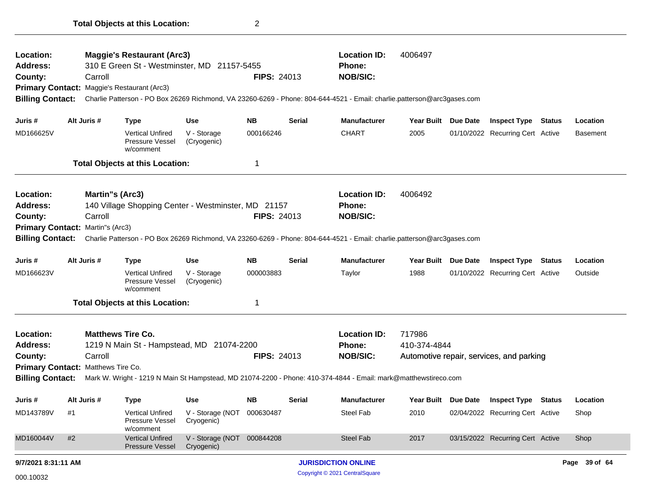| Location:<br>Address:              |    |                        | <b>Maggie's Restaurant (Arc3)</b>                       |                                          |                    |               | <b>Location ID:</b>                                                                                                     | 4006497             |                                          |               |
|------------------------------------|----|------------------------|---------------------------------------------------------|------------------------------------------|--------------------|---------------|-------------------------------------------------------------------------------------------------------------------------|---------------------|------------------------------------------|---------------|
|                                    |    |                        | 310 E Green St - Westminster, MD 21157-5455             |                                          |                    |               | <b>Phone:</b>                                                                                                           |                     |                                          |               |
| County:                            |    | Carroll                |                                                         |                                          | <b>FIPS: 24013</b> |               | <b>NOB/SIC:</b>                                                                                                         |                     |                                          |               |
|                                    |    |                        | Primary Contact: Maggie's Restaurant (Arc3)             |                                          |                    |               |                                                                                                                         |                     |                                          |               |
| <b>Billing Contact:</b>            |    |                        |                                                         |                                          |                    |               | Charlie Patterson - PO Box 26269 Richmond, VA 23260-6269 - Phone: 804-644-4521 - Email: charlie.patterson@arc3gases.com |                     |                                          |               |
| Juris #                            |    | Alt Juris #            | Type                                                    | <b>Use</b>                               | <b>NB</b>          | <b>Serial</b> | <b>Manufacturer</b>                                                                                                     | Year Built Due Date | <b>Inspect Type Status</b>               | Location      |
| MD166625V                          |    |                        | <b>Vertical Unfired</b><br>Pressure Vessel<br>w/comment | V - Storage<br>(Cryogenic)               | 000166246          |               | <b>CHART</b>                                                                                                            | 2005                | 01/10/2022 Recurring Cert Active         | Basement      |
|                                    |    |                        | <b>Total Objects at this Location:</b>                  |                                          | 1                  |               |                                                                                                                         |                     |                                          |               |
| Location:                          |    | <b>Martin's (Arc3)</b> |                                                         |                                          |                    |               | <b>Location ID:</b>                                                                                                     | 4006492             |                                          |               |
| <b>Address:</b>                    |    |                        | 140 Village Shopping Center - Westminster, MD 21157     |                                          |                    |               | <b>Phone:</b>                                                                                                           |                     |                                          |               |
| County:                            |    | Carroll                |                                                         |                                          | <b>FIPS: 24013</b> |               | <b>NOB/SIC:</b>                                                                                                         |                     |                                          |               |
| Primary Contact: Martin''s (Arc3)  |    |                        |                                                         |                                          |                    |               |                                                                                                                         |                     |                                          |               |
| <b>Billing Contact:</b>            |    |                        |                                                         |                                          |                    |               | Charlie Patterson - PO Box 26269 Richmond, VA 23260-6269 - Phone: 804-644-4521 - Email: charlie.patterson@arc3gases.com |                     |                                          |               |
| Juris #                            |    | Alt Juris #            | <b>Type</b>                                             | <b>Use</b>                               | <b>NB</b>          | <b>Serial</b> | <b>Manufacturer</b>                                                                                                     | Year Built Due Date | <b>Inspect Type Status</b>               | Location      |
| MD166623V                          |    |                        | <b>Vertical Unfired</b><br>Pressure Vessel<br>w/comment | V - Storage<br>(Cryogenic)               | 000003883          |               | Taylor                                                                                                                  | 1988                | 01/10/2022 Recurring Cert Active         | Outside       |
|                                    |    |                        | <b>Total Objects at this Location:</b>                  |                                          | 1                  |               |                                                                                                                         |                     |                                          |               |
| Location:                          |    |                        | <b>Matthews Tire Co.</b>                                |                                          |                    |               | <b>Location ID:</b>                                                                                                     | 717986              |                                          |               |
| <b>Address:</b>                    |    |                        | 1219 N Main St - Hampstead, MD 21074-2200               |                                          |                    |               | <b>Phone:</b>                                                                                                           | 410-374-4844        |                                          |               |
| County:                            |    | Carroll                |                                                         |                                          | <b>FIPS: 24013</b> |               | <b>NOB/SIC:</b>                                                                                                         |                     | Automotive repair, services, and parking |               |
| Primary Contact: Matthews Tire Co. |    |                        |                                                         |                                          |                    |               |                                                                                                                         |                     |                                          |               |
| <b>Billing Contact:</b>            |    |                        |                                                         |                                          |                    |               | Mark W. Wright - 1219 N Main St Hampstead, MD 21074-2200 - Phone: 410-374-4844 - Email: mark@matthewstireco.com         |                     |                                          |               |
| Juris #                            |    | Alt Juris #            | <b>Type</b>                                             | <b>Use</b>                               | NΒ                 | Serial        | <b>Manufacturer</b>                                                                                                     | Year Built Due Date | <b>Inspect Type Status</b>               | Location      |
| MD143789V                          | #1 |                        | <b>Vertical Unfired</b><br>Pressure Vessel<br>w/comment | V - Storage (NOT 000630487<br>Cryogenic) |                    |               | Steel Fab                                                                                                               | 2010                | 02/04/2022 Recurring Cert Active         | Shop          |
| MD160044V                          | #2 |                        | <b>Vertical Unfired</b><br>Pressure Vessel              | V - Storage (NOT 000844208<br>Cryogenic) |                    |               | Steel Fab                                                                                                               | 2017                | 03/15/2022 Recurring Cert Active         | Shop          |
| 9/7/2021 8:31:11 AM                |    |                        |                                                         |                                          |                    |               | <b>JURISDICTION ONLINE</b>                                                                                              |                     |                                          | Page 39 of 64 |
| 000.10032                          |    |                        |                                                         |                                          |                    |               | Copyright © 2021 CentralSquare                                                                                          |                     |                                          |               |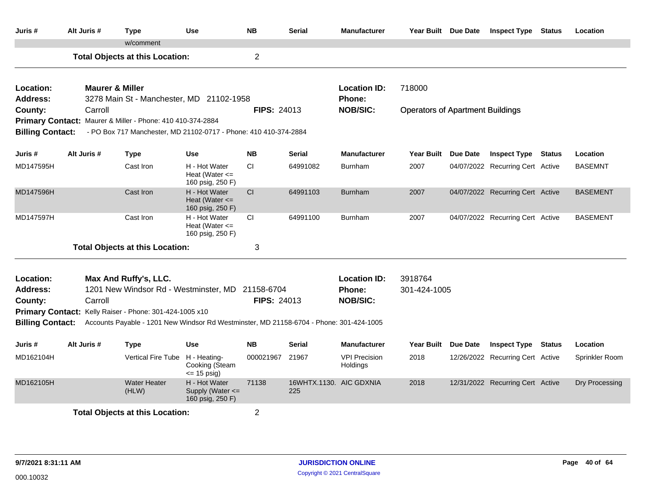| Juris #                      | Alt Juris #                | <b>Type</b>                                                                             | <b>Use</b>                                              | <b>NB</b>          | <b>Serial</b>                  | <b>Manufacturer</b>              | Year Built Due Date                     |          | <b>Inspect Type Status</b>       |               | Location        |
|------------------------------|----------------------------|-----------------------------------------------------------------------------------------|---------------------------------------------------------|--------------------|--------------------------------|----------------------------------|-----------------------------------------|----------|----------------------------------|---------------|-----------------|
|                              |                            | w/comment                                                                               |                                                         |                    |                                |                                  |                                         |          |                                  |               |                 |
|                              |                            | <b>Total Objects at this Location:</b>                                                  |                                                         | $\overline{2}$     |                                |                                  |                                         |          |                                  |               |                 |
| Location:<br><b>Address:</b> | <b>Maurer &amp; Miller</b> | 3278 Main St - Manchester, MD 21102-1958                                                |                                                         |                    |                                | <b>Location ID:</b><br>Phone:    | 718000                                  |          |                                  |               |                 |
| County:                      | Carroll                    |                                                                                         |                                                         | <b>FIPS: 24013</b> |                                | <b>NOB/SIC:</b>                  | <b>Operators of Apartment Buildings</b> |          |                                  |               |                 |
|                              |                            | Primary Contact: Maurer & Miller - Phone: 410 410-374-2884                              |                                                         |                    |                                |                                  |                                         |          |                                  |               |                 |
| <b>Billing Contact:</b>      |                            | - PO Box 717 Manchester, MD 21102-0717 - Phone: 410 410-374-2884                        |                                                         |                    |                                |                                  |                                         |          |                                  |               |                 |
| Juris #                      | Alt Juris #                | <b>Type</b>                                                                             | <b>Use</b>                                              | <b>NB</b>          | Serial                         | <b>Manufacturer</b>              | <b>Year Built</b>                       | Due Date | <b>Inspect Type</b>              | <b>Status</b> | Location        |
| MD147595H                    |                            | Cast Iron                                                                               | H - Hot Water<br>Heat (Water $\leq$<br>160 psig, 250 F) | <b>CI</b>          | 64991082                       | <b>Burnham</b>                   | 2007                                    |          | 04/07/2022 Recurring Cert Active |               | <b>BASEMNT</b>  |
| MD147596H                    |                            | Cast Iron                                                                               | H - Hot Water<br>Heat (Water $\leq$<br>160 psig, 250 F) | CI                 | 64991103                       | <b>Burnham</b>                   | 2007                                    |          | 04/07/2022 Recurring Cert Active |               | <b>BASEMENT</b> |
| MD147597H                    |                            | Cast Iron                                                                               | H - Hot Water<br>Heat (Water $\leq$<br>160 psig, 250 F) | <b>CI</b>          | 64991100                       | <b>Burnham</b>                   | 2007                                    |          | 04/07/2022 Recurring Cert Active |               | <b>BASEMENT</b> |
|                              |                            | <b>Total Objects at this Location:</b>                                                  |                                                         | 3                  |                                |                                  |                                         |          |                                  |               |                 |
| Location:                    |                            | Max And Ruffy's, LLC.                                                                   |                                                         |                    |                                | <b>Location ID:</b>              | 3918764                                 |          |                                  |               |                 |
| <b>Address:</b>              |                            | 1201 New Windsor Rd - Westminster, MD                                                   |                                                         | 21158-6704         |                                | <b>Phone:</b>                    | 301-424-1005                            |          |                                  |               |                 |
| County:                      | Carroll                    |                                                                                         |                                                         | <b>FIPS: 24013</b> |                                | <b>NOB/SIC:</b>                  |                                         |          |                                  |               |                 |
|                              |                            | Primary Contact: Kelly Raiser - Phone: 301-424-1005 x10                                 |                                                         |                    |                                |                                  |                                         |          |                                  |               |                 |
| <b>Billing Contact:</b>      |                            | Accounts Payable - 1201 New Windsor Rd Westminster, MD 21158-6704 - Phone: 301-424-1005 |                                                         |                    |                                |                                  |                                         |          |                                  |               |                 |
| Juris #                      | Alt Juris #                | <b>Type</b>                                                                             | <b>Use</b>                                              | <b>NB</b>          | <b>Serial</b>                  | <b>Manufacturer</b>              | Year Built Due Date                     |          | <b>Inspect Type Status</b>       |               | Location        |
| MD162104H                    |                            | Vertical Fire Tube H - Heating-                                                         | Cooking (Steam<br>$\leq$ 15 psig)                       | 000021967          | 21967                          | <b>VPI Precision</b><br>Holdings | 2018                                    |          | 12/26/2022 Recurring Cert Active |               | Sprinkler Room  |
| MD162105H                    |                            | <b>Water Heater</b><br>(HLW)                                                            | H - Hot Water<br>Supply (Water <=<br>160 psig, 250 F)   | 71138              | 16WHTX.1130. AIC GDXNIA<br>225 |                                  | 2018                                    |          | 12/31/2022 Recurring Cert Active |               | Dry Processing  |
|                              |                            | <b>Total Objects at this Location:</b>                                                  |                                                         | 2                  |                                |                                  |                                         |          |                                  |               |                 |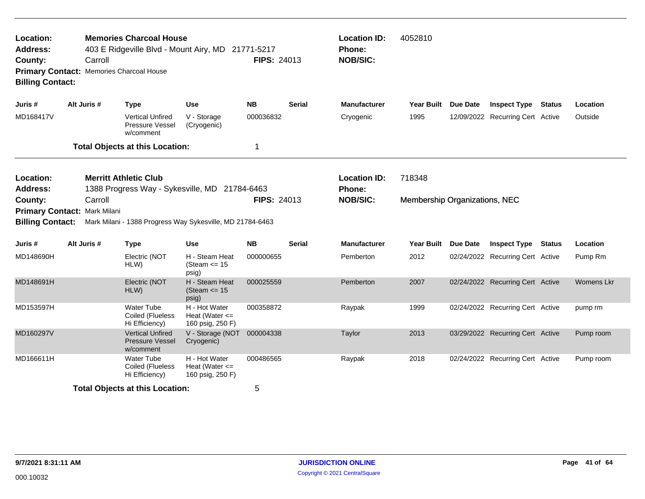| Location:<br><b>Address:</b><br>County:<br>Primary Contact: Memories Charcoal House<br><b>Billing Contact:</b> |             | Carroll | <b>Memories Charcoal House</b>                                                            | 403 E Ridgeville Blvd - Mount Airy, MD 21771-5217                                                          | <b>FIPS: 24013</b> |               | <b>Location ID:</b><br>Phone:<br><b>NOB/SIC:</b>        | 4052810                                 |                 |                                  |            |
|----------------------------------------------------------------------------------------------------------------|-------------|---------|-------------------------------------------------------------------------------------------|------------------------------------------------------------------------------------------------------------|--------------------|---------------|---------------------------------------------------------|-----------------------------------------|-----------------|----------------------------------|------------|
| Juris #                                                                                                        | Alt Juris # |         | <b>Type</b>                                                                               | <b>Use</b>                                                                                                 | <b>NB</b>          | <b>Serial</b> | <b>Manufacturer</b>                                     | <b>Year Built</b>                       | <b>Due Date</b> | <b>Inspect Type Status</b>       | Location   |
| MD168417V                                                                                                      |             |         | <b>Vertical Unfired</b><br>Pressure Vessel<br>w/comment                                   | V - Storage<br>(Cryogenic)                                                                                 | 000036832          |               | Cryogenic                                               | 1995                                    |                 | 12/09/2022 Recurring Cert Active | Outside    |
|                                                                                                                |             |         | <b>Total Objects at this Location:</b>                                                    |                                                                                                            | -1                 |               |                                                         |                                         |                 |                                  |            |
| Location:<br><b>Address:</b><br>County:<br>Primary Contact: Mark Milani<br><b>Billing Contact:</b>             |             | Carroll | <b>Merritt Athletic Club</b>                                                              | 1388 Progress Way - Sykesville, MD 21784-6463<br>Mark Milani - 1388 Progress Way Sykesville, MD 21784-6463 | <b>FIPS: 24013</b> |               | <b>Location ID:</b><br><b>Phone:</b><br><b>NOB/SIC:</b> | 718348<br>Membership Organizations, NEC |                 |                                  |            |
| Juris #                                                                                                        | Alt Juris # |         | <b>Type</b>                                                                               | <b>Use</b>                                                                                                 | <b>NB</b>          | <b>Serial</b> | <b>Manufacturer</b>                                     | Year Built Due Date                     |                 | <b>Inspect Type Status</b>       | Location   |
| MD148690H                                                                                                      |             |         | Electric (NOT<br>HLW)                                                                     | H - Steam Heat<br>(Steam $\le$ 15<br>psig)                                                                 | 000000655          |               | Pemberton                                               | 2012                                    |                 | 02/24/2022 Recurring Cert Active | Pump Rm    |
| MD148691H                                                                                                      |             |         | Electric (NOT<br>HLW)                                                                     | H - Steam Heat<br>(Steam $\le$ 15<br>psig)                                                                 | 000025559          |               | Pemberton                                               | 2007                                    |                 | 02/24/2022 Recurring Cert Active | Womens Lkr |
| MD153597H                                                                                                      |             |         | Water Tube<br>Coiled (Flueless<br>Hi Efficiency)                                          | H - Hot Water<br>Heat (Water $\leq$<br>160 psig, 250 F)                                                    | 000358872          |               | Raypak                                                  | 1999                                    |                 | 02/24/2022 Recurring Cert Active | pump rm    |
| MD160297V                                                                                                      |             |         | <b>Vertical Unfired</b><br><b>Pressure Vessel</b><br>w/comment                            | V - Storage (NOT<br>Cryogenic)                                                                             | 000004338          |               | Taylor                                                  | 2013                                    |                 | 03/29/2022 Recurring Cert Active | Pump room  |
| MD166611H                                                                                                      |             |         | <b>Water Tube</b><br>Coiled (Flueless<br>Hi Efficiency)<br>Total Ohioata at this Location | H - Hot Water<br>Heat (Water $\leq$<br>160 psig, 250 F)                                                    | 000486565          |               | Raypak                                                  | 2018                                    |                 | 02/24/2022 Recurring Cert Active | Pump room  |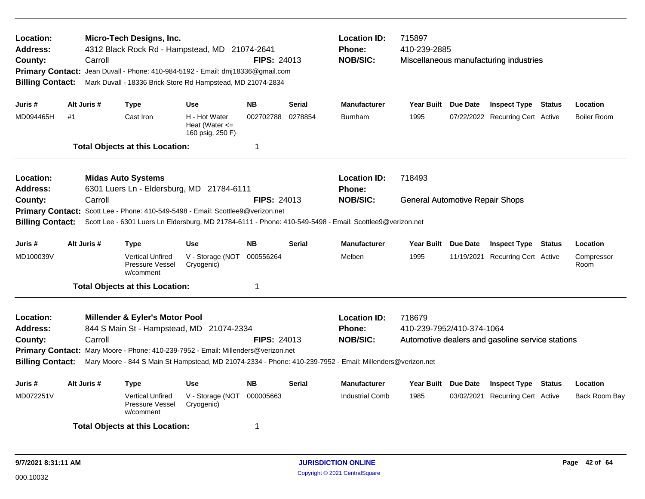| Location:<br><b>Address:</b><br>County:<br><b>Primary Contact:</b><br><b>Billing Contact:</b> |    | Carroll     | Micro-Tech Designs, Inc.<br>4312 Black Rock Rd - Hampstead, MD 21074-2641<br>Jean Duvall - Phone: 410-984-5192 - Email: dmj18336@gmail.com<br>Mark Duvall - 18336 Brick Store Rd Hampstead, MD 21074-2834 |                                                         | FIPS: 24013        |               | <b>Location ID:</b><br><b>Phone:</b><br><b>NOB/SIC:</b>                                                                                                              | 715897<br>410-239-2885<br>Miscellaneous manufacturing industries |  |                                                  |  |                    |  |
|-----------------------------------------------------------------------------------------------|----|-------------|-----------------------------------------------------------------------------------------------------------------------------------------------------------------------------------------------------------|---------------------------------------------------------|--------------------|---------------|----------------------------------------------------------------------------------------------------------------------------------------------------------------------|------------------------------------------------------------------|--|--------------------------------------------------|--|--------------------|--|
| Juris #                                                                                       |    | Alt Juris # | <b>Type</b>                                                                                                                                                                                               | Use                                                     | <b>NB</b>          | <b>Serial</b> | <b>Manufacturer</b>                                                                                                                                                  | Year Built Due Date                                              |  | <b>Inspect Type Status</b>                       |  | Location           |  |
| MD094465H                                                                                     | #1 |             | Cast Iron                                                                                                                                                                                                 | H - Hot Water<br>Heat (Water $\leq$<br>160 psig, 250 F) | 002702788          | 0278854       | <b>Burnham</b>                                                                                                                                                       | 1995                                                             |  | 07/22/2022 Recurring Cert Active                 |  | <b>Boiler Room</b> |  |
|                                                                                               |    |             | <b>Total Objects at this Location:</b>                                                                                                                                                                    |                                                         | $\mathbf 1$        |               |                                                                                                                                                                      |                                                                  |  |                                                  |  |                    |  |
| Location:<br><b>Address:</b>                                                                  |    |             | <b>Midas Auto Systems</b><br>6301 Luers Ln - Eldersburg, MD 21784-6111                                                                                                                                    |                                                         |                    |               | <b>Location ID:</b><br><b>Phone:</b>                                                                                                                                 | 718493                                                           |  |                                                  |  |                    |  |
| County:<br><b>Primary Contact:</b><br><b>Billing Contact:</b>                                 |    | Carroll     | Scott Lee - Phone: 410-549-5498 - Email: Scottlee9@verizon.net                                                                                                                                            |                                                         | <b>FIPS: 24013</b> |               | <b>NOB/SIC:</b><br>Scott Lee - 6301 Luers Ln Eldersburg, MD 21784-6111 - Phone: 410-549-5498 - Email: Scottlee9@verizon.net                                          | <b>General Automotive Repair Shops</b>                           |  |                                                  |  |                    |  |
| Juris #                                                                                       |    | Alt Juris # | <b>Type</b>                                                                                                                                                                                               | <b>Use</b>                                              | <b>NB</b>          | <b>Serial</b> | <b>Manufacturer</b>                                                                                                                                                  | Year Built Due Date                                              |  | <b>Inspect Type Status</b>                       |  | Location           |  |
| MD100039V                                                                                     |    |             | <b>Vertical Unfired</b><br>Pressure Vessel<br>w/comment                                                                                                                                                   | V - Storage (NOT<br>Cryogenic)                          | 000556264          |               | Melben                                                                                                                                                               | 1995                                                             |  | 11/19/2021 Recurring Cert Active                 |  | Compressor<br>Room |  |
|                                                                                               |    |             | <b>Total Objects at this Location:</b>                                                                                                                                                                    |                                                         | $\mathbf 1$        |               |                                                                                                                                                                      |                                                                  |  |                                                  |  |                    |  |
| Location:<br><b>Address:</b><br>County:<br><b>Billing Contact:</b>                            |    | Carroll     | <b>Millender &amp; Eyler's Motor Pool</b><br>844 S Main St - Hampstead, MD 21074-2334<br>Primary Contact: Mary Moore - Phone: 410-239-7952 - Email: Millenders@verizon.net                                |                                                         | <b>FIPS: 24013</b> |               | <b>Location ID:</b><br><b>Phone:</b><br><b>NOB/SIC:</b><br>Mary Moore - 844 S Main St Hampstead, MD 21074-2334 - Phone: 410-239-7952 - Email: Millenders@verizon.net | 718679<br>410-239-7952/410-374-1064                              |  | Automotive dealers and gasoline service stations |  |                    |  |
| Juris #                                                                                       |    | Alt Juris # | <b>Type</b>                                                                                                                                                                                               | <b>Use</b>                                              | <b>NB</b>          | <b>Serial</b> | <b>Manufacturer</b>                                                                                                                                                  | Year Built Due Date                                              |  | <b>Inspect Type Status</b>                       |  | Location           |  |
| MD072251V                                                                                     |    |             | <b>Vertical Unfired</b><br><b>Pressure Vessel</b><br>w/comment                                                                                                                                            | V - Storage (NOT<br>Cryogenic)                          | 000005663          |               | <b>Industrial Comb</b>                                                                                                                                               | 1985                                                             |  | 03/02/2021 Recurring Cert Active                 |  | Back Room Bay      |  |
|                                                                                               |    |             | <b>Total Objects at this Location:</b>                                                                                                                                                                    |                                                         | -1                 |               |                                                                                                                                                                      |                                                                  |  |                                                  |  |                    |  |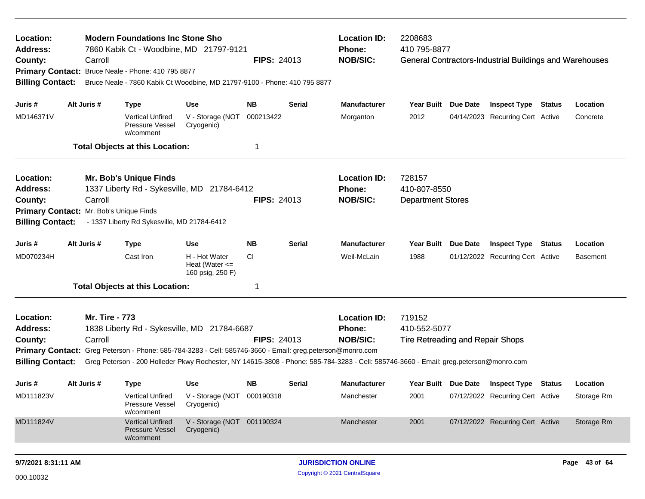| Location:<br><b>Address:</b><br>County:<br><b>Billing Contact:</b> | Carroll                                            | <b>Modern Foundations Inc Stone Sho</b><br>7860 Kabik Ct - Woodbine, MD 21797-9121<br>Primary Contact: Bruce Neale - Phone: 410 795 8877<br>Bruce Neale - 7860 Kabik Ct Woodbine, MD 21797-9100 - Phone: 410 795 8877                                                                             |                                                           | <b>FIPS: 24013</b> |        | <b>Location ID:</b><br>Phone:<br><b>NOB/SIC:</b> | 2208683<br>410 795-8877                                    | General Contractors-Industrial Buildings and Warehouses |                 |
|--------------------------------------------------------------------|----------------------------------------------------|---------------------------------------------------------------------------------------------------------------------------------------------------------------------------------------------------------------------------------------------------------------------------------------------------|-----------------------------------------------------------|--------------------|--------|--------------------------------------------------|------------------------------------------------------------|---------------------------------------------------------|-----------------|
| Juris #                                                            | Alt Juris #                                        | <b>Type</b>                                                                                                                                                                                                                                                                                       | Use                                                       | NΒ                 | Serial | <b>Manufacturer</b>                              | Year Built Due Date                                        | <b>Inspect Type Status</b>                              | Location        |
| MD146371V                                                          |                                                    | <b>Vertical Unfired</b><br>Pressure Vessel<br>w/comment                                                                                                                                                                                                                                           | V - Storage (NOT<br>Cryogenic)                            | 000213422          |        | Morganton                                        | 2012                                                       | 04/14/2023 Recurring Cert Active                        | Concrete        |
|                                                                    |                                                    | <b>Total Objects at this Location:</b>                                                                                                                                                                                                                                                            |                                                           |                    |        |                                                  |                                                            |                                                         |                 |
| Location:<br><b>Address:</b><br>County:<br><b>Billing Contact:</b> | Carroll<br>Primary Contact: Mr. Bob's Unique Finds | <b>Mr. Bob's Unique Finds</b><br>1337 Liberty Rd - Sykesville, MD 21784-6412<br>- 1337 Liberty Rd Sykesville, MD 21784-6412                                                                                                                                                                       |                                                           | <b>FIPS: 24013</b> |        | <b>Location ID:</b><br>Phone:<br><b>NOB/SIC:</b> | 728157<br>410-807-8550<br><b>Department Stores</b>         |                                                         |                 |
| Juris #                                                            | Alt Juris #                                        | <b>Type</b>                                                                                                                                                                                                                                                                                       | <b>Use</b>                                                | <b>NB</b>          | Serial | <b>Manufacturer</b>                              | Year Built Due Date                                        | <b>Inspect Type Status</b>                              | Location        |
| MD070234H                                                          |                                                    | Cast Iron                                                                                                                                                                                                                                                                                         | H - Hot Water<br>Heat (Water $\leq$<br>160 psig, 250 F)   | CI.                |        | Weil-McLain                                      | 1988                                                       | 01/12/2022 Recurring Cert Active                        | <b>Basement</b> |
|                                                                    |                                                    | <b>Total Objects at this Location:</b>                                                                                                                                                                                                                                                            |                                                           |                    |        |                                                  |                                                            |                                                         |                 |
| Location:<br><b>Address:</b><br>County:<br><b>Billing Contact:</b> | <b>Mr. Tire - 773</b><br>Carroll                   | 1838 Liberty Rd - Sykesville, MD 21784-6687<br>Primary Contact: Greg Peterson - Phone: 585-784-3283 - Cell: 585746-3660 - Email: greg.peterson@monro.com<br>Greg Peterson - 200 Holleder Pkwy Rochester, NY 14615-3808 - Phone: 585-784-3283 - Cell: 585746-3660 - Email: greg.peterson@monro.com |                                                           | <b>FIPS: 24013</b> |        | <b>Location ID:</b><br>Phone:<br><b>NOB/SIC:</b> | 719152<br>410-552-5077<br>Tire Retreading and Repair Shops |                                                         |                 |
| Juris #                                                            | Alt Juris #                                        | Type                                                                                                                                                                                                                                                                                              | <b>Use</b>                                                | NB.                | Serial | <b>Manufacturer</b>                              |                                                            | Year Built Due Date Inspect Type Status                 | Location        |
| MD111823V                                                          |                                                    | <b>Pressure Vessel</b><br>w/comment                                                                                                                                                                                                                                                               | Vertical Unfired V - Storage (NOT 000190318<br>Cryogenic) |                    |        | Manchester                                       | 2001                                                       | 07/12/2022 Recurring Cert Active                        | Storage Rm      |
| MD111824V                                                          |                                                    | <b>Vertical Unfired</b><br><b>Pressure Vessel</b><br>w/comment                                                                                                                                                                                                                                    | V - Storage (NOT 001190324<br>Cryogenic)                  |                    |        | Manchester                                       | 2001                                                       | 07/12/2022 Recurring Cert Active                        | Storage Rm      |
| 9/7/2021 8:31:11 AM                                                |                                                    |                                                                                                                                                                                                                                                                                                   |                                                           |                    |        | <b>JURISDICTION ONLINE</b>                       |                                                            |                                                         | Page 43 of 64   |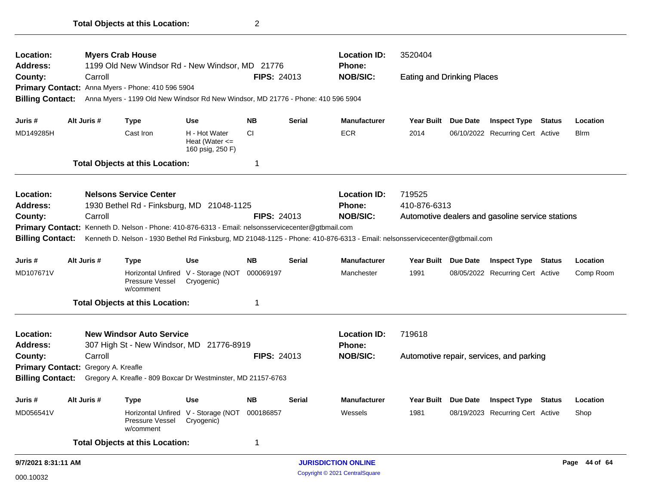| Location:                  |                                     | <b>Myers Crab House</b>                                                                              |                                                             |                    |               | <b>Location ID:</b>                                                                                                         | 3520404                           |          |                                                  |               |               |
|----------------------------|-------------------------------------|------------------------------------------------------------------------------------------------------|-------------------------------------------------------------|--------------------|---------------|-----------------------------------------------------------------------------------------------------------------------------|-----------------------------------|----------|--------------------------------------------------|---------------|---------------|
| <b>Address:</b><br>County: | Carroll                             | 1199 Old New Windsor Rd - New Windsor, MD 21776<br>Primary Contact: Anna Myers - Phone: 410 596 5904 |                                                             | <b>FIPS: 24013</b> |               | <b>Phone:</b><br><b>NOB/SIC:</b>                                                                                            | <b>Eating and Drinking Places</b> |          |                                                  |               |               |
| <b>Billing Contact:</b>    |                                     | Anna Myers - 1199 Old New Windsor Rd New Windsor, MD 21776 - Phone: 410 596 5904                     |                                                             |                    |               |                                                                                                                             |                                   |          |                                                  |               |               |
| Juris #                    | Alt Juris #                         | <b>Type</b>                                                                                          | <b>Use</b>                                                  | <b>NB</b>          | <b>Serial</b> | <b>Manufacturer</b>                                                                                                         | <b>Year Built</b>                 | Due Date | <b>Inspect Type</b>                              | <b>Status</b> | Location      |
| MD149285H                  |                                     | Cast Iron                                                                                            | H - Hot Water<br>Heat (Water $\leq$<br>160 psig, 250 F)     | <b>CI</b>          |               | <b>ECR</b>                                                                                                                  | 2014                              |          | 06/10/2022 Recurring Cert Active                 |               | <b>B</b> lrm  |
|                            |                                     | <b>Total Objects at this Location:</b>                                                               |                                                             | -1                 |               |                                                                                                                             |                                   |          |                                                  |               |               |
| Location:                  |                                     | <b>Nelsons Service Center</b>                                                                        |                                                             |                    |               | <b>Location ID:</b>                                                                                                         | 719525                            |          |                                                  |               |               |
| Address:                   |                                     | 1930 Bethel Rd - Finksburg, MD 21048-1125                                                            |                                                             |                    |               | <b>Phone:</b>                                                                                                               | 410-876-6313                      |          |                                                  |               |               |
| County:                    | Carroll                             |                                                                                                      |                                                             | <b>FIPS: 24013</b> |               | <b>NOB/SIC:</b>                                                                                                             |                                   |          | Automotive dealers and gasoline service stations |               |               |
|                            |                                     | Primary Contact: Kenneth D. Nelson - Phone: 410-876-6313 - Email: nelsonsservicecenter@gtbmail.com   |                                                             |                    |               |                                                                                                                             |                                   |          |                                                  |               |               |
| <b>Billing Contact:</b>    |                                     |                                                                                                      |                                                             |                    |               | Kenneth D. Nelson - 1930 Bethel Rd Finksburg, MD 21048-1125 - Phone: 410-876-6313 - Email: nelsonsservicecenter@gtbmail.com |                                   |          |                                                  |               |               |
| Juris #                    | Alt Juris #                         | <b>Type</b>                                                                                          | <b>Use</b>                                                  | <b>NB</b>          | <b>Serial</b> | <b>Manufacturer</b>                                                                                                         | Year Built Due Date               |          | <b>Inspect Type Status</b>                       |               | Location      |
| MD107671V                  |                                     | Pressure Vessel<br>w/comment                                                                         | Horizontal Unfired V - Storage (NOT<br>Cryogenic)           | 000069197          |               | Manchester                                                                                                                  | 1991                              |          | 08/05/2022 Recurring Cert Active                 |               | Comp Room     |
|                            |                                     | <b>Total Objects at this Location:</b>                                                               |                                                             | -1                 |               |                                                                                                                             |                                   |          |                                                  |               |               |
| Location:                  |                                     | <b>New Windsor Auto Service</b>                                                                      |                                                             |                    |               | <b>Location ID:</b>                                                                                                         | 719618                            |          |                                                  |               |               |
| <b>Address:</b>            |                                     | 307 High St - New Windsor, MD 21776-8919                                                             |                                                             |                    |               | Phone:                                                                                                                      |                                   |          |                                                  |               |               |
| County:                    | Carroll                             |                                                                                                      |                                                             | <b>FIPS: 24013</b> |               | <b>NOB/SIC:</b>                                                                                                             |                                   |          | Automotive repair, services, and parking         |               |               |
|                            | Primary Contact: Gregory A. Kreafle |                                                                                                      |                                                             |                    |               |                                                                                                                             |                                   |          |                                                  |               |               |
| <b>Billing Contact:</b>    |                                     | Gregory A. Kreafle - 809 Boxcar Dr Westminster, MD 21157-6763                                        |                                                             |                    |               |                                                                                                                             |                                   |          |                                                  |               |               |
| Juris #                    | Alt Juris #                         | <b>Type</b>                                                                                          | <b>Use</b>                                                  | <b>NB</b>          | Serial        | <b>Manufacturer</b>                                                                                                         | Year Built Due Date               |          | <b>Inspect Type Status</b>                       |               | Location      |
| MD056541V                  |                                     | Pressure Vessel<br>w/comment                                                                         | Horizontal Unfired V - Storage (NOT 000186857<br>Cryogenic) |                    |               | Wessels                                                                                                                     | 1981                              |          | 08/19/2023 Recurring Cert Active                 |               | Shop          |
|                            |                                     | <b>Total Objects at this Location:</b>                                                               |                                                             | 1                  |               |                                                                                                                             |                                   |          |                                                  |               |               |
| 9/7/2021 8:31:11 AM        |                                     |                                                                                                      |                                                             |                    |               | <b>JURISDICTION ONLINE</b>                                                                                                  |                                   |          |                                                  |               | Page 44 of 64 |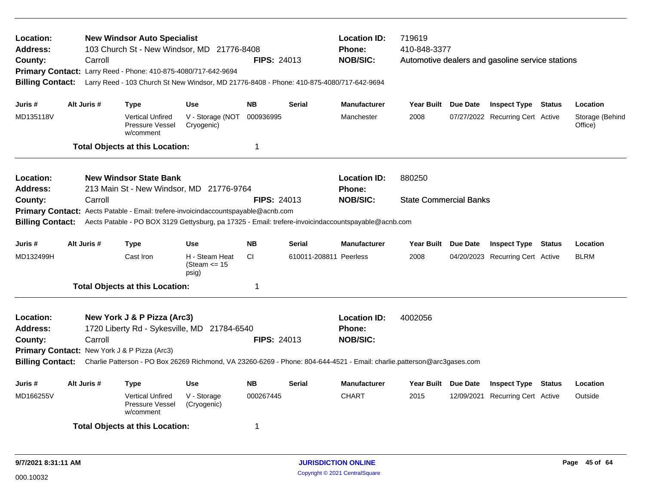| Location:<br>Address:<br>County:<br><b>Billing Contact:</b> |             | Carroll | <b>New Windsor Auto Specialist</b><br>Primary Contact: Larry Reed - Phone: 410-875-4080/717-642-9694 | 103 Church St - New Windsor, MD 21776-8408<br>Larry Reed - 103 Church St New Windsor, MD 21776-8408 - Phone: 410-875-4080/717-642-9694                                                   | <b>FIPS: 24013</b> |                        | <b>Location ID:</b><br><b>Phone:</b><br><b>NOB/SIC:</b> | 719619<br>410-848-3377        |          | Automotive dealers and gasoline service stations |               |                            |
|-------------------------------------------------------------|-------------|---------|------------------------------------------------------------------------------------------------------|------------------------------------------------------------------------------------------------------------------------------------------------------------------------------------------|--------------------|------------------------|---------------------------------------------------------|-------------------------------|----------|--------------------------------------------------|---------------|----------------------------|
| Juris #                                                     | Alt Juris # |         | <b>Type</b>                                                                                          | <b>Use</b>                                                                                                                                                                               | <b>NB</b>          | <b>Serial</b>          | <b>Manufacturer</b>                                     | Year Built Due Date           |          | <b>Inspect Type Status</b>                       |               | Location                   |
| MD135118V                                                   |             |         | <b>Vertical Unfired</b><br>Pressure Vessel<br>w/comment                                              | V - Storage (NOT<br>Cryogenic)                                                                                                                                                           | 000936995          |                        | Manchester                                              | 2008                          |          | 07/27/2022 Recurring Cert Active                 |               | Storage (Behind<br>Office) |
|                                                             |             |         | <b>Total Objects at this Location:</b>                                                               |                                                                                                                                                                                          | 1                  |                        |                                                         |                               |          |                                                  |               |                            |
| Location:<br><b>Address:</b>                                |             |         | <b>New Windsor State Bank</b>                                                                        | 213 Main St - New Windsor, MD 21776-9764                                                                                                                                                 |                    |                        | <b>Location ID:</b><br><b>Phone:</b>                    | 880250                        |          |                                                  |               |                            |
| County:<br><b>Billing Contact:</b>                          |             | Carroll |                                                                                                      | Primary Contact: Aects Patable - Email: trefere-invoicindaccountspayable@acnb.com<br>Aects Patable - PO BOX 3129 Gettysburg, pa 17325 - Email: trefere-invoicindaccountspayable@acnb.com | <b>FIPS: 24013</b> |                        | <b>NOB/SIC:</b>                                         | <b>State Commercial Banks</b> |          |                                                  |               |                            |
| Juris #                                                     | Alt Juris # |         | <b>Type</b>                                                                                          | <b>Use</b>                                                                                                                                                                               | <b>NB</b>          | <b>Serial</b>          | <b>Manufacturer</b>                                     | <b>Year Built</b>             | Due Date | <b>Inspect Type</b>                              | <b>Status</b> | Location                   |
| MD132499H                                                   |             |         | Cast Iron                                                                                            | H - Steam Heat<br>(Steam $\le$ 15<br>psig)                                                                                                                                               | CI.                | 610011-208811 Peerless |                                                         | 2008                          |          | 04/20/2023 Recurring Cert Active                 |               | <b>BLRM</b>                |
|                                                             |             |         | <b>Total Objects at this Location:</b>                                                               |                                                                                                                                                                                          | 1                  |                        |                                                         |                               |          |                                                  |               |                            |
| Location:<br>Address:<br>County:<br><b>Billing Contact:</b> |             | Carroll | New York J & P Pizza (Arc3)<br>Primary Contact: New York J & P Pizza (Arc3)                          | 1720 Liberty Rd - Sykesville, MD 21784-6540<br>Charlie Patterson - PO Box 26269 Richmond, VA 23260-6269 - Phone: 804-644-4521 - Email: charlie.patterson@arc3gases.com                   | <b>FIPS: 24013</b> |                        | <b>Location ID:</b><br><b>Phone:</b><br><b>NOB/SIC:</b> | 4002056                       |          |                                                  |               |                            |
| Juris #                                                     | Alt Juris # |         | <b>Type</b>                                                                                          | <b>Use</b>                                                                                                                                                                               | <b>NB</b>          | <b>Serial</b>          | <b>Manufacturer</b>                                     | Year Built Due Date           |          | <b>Inspect Type</b>                              | <b>Status</b> | Location                   |
| MD166255V                                                   |             |         | <b>Vertical Unfired</b><br>Pressure Vessel<br>w/comment                                              | V - Storage<br>(Cryogenic)                                                                                                                                                               | 000267445          |                        | <b>CHART</b>                                            | 2015                          |          | 12/09/2021 Recurring Cert Active                 |               | Outside                    |
|                                                             |             |         | <b>Total Objects at this Location:</b>                                                               |                                                                                                                                                                                          | 1                  |                        |                                                         |                               |          |                                                  |               |                            |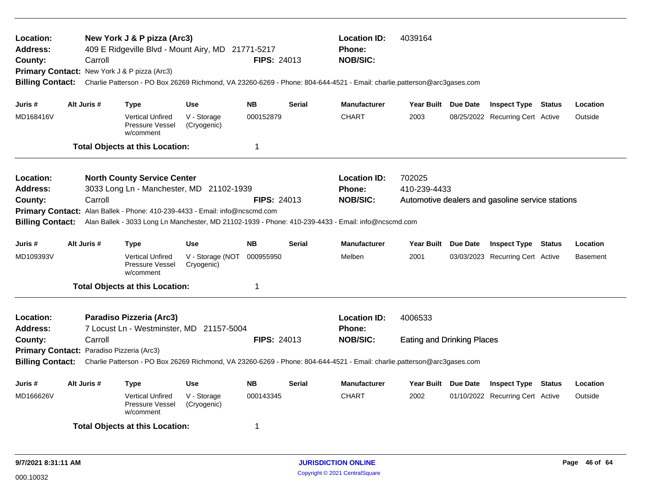| Location:<br>Address:<br>County:<br><b>Billing Contact:</b>          |             | Carroll | New York J & P pizza (Arc3)<br>Primary Contact: New York J & P pizza (Arc3) | 409 E Ridgeville Blvd - Mount Airy, MD 21771-5217                                                                       | <b>FIPS: 24013</b> |               | <b>Location ID:</b><br><b>Phone:</b><br><b>NOB/SIC:</b><br>Charlie Patterson - PO Box 26269 Richmond, VA 23260-6269 - Phone: 804-644-4521 - Email: charlie.patterson@arc3gases.com | 4039164                                      |                                                  |        |                 |
|----------------------------------------------------------------------|-------------|---------|-----------------------------------------------------------------------------|-------------------------------------------------------------------------------------------------------------------------|--------------------|---------------|------------------------------------------------------------------------------------------------------------------------------------------------------------------------------------|----------------------------------------------|--------------------------------------------------|--------|-----------------|
| Juris #                                                              | Alt Juris # |         | Type                                                                        | <b>Use</b>                                                                                                              | <b>NB</b>          | <b>Serial</b> | <b>Manufacturer</b>                                                                                                                                                                | Year Built Due Date                          | <b>Inspect Type Status</b>                       |        | Location        |
| MD168416V                                                            |             |         | Vertical Unfired<br>Pressure Vessel<br>w/comment                            | V - Storage<br>(Cryogenic)                                                                                              | 000152879          |               | <b>CHART</b>                                                                                                                                                                       | 2003                                         | 08/25/2022 Recurring Cert Active                 |        | Outside         |
|                                                                      |             |         | <b>Total Objects at this Location:</b>                                      |                                                                                                                         | 1                  |               |                                                                                                                                                                                    |                                              |                                                  |        |                 |
| Location:<br>Address:<br>County:<br><b>Billing Contact:</b>          |             | Carroll | <b>North County Service Center</b>                                          | 3033 Long Ln - Manchester, MD 21102-1939<br>Primary Contact: Alan Ballek - Phone: 410-239-4433 - Email: info@ncscmd.com | <b>FIPS: 24013</b> |               | <b>Location ID:</b><br>Phone:<br><b>NOB/SIC:</b><br>Alan Ballek - 3033 Long Ln Manchester, MD 21102-1939 - Phone: 410-239-4433 - Email: info@ncscmd.com                            | 702025<br>410-239-4433                       | Automotive dealers and gasoline service stations |        |                 |
| Juris #                                                              | Alt Juris # |         | <b>Type</b>                                                                 | <b>Use</b>                                                                                                              | <b>NB</b>          | <b>Serial</b> | <b>Manufacturer</b>                                                                                                                                                                | Year Built Due Date                          | <b>Inspect Type Status</b>                       |        | Location        |
| MD109393V                                                            |             |         | <b>Vertical Unfired</b><br>Pressure Vessel<br>w/comment                     | V - Storage (NOT<br>Cryogenic)                                                                                          | 000955950          |               | Melben                                                                                                                                                                             | 2001                                         | 03/03/2023 Recurring Cert Active                 |        | <b>Basement</b> |
|                                                                      |             |         | <b>Total Objects at this Location:</b>                                      |                                                                                                                         | 1                  |               |                                                                                                                                                                                    |                                              |                                                  |        |                 |
| Location:<br><b>Address:</b><br>County:                              |             | Carroll | Paradiso Pizzeria (Arc3)                                                    | 7 Locust Ln - Westminster, MD 21157-5004                                                                                | <b>FIPS: 24013</b> |               | <b>Location ID:</b><br><b>Phone:</b><br><b>NOB/SIC:</b>                                                                                                                            | 4006533<br><b>Eating and Drinking Places</b> |                                                  |        |                 |
| Primary Contact: Paradiso Pizzeria (Arc3)<br><b>Billing Contact:</b> |             |         |                                                                             |                                                                                                                         |                    |               | Charlie Patterson - PO Box 26269 Richmond, VA 23260-6269 - Phone: 804-644-4521 - Email: charlie.patterson@arc3gases.com                                                            |                                              |                                                  |        |                 |
| Juris #                                                              | Alt Juris # |         | <b>Type</b>                                                                 | <b>Use</b>                                                                                                              | <b>NB</b>          | <b>Serial</b> | <b>Manufacturer</b>                                                                                                                                                                | Year Built Due Date                          | <b>Inspect Type</b>                              | Status | Location        |
| MD166626V                                                            |             |         | <b>Vertical Unfired</b><br>Pressure Vessel<br>w/comment                     | V - Storage<br>(Cryogenic)                                                                                              | 000143345          |               | <b>CHART</b>                                                                                                                                                                       | 2002                                         | 01/10/2022 Recurring Cert Active                 |        | Outside         |
|                                                                      |             |         | <b>Total Objects at this Location:</b>                                      |                                                                                                                         | -1                 |               |                                                                                                                                                                                    |                                              |                                                  |        |                 |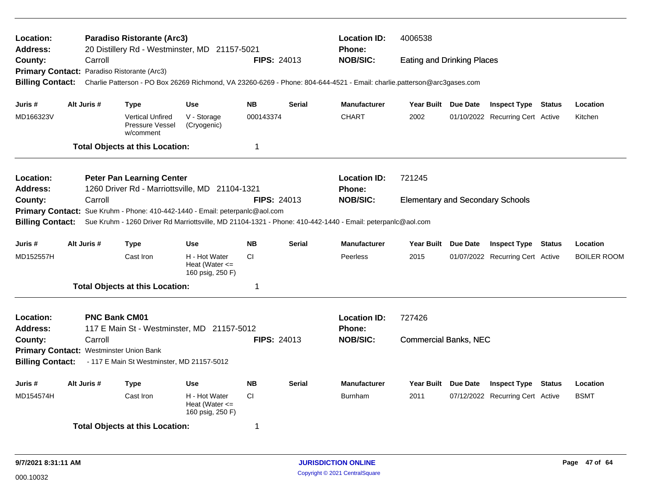| Location:<br><b>Address:</b>            |             |                      | <b>Paradiso Ristorante (Arc3)</b><br>20 Distillery Rd - Westminster, MD 21157-5021 |                                                         |                    |               | <b>Location ID:</b><br>Phone:                                                                                           | 4006538                                 |                                  |               |                    |
|-----------------------------------------|-------------|----------------------|------------------------------------------------------------------------------------|---------------------------------------------------------|--------------------|---------------|-------------------------------------------------------------------------------------------------------------------------|-----------------------------------------|----------------------------------|---------------|--------------------|
| County:                                 |             | Carroll              |                                                                                    |                                                         | <b>FIPS: 24013</b> |               | <b>NOB/SIC:</b>                                                                                                         | <b>Eating and Drinking Places</b>       |                                  |               |                    |
|                                         |             |                      | Primary Contact: Paradiso Ristorante (Arc3)                                        |                                                         |                    |               |                                                                                                                         |                                         |                                  |               |                    |
| <b>Billing Contact:</b>                 |             |                      |                                                                                    |                                                         |                    |               | Charlie Patterson - PO Box 26269 Richmond, VA 23260-6269 - Phone: 804-644-4521 - Email: charlie.patterson@arc3gases.com |                                         |                                  |               |                    |
| Juris #                                 | Alt Juris # |                      | <b>Type</b>                                                                        | <b>Use</b>                                              | <b>NB</b>          | <b>Serial</b> | <b>Manufacturer</b>                                                                                                     | Year Built Due Date                     | <b>Inspect Type Status</b>       |               | Location           |
| MD166323V                               |             |                      | <b>Vertical Unfired</b><br>Pressure Vessel<br>w/comment                            | V - Storage<br>(Cryogenic)                              | 000143374          |               | <b>CHART</b>                                                                                                            | 2002                                    | 01/10/2022 Recurring Cert Active |               | Kitchen            |
|                                         |             |                      | <b>Total Objects at this Location:</b>                                             |                                                         | $\mathbf 1$        |               |                                                                                                                         |                                         |                                  |               |                    |
| Location:                               |             |                      | <b>Peter Pan Learning Center</b>                                                   |                                                         |                    |               | <b>Location ID:</b>                                                                                                     | 721245                                  |                                  |               |                    |
| <b>Address:</b>                         |             |                      | 1260 Driver Rd - Marriottsville, MD 21104-1321                                     |                                                         |                    |               | <b>Phone:</b>                                                                                                           |                                         |                                  |               |                    |
| County:                                 |             | Carroll              |                                                                                    |                                                         | <b>FIPS: 24013</b> |               | <b>NOB/SIC:</b>                                                                                                         | <b>Elementary and Secondary Schools</b> |                                  |               |                    |
|                                         |             |                      | Primary Contact: Sue Kruhm - Phone: 410-442-1440 - Email: peterpanlc@aol.com       |                                                         |                    |               |                                                                                                                         |                                         |                                  |               |                    |
| <b>Billing Contact:</b>                 |             |                      |                                                                                    |                                                         |                    |               | Sue Kruhm - 1260 Driver Rd Marriottsville, MD 21104-1321 - Phone: 410-442-1440 - Email: peterpanlc@aol.com              |                                         |                                  |               |                    |
| Juris #                                 | Alt Juris # |                      | <b>Type</b>                                                                        | <b>Use</b>                                              | <b>NB</b>          | <b>Serial</b> | <b>Manufacturer</b>                                                                                                     | Year Built Due Date                     | <b>Inspect Type Status</b>       |               | Location           |
| MD152557H                               |             |                      | Cast Iron                                                                          | H - Hot Water<br>Heat (Water $\leq$<br>160 psig, 250 F) | <b>CI</b>          |               | Peerless                                                                                                                | 2015                                    | 01/07/2022 Recurring Cert Active |               | <b>BOILER ROOM</b> |
|                                         |             |                      | <b>Total Objects at this Location:</b>                                             |                                                         | -1                 |               |                                                                                                                         |                                         |                                  |               |                    |
| Location:<br><b>Address:</b>            |             | <b>PNC Bank CM01</b> | 117 E Main St - Westminster, MD 21157-5012                                         |                                                         |                    |               | <b>Location ID:</b><br>Phone:                                                                                           | 727426                                  |                                  |               |                    |
| County:                                 |             | Carroll              |                                                                                    |                                                         | <b>FIPS: 24013</b> |               | <b>NOB/SIC:</b>                                                                                                         | <b>Commercial Banks, NEC</b>            |                                  |               |                    |
| Primary Contact: Westminster Union Bank |             |                      |                                                                                    |                                                         |                    |               |                                                                                                                         |                                         |                                  |               |                    |
| <b>Billing Contact:</b>                 |             |                      | - 117 E Main St Westminster, MD 21157-5012                                         |                                                         |                    |               |                                                                                                                         |                                         |                                  |               |                    |
| Juris #                                 | Alt Juris # |                      | <b>Type</b>                                                                        | <b>Use</b>                                              | <b>NB</b>          | <b>Serial</b> | <b>Manufacturer</b>                                                                                                     | Year Built Due Date                     | <b>Inspect Type</b>              | <b>Status</b> | Location           |
| MD154574H                               |             |                      | Cast Iron                                                                          | H - Hot Water<br>Heat (Water $\leq$<br>160 psig, 250 F) | <b>CI</b>          |               | <b>Burnham</b>                                                                                                          | 2011                                    | 07/12/2022 Recurring Cert Active |               | <b>BSMT</b>        |
|                                         |             |                      | <b>Total Objects at this Location:</b>                                             |                                                         | 1                  |               |                                                                                                                         |                                         |                                  |               |                    |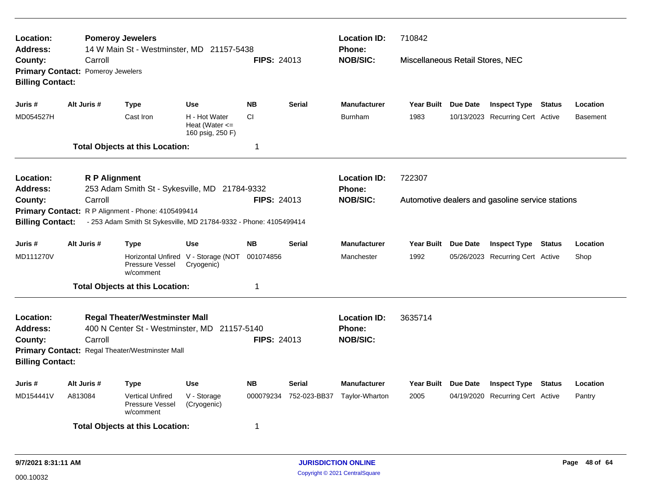| Location:<br>Address:                                                          |         | <b>Pomeroy Jewelers</b> | 14 W Main St - Westminster, MD 21157-5438                                                                                                |                                                         |                    |                                                         | <b>Location ID:</b><br><b>Phone:</b> | 710842                           |                                                  |               |                 |
|--------------------------------------------------------------------------------|---------|-------------------------|------------------------------------------------------------------------------------------------------------------------------------------|---------------------------------------------------------|--------------------|---------------------------------------------------------|--------------------------------------|----------------------------------|--------------------------------------------------|---------------|-----------------|
| County:<br><b>Primary Contact: Pomeroy Jewelers</b><br><b>Billing Contact:</b> |         | Carroll                 |                                                                                                                                          |                                                         | <b>FIPS: 24013</b> |                                                         | <b>NOB/SIC:</b>                      | Miscellaneous Retail Stores, NEC |                                                  |               |                 |
| Juris #                                                                        |         | Alt Juris #             | <b>Type</b>                                                                                                                              | <b>Use</b>                                              | <b>NB</b>          | <b>Serial</b>                                           | <b>Manufacturer</b>                  | Year Built Due Date              | <b>Inspect Type Status</b>                       |               | Location        |
| MD054527H                                                                      |         |                         | Cast Iron                                                                                                                                | H - Hot Water<br>Heat (Water $\leq$<br>160 psig, 250 F) | CI.                |                                                         | <b>Burnham</b>                       | 1983                             | 10/13/2023 Recurring Cert Active                 |               | <b>Basement</b> |
|                                                                                |         |                         | <b>Total Objects at this Location:</b>                                                                                                   |                                                         | $\mathbf 1$        |                                                         |                                      |                                  |                                                  |               |                 |
| Location:<br><b>Address:</b>                                                   |         | <b>R P Alignment</b>    | 253 Adam Smith St - Sykesville, MD 21784-9332                                                                                            |                                                         |                    |                                                         | <b>Location ID:</b><br>Phone:        | 722307                           |                                                  |               |                 |
| County:<br><b>Billing Contact:</b>                                             |         | Carroll                 | Primary Contact: R P Alignment - Phone: 4105499414<br>- 253 Adam Smith St Sykesville, MD 21784-9332 - Phone: 4105499414                  |                                                         | <b>FIPS: 24013</b> |                                                         | <b>NOB/SIC:</b>                      |                                  | Automotive dealers and gasoline service stations |               |                 |
| Juris #                                                                        |         | Alt Juris #             | <b>Type</b>                                                                                                                              | <b>Use</b>                                              | <b>NB</b>          | <b>Serial</b>                                           | <b>Manufacturer</b>                  | Year Built Due Date              | <b>Inspect Type</b>                              | Status        | Location        |
| MD111270V                                                                      |         |                         | Horizontal Unfired V - Storage (NOT<br>Pressure Vessel<br>w/comment                                                                      | Cryogenic)                                              | 001074856          |                                                         | Manchester                           | 1992                             | 05/26/2023 Recurring Cert Active                 |               | Shop            |
|                                                                                |         |                         | <b>Total Objects at this Location:</b>                                                                                                   |                                                         | 1                  |                                                         |                                      |                                  |                                                  |               |                 |
| Location:<br><b>Address:</b><br>County:<br><b>Billing Contact:</b>             |         | Carroll                 | <b>Regal Theater/Westminster Mall</b><br>400 N Center St - Westminster, MD 21157-5140<br>Primary Contact: Regal Theater/Westminster Mall |                                                         | <b>FIPS: 24013</b> | <b>Location ID:</b><br><b>Phone:</b><br><b>NOB/SIC:</b> | 3635714                              |                                  |                                                  |               |                 |
| Juris #                                                                        |         | Alt Juris #             | <b>Type</b>                                                                                                                              | <b>Use</b>                                              | <b>NB</b>          | <b>Serial</b>                                           | <b>Manufacturer</b>                  | Year Built Due Date              | <b>Inspect Type</b>                              | <b>Status</b> | Location        |
| MD154441V                                                                      | A813084 |                         | <b>Vertical Unfired</b><br><b>Pressure Vessel</b><br>w/comment                                                                           | V - Storage<br>(Cryogenic)                              | 000079234          | 752-023-BB37                                            | Taylor-Wharton                       | 2005                             | 04/19/2020 Recurring Cert Active                 |               | Pantry          |
|                                                                                |         |                         | <b>Total Objects at this Location:</b>                                                                                                   |                                                         | 1                  |                                                         |                                      |                                  |                                                  |               |                 |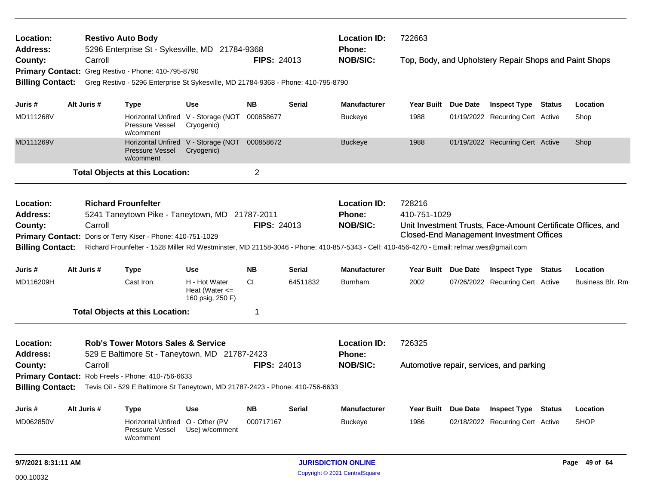| Location:<br>Address:                             |  |             | <b>Restivo Auto Body</b><br>5296 Enterprise St - Sykesville, MD 21784-9368        |                                                             |                    |               | <b>Location ID:</b><br><b>Phone:</b>                                                                                                     | 722663                 |                                                        |                                                              |
|---------------------------------------------------|--|-------------|-----------------------------------------------------------------------------------|-------------------------------------------------------------|--------------------|---------------|------------------------------------------------------------------------------------------------------------------------------------------|------------------------|--------------------------------------------------------|--------------------------------------------------------------|
| County:                                           |  | Carroll     |                                                                                   |                                                             | <b>FIPS: 24013</b> |               | <b>NOB/SIC:</b>                                                                                                                          |                        | Top, Body, and Upholstery Repair Shops and Paint Shops |                                                              |
|                                                   |  |             | Primary Contact: Greg Restivo - Phone: 410-795-8790                               |                                                             |                    |               |                                                                                                                                          |                        |                                                        |                                                              |
| <b>Billing Contact:</b>                           |  |             | Greg Restivo - 5296 Enterprise St Sykesville, MD 21784-9368 - Phone: 410-795-8790 |                                                             |                    |               |                                                                                                                                          |                        |                                                        |                                                              |
| Juris #                                           |  | Alt Juris # | <b>Type</b>                                                                       | Use                                                         | <b>NB</b>          | Serial        | <b>Manufacturer</b>                                                                                                                      | Year Built Due Date    | <b>Inspect Type Status</b>                             | Location                                                     |
| MD111268V                                         |  |             | Horizontal Unfired V - Storage (NOT<br>Pressure Vessel<br>w/comment               | Cryogenic)                                                  | 000858677          |               | <b>Buckeye</b>                                                                                                                           | 1988                   | 01/19/2022 Recurring Cert Active                       | Shop                                                         |
| MD111269V                                         |  |             | <b>Pressure Vessel</b><br>w/comment                                               | Horizontal Unfired V - Storage (NOT 000858672<br>Cryogenic) |                    |               | <b>Buckeye</b>                                                                                                                           | 1988                   | 01/19/2022 Recurring Cert Active                       | Shop                                                         |
|                                                   |  |             | <b>Total Objects at this Location:</b>                                            |                                                             | $\overline{c}$     |               |                                                                                                                                          |                        |                                                        |                                                              |
| Location:<br><b>Address:</b>                      |  |             | <b>Richard Frounfelter</b><br>5241 Taneytown Pike - Taneytown, MD 21787-2011      |                                                             |                    |               | <b>Location ID:</b><br><b>Phone:</b>                                                                                                     | 728216<br>410-751-1029 |                                                        |                                                              |
| County:                                           |  | Carroll     |                                                                                   |                                                             | <b>FIPS: 24013</b> |               | <b>NOB/SIC:</b>                                                                                                                          |                        |                                                        | Unit Investment Trusts, Face-Amount Certificate Offices, and |
|                                                   |  |             | Primary Contact: Doris or Terry Kiser - Phone: 410-751-1029                       |                                                             |                    |               |                                                                                                                                          |                        | <b>Closed-End Management Investment Offices</b>        |                                                              |
| <b>Billing Contact:</b>                           |  |             |                                                                                   |                                                             |                    |               | Richard Frounfelter - 1528 Miller Rd Westminster, MD 21158-3046 - Phone: 410-857-5343 - Cell: 410-456-4270 - Email: refmar.wes@gmail.com |                        |                                                        |                                                              |
| Juris #                                           |  | Alt Juris # | <b>Type</b>                                                                       | Use                                                         | NB.                | Serial        | <b>Manufacturer</b>                                                                                                                      | Year Built Due Date    | <b>Inspect Type Status</b>                             | Location                                                     |
| MD116209H                                         |  |             | Cast Iron                                                                         | H - Hot Water<br>Heat (Water $\leq$<br>160 psig, 250 F)     | <b>CI</b>          | 64511832      | <b>Burnham</b>                                                                                                                           | 2002                   | 07/26/2022 Recurring Cert Active                       | Business Blr. Rm                                             |
|                                                   |  |             | <b>Total Objects at this Location:</b>                                            |                                                             | 1                  |               |                                                                                                                                          |                        |                                                        |                                                              |
| Location:                                         |  |             | <b>Rob's Tower Motors Sales &amp; Service</b>                                     |                                                             |                    |               | <b>Location ID:</b>                                                                                                                      | 726325                 |                                                        |                                                              |
| <b>Address:</b>                                   |  |             | 529 E Baltimore St - Taneytown, MD 21787-2423                                     |                                                             |                    |               | <b>Phone:</b>                                                                                                                            |                        |                                                        |                                                              |
| County:                                           |  | Carroll     |                                                                                   |                                                             | <b>FIPS: 24013</b> |               | <b>NOB/SIC:</b>                                                                                                                          |                        | Automotive repair, services, and parking               |                                                              |
| Primary Contact: Rob Freels - Phone: 410-756-6633 |  |             |                                                                                   |                                                             |                    |               |                                                                                                                                          |                        |                                                        |                                                              |
| <b>Billing Contact:</b>                           |  |             | Tevis Oil - 529 E Baltimore St Taneytown, MD 21787-2423 - Phone: 410-756-6633     |                                                             |                    |               |                                                                                                                                          |                        |                                                        |                                                              |
| Juris #                                           |  | Alt Juris # | <b>Type</b>                                                                       | Use                                                         | <b>NB</b>          | <b>Serial</b> | <b>Manufacturer</b>                                                                                                                      | Year Built Due Date    | <b>Inspect Type Status</b>                             | Location                                                     |
| MD062850V                                         |  |             | Horizontal Unfired<br><b>Pressure Vessel</b><br>w/comment                         | O - Other (PV<br>Use) w/comment                             | 000717167          |               | <b>Buckeye</b>                                                                                                                           | 1986                   | 02/18/2022 Recurring Cert Active                       | <b>SHOP</b>                                                  |
| 9/7/2021 8:31:11 AM                               |  |             |                                                                                   |                                                             |                    |               | <b>JURISDICTION ONLINE</b>                                                                                                               |                        |                                                        | Page 49 of 64                                                |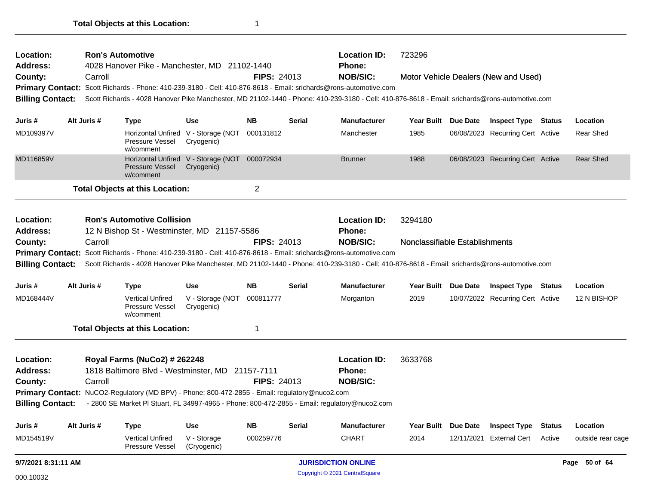| Location:<br><b>Address:</b> | <b>Ron's Automotive</b> | 4028 Hanover Pike - Manchester, MD 21102-1440                                                  |                                                   |                    |               | <b>Location ID:</b><br><b>Phone:</b>                                                                                                                            | 723296                         |          |                                      |               |                   |
|------------------------------|-------------------------|------------------------------------------------------------------------------------------------|---------------------------------------------------|--------------------|---------------|-----------------------------------------------------------------------------------------------------------------------------------------------------------------|--------------------------------|----------|--------------------------------------|---------------|-------------------|
| County:                      | Carroll                 |                                                                                                |                                                   | <b>FIPS: 24013</b> |               | <b>NOB/SIC:</b>                                                                                                                                                 |                                |          | Motor Vehicle Dealers (New and Used) |               |                   |
|                              |                         |                                                                                                |                                                   |                    |               | Primary Contact: Scott Richards - Phone: 410-239-3180 - Cell: 410-876-8618 - Email: srichards@rons-automotive.com                                               |                                |          |                                      |               |                   |
| <b>Billing Contact:</b>      |                         |                                                                                                |                                                   |                    |               | Scott Richards - 4028 Hanover Pike Manchester, MD 21102-1440 - Phone: 410-239-3180 - Cell: 410-876-8618 - Email: srichards@rons-automotive.com                  |                                |          |                                      |               |                   |
| Juris #                      | Alt Juris #             | <b>Type</b>                                                                                    | Use                                               | <b>NB</b>          | <b>Serial</b> | <b>Manufacturer</b>                                                                                                                                             | <b>Year Built</b>              | Due Date | <b>Inspect Type Status</b>           |               | Location          |
| MD109397V                    |                         | <b>Horizontal Unfired</b><br>Pressure Vessel<br>w/comment                                      | V - Storage (NOT<br>Cryogenic)                    | 000131812          |               | Manchester                                                                                                                                                      | 1985                           |          | 06/08/2023 Recurring Cert Active     |               | Rear Shed         |
| MD116859V                    |                         | <b>Pressure Vessel</b><br>w/comment                                                            | Horizontal Unfired V - Storage (NOT<br>Cryogenic) | 000072934          |               | <b>Brunner</b>                                                                                                                                                  | 1988                           |          | 06/08/2023 Recurring Cert Active     |               | Rear Shed         |
|                              |                         | <b>Total Objects at this Location:</b>                                                         |                                                   | $\overline{2}$     |               |                                                                                                                                                                 |                                |          |                                      |               |                   |
| Location:                    |                         | <b>Ron's Automotive Collision</b>                                                              |                                                   |                    |               | <b>Location ID:</b>                                                                                                                                             | 3294180                        |          |                                      |               |                   |
| <b>Address:</b>              |                         | 12 N Bishop St - Westminster, MD 21157-5586                                                    |                                                   |                    |               | <b>Phone:</b>                                                                                                                                                   |                                |          |                                      |               |                   |
| County:                      | Carroll                 |                                                                                                |                                                   | <b>FIPS: 24013</b> |               | <b>NOB/SIC:</b>                                                                                                                                                 | Nonclassifiable Establishments |          |                                      |               |                   |
|                              |                         |                                                                                                |                                                   |                    |               | Primary Contact: Scott Richards - Phone: 410-239-3180 - Cell: 410-876-8618 - Email: srichards@rons-automotive.com                                               |                                |          |                                      |               |                   |
|                              |                         |                                                                                                |                                                   |                    |               | Billing Contact: Scott Richards - 4028 Hanover Pike Manchester, MD 21102-1440 - Phone: 410-239-3180 - Cell: 410-876-8618 - Email: srichards@rons-automotive.com |                                |          |                                      |               |                   |
| Juris #                      | Alt Juris #             | <b>Type</b>                                                                                    | Use                                               | <b>NB</b>          | <b>Serial</b> | <b>Manufacturer</b>                                                                                                                                             | <b>Year Built</b>              | Due Date | <b>Inspect Type Status</b>           |               | Location          |
| MD168444V                    |                         | <b>Vertical Unfired</b><br>Pressure Vessel<br>w/comment                                        | V - Storage (NOT 000811777<br>Cryogenic)          |                    |               | Morganton                                                                                                                                                       | 2019                           |          | 10/07/2022 Recurring Cert Active     |               | 12 N BISHOP       |
|                              |                         | <b>Total Objects at this Location:</b>                                                         |                                                   | 1                  |               |                                                                                                                                                                 |                                |          |                                      |               |                   |
| Location:                    |                         | <b>Royal Farms (NuCo2) # 262248</b>                                                            |                                                   |                    |               | <b>Location ID:</b>                                                                                                                                             | 3633768                        |          |                                      |               |                   |
| <b>Address:</b>              |                         | 1818 Baltimore Blvd - Westminster, MD 21157-7111                                               |                                                   |                    |               | <b>Phone:</b>                                                                                                                                                   |                                |          |                                      |               |                   |
| County:                      | Carroll                 |                                                                                                |                                                   | <b>FIPS: 24013</b> |               | <b>NOB/SIC:</b>                                                                                                                                                 |                                |          |                                      |               |                   |
|                              |                         | Primary Contact: NuCO2-Regulatory (MD BPV) - Phone: 800-472-2855 - Email: regulatory@nuco2.com |                                                   |                    |               |                                                                                                                                                                 |                                |          |                                      |               |                   |
| <b>Billing Contact:</b>      |                         | - 2800 SE Market PI Stuart, FL 34997-4965 - Phone: 800-472-2855 - Email: regulatory@nuco2.com  |                                                   |                    |               |                                                                                                                                                                 |                                |          |                                      |               |                   |
| Juris #                      | Alt Juris #             | <b>Type</b>                                                                                    | <b>Use</b>                                        | <b>NB</b>          | <b>Serial</b> | <b>Manufacturer</b>                                                                                                                                             | <b>Year Built</b>              | Due Date | <b>Inspect Type</b>                  | <b>Status</b> | Location          |
| MD154519V                    |                         | <b>Vertical Unfired</b><br>Pressure Vessel                                                     | V - Storage<br>(Cryogenic)                        | 000259776          |               | <b>CHART</b>                                                                                                                                                    | 2014                           |          | 12/11/2021 External Cert             | Active        | outside rear cage |
| 9/7/2021 8:31:11 AM          |                         |                                                                                                |                                                   |                    |               | <b>JURISDICTION ONLINE</b>                                                                                                                                      |                                |          |                                      |               | Page 50 of 64     |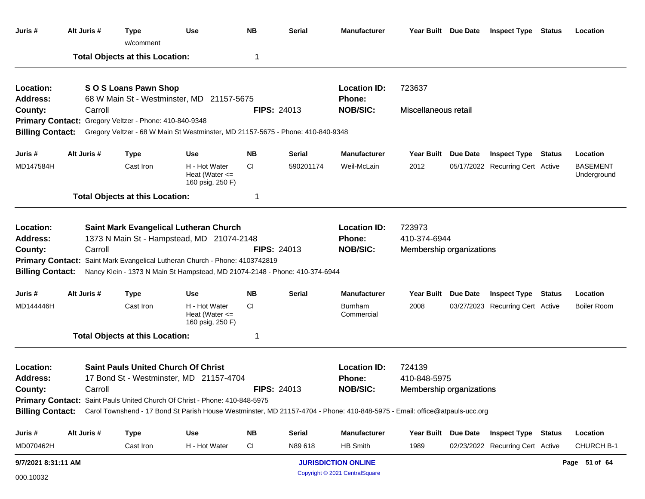| Juris #                      | Alt Juris #                                            | <b>Type</b><br>w/comment               | <b>Use</b>                                                                                                                 | <b>NB</b> | <b>Serial</b>      | <b>Manufacturer</b>            |                          | Year Built Due Date | <b>Inspect Type Status</b>       | Location                       |
|------------------------------|--------------------------------------------------------|----------------------------------------|----------------------------------------------------------------------------------------------------------------------------|-----------|--------------------|--------------------------------|--------------------------|---------------------|----------------------------------|--------------------------------|
|                              |                                                        | <b>Total Objects at this Location:</b> |                                                                                                                            | -1        |                    |                                |                          |                     |                                  |                                |
| Location:<br><b>Address:</b> |                                                        | SOS Loans Pawn Shop                    | 68 W Main St - Westminster, MD 21157-5675                                                                                  |           |                    | <b>Location ID:</b><br>Phone:  | 723637                   |                     |                                  |                                |
| County:                      | Carroll                                                |                                        |                                                                                                                            |           | <b>FIPS: 24013</b> | <b>NOB/SIC:</b>                | Miscellaneous retail     |                     |                                  |                                |
|                              | Primary Contact: Gregory Veltzer - Phone: 410-840-9348 |                                        |                                                                                                                            |           |                    |                                |                          |                     |                                  |                                |
| <b>Billing Contact:</b>      |                                                        |                                        | Gregory Veltzer - 68 W Main St Westminster, MD 21157-5675 - Phone: 410-840-9348                                            |           |                    |                                |                          |                     |                                  |                                |
| Juris #                      | Alt Juris #                                            | <b>Type</b>                            | <b>Use</b>                                                                                                                 | <b>NB</b> | <b>Serial</b>      | <b>Manufacturer</b>            |                          | Year Built Due Date | <b>Inspect Type Status</b>       | Location                       |
| MD147584H                    |                                                        | Cast Iron                              | H - Hot Water<br>Heat (Water $\leq$<br>160 psig, 250 F)                                                                    | CI        | 590201174          | Weil-McLain                    | 2012                     |                     | 05/17/2022 Recurring Cert Active | <b>BASEMENT</b><br>Underground |
|                              |                                                        | <b>Total Objects at this Location:</b> |                                                                                                                            | -1        |                    |                                |                          |                     |                                  |                                |
| Location:                    |                                                        |                                        | <b>Saint Mark Evangelical Lutheran Church</b>                                                                              |           |                    | <b>Location ID:</b>            | 723973                   |                     |                                  |                                |
| <b>Address:</b>              |                                                        |                                        | 1373 N Main St - Hampstead, MD 21074-2148                                                                                  |           |                    | Phone:                         | 410-374-6944             |                     |                                  |                                |
| County:                      | Carroll                                                |                                        |                                                                                                                            |           | <b>FIPS: 24013</b> | <b>NOB/SIC:</b>                | Membership organizations |                     |                                  |                                |
|                              |                                                        |                                        | Primary Contact: Saint Mark Evangelical Lutheran Church - Phone: 4103742819                                                |           |                    |                                |                          |                     |                                  |                                |
| <b>Billing Contact:</b>      |                                                        |                                        | Nancy Klein - 1373 N Main St Hampstead, MD 21074-2148 - Phone: 410-374-6944                                                |           |                    |                                |                          |                     |                                  |                                |
| Juris #                      | Alt Juris #                                            | <b>Type</b>                            | Use                                                                                                                        | <b>NB</b> | <b>Serial</b>      | <b>Manufacturer</b>            |                          | Year Built Due Date | <b>Inspect Type Status</b>       | Location                       |
| MD144446H                    |                                                        | Cast Iron                              | H - Hot Water<br>Heat (Water $\leq$<br>160 psig, 250 F)                                                                    | СI        |                    | <b>Burnham</b><br>Commercial   | 2008                     |                     | 03/27/2023 Recurring Cert Active | Boiler Room                    |
|                              |                                                        | <b>Total Objects at this Location:</b> |                                                                                                                            | -1        |                    |                                |                          |                     |                                  |                                |
| Location:                    |                                                        |                                        | <b>Saint Pauls United Church Of Christ</b>                                                                                 |           |                    | <b>Location ID:</b>            | 724139                   |                     |                                  |                                |
| <b>Address:</b>              |                                                        |                                        | 17 Bond St - Westminster, MD 21157-4704                                                                                    |           |                    | Phone:                         | 410-848-5975             |                     |                                  |                                |
| County:                      | Carroll                                                |                                        |                                                                                                                            |           | <b>FIPS: 24013</b> | <b>NOB/SIC:</b>                | Membership organizations |                     |                                  |                                |
|                              |                                                        |                                        | Primary Contact: Saint Pauls United Church Of Christ - Phone: 410-848-5975                                                 |           |                    |                                |                          |                     |                                  |                                |
| <b>Billing Contact:</b>      |                                                        |                                        | Carol Townshend - 17 Bond St Parish House Westminster, MD 21157-4704 - Phone: 410-848-5975 - Email: office@atpauls-ucc.org |           |                    |                                |                          |                     |                                  |                                |
| Juris #                      | Alt Juris #                                            | <b>Type</b>                            | <b>Use</b>                                                                                                                 | <b>NB</b> | <b>Serial</b>      | <b>Manufacturer</b>            |                          | Year Built Due Date | <b>Inspect Type Status</b>       | Location                       |
| MD070462H                    |                                                        | Cast Iron                              | H - Hot Water                                                                                                              | <b>CI</b> | N89 618            | HB Smith                       | 1989                     |                     | 02/23/2022 Recurring Cert Active | CHURCH B-1                     |
| 9/7/2021 8:31:11 AM          |                                                        |                                        |                                                                                                                            |           |                    | <b>JURISDICTION ONLINE</b>     |                          |                     |                                  | Page 51 of 64                  |
| 000.10032                    |                                                        |                                        |                                                                                                                            |           |                    | Copyright © 2021 CentralSquare |                          |                     |                                  |                                |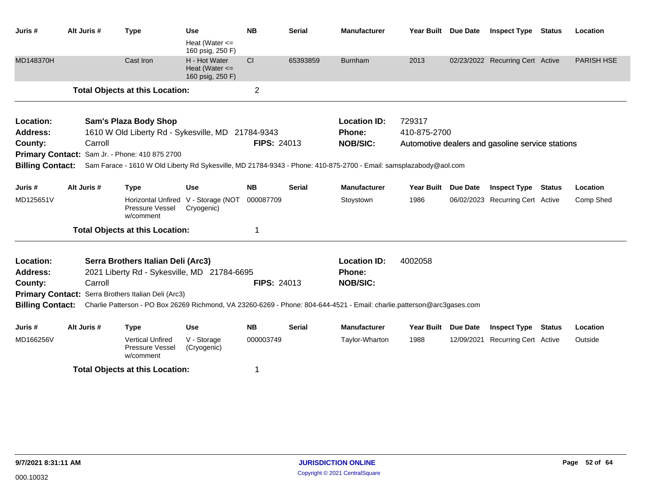| Juris #                 | Alt Juris # |         | <b>Type</b>                                                         | Use                                                     | <b>NB</b>          | <b>Serial</b> | <b>Manufacturer</b>                                                                                                     | <b>Year Built</b> | <b>Due Date</b> | <b>Inspect Type</b>                              | <b>Status</b> | Location          |
|-------------------------|-------------|---------|---------------------------------------------------------------------|---------------------------------------------------------|--------------------|---------------|-------------------------------------------------------------------------------------------------------------------------|-------------------|-----------------|--------------------------------------------------|---------------|-------------------|
|                         |             |         |                                                                     | Heat (Water $\leq$<br>160 psig, 250 F)                  |                    |               |                                                                                                                         |                   |                 |                                                  |               |                   |
| MD148370H               |             |         | Cast Iron                                                           | H - Hot Water<br>Heat (Water $\leq$<br>160 psig, 250 F) | <b>CI</b>          | 65393859      | <b>Burnham</b>                                                                                                          | 2013              |                 | 02/23/2022 Recurring Cert Active                 |               | <b>PARISH HSE</b> |
|                         |             |         | <b>Total Objects at this Location:</b>                              |                                                         | $\overline{2}$     |               |                                                                                                                         |                   |                 |                                                  |               |                   |
| Location:               |             |         | <b>Sam's Plaza Body Shop</b>                                        |                                                         |                    |               | <b>Location ID:</b>                                                                                                     | 729317            |                 |                                                  |               |                   |
| <b>Address:</b>         |             |         | 1610 W Old Liberty Rd - Sykesville, MD 21784-9343                   |                                                         |                    |               | Phone:                                                                                                                  | 410-875-2700      |                 |                                                  |               |                   |
| County:                 |             | Carroll |                                                                     |                                                         | <b>FIPS: 24013</b> |               | <b>NOB/SIC:</b>                                                                                                         |                   |                 | Automotive dealers and gasoline service stations |               |                   |
| <b>Primary Contact:</b> |             |         | Sam Jr. - Phone: 410 875 2700                                       |                                                         |                    |               |                                                                                                                         |                   |                 |                                                  |               |                   |
| <b>Billing Contact:</b> |             |         |                                                                     |                                                         |                    |               | Sam Farace - 1610 W Old Liberty Rd Sykesville, MD 21784-9343 - Phone: 410-875-2700 - Email: samsplazabody@aol.com       |                   |                 |                                                  |               |                   |
| Juris #                 | Alt Juris # |         | <b>Type</b>                                                         | Use                                                     | <b>NB</b>          | <b>Serial</b> | <b>Manufacturer</b>                                                                                                     | <b>Year Built</b> | <b>Due Date</b> | <b>Inspect Type</b>                              | <b>Status</b> | Location          |
| MD125651V               |             |         | Horizontal Unfired V - Storage (NOT<br>Pressure Vessel<br>w/comment | Cryogenic)                                              | 000087709          |               | Stoystown                                                                                                               | 1986              |                 | 06/02/2023 Recurring Cert Active                 |               | Comp Shed         |
|                         |             |         | <b>Total Objects at this Location:</b>                              |                                                         | 1                  |               |                                                                                                                         |                   |                 |                                                  |               |                   |
| Location:               |             |         | Serra Brothers Italian Deli (Arc3)                                  |                                                         |                    |               | <b>Location ID:</b>                                                                                                     | 4002058           |                 |                                                  |               |                   |
| <b>Address:</b>         |             |         | 2021 Liberty Rd - Sykesville, MD 21784-6695                         |                                                         |                    |               | <b>Phone:</b>                                                                                                           |                   |                 |                                                  |               |                   |
| County:                 |             | Carroll |                                                                     |                                                         | <b>FIPS: 24013</b> |               | <b>NOB/SIC:</b>                                                                                                         |                   |                 |                                                  |               |                   |
|                         |             |         | Primary Contact: Serra Brothers Italian Deli (Arc3)                 |                                                         |                    |               |                                                                                                                         |                   |                 |                                                  |               |                   |
| <b>Billing Contact:</b> |             |         |                                                                     |                                                         |                    |               | Charlie Patterson - PO Box 26269 Richmond, VA 23260-6269 - Phone: 804-644-4521 - Email: charlie.patterson@arc3gases.com |                   |                 |                                                  |               |                   |
| Juris #                 | Alt Juris # |         | <b>Type</b>                                                         | <b>Use</b>                                              | <b>NB</b>          | <b>Serial</b> | <b>Manufacturer</b>                                                                                                     | <b>Year Built</b> | <b>Due Date</b> | <b>Inspect Type</b>                              | <b>Status</b> | Location          |
| MD166256V               |             |         | <b>Vertical Unfired</b><br>Pressure Vessel<br>w/comment             | V - Storage<br>(Cryogenic)                              | 000003749          |               | Taylor-Wharton                                                                                                          | 1988              | 12/09/2021      | Recurring Cert Active                            |               | Outside           |
|                         |             |         | <b>Total Objects at this Location:</b>                              |                                                         | 1                  |               |                                                                                                                         |                   |                 |                                                  |               |                   |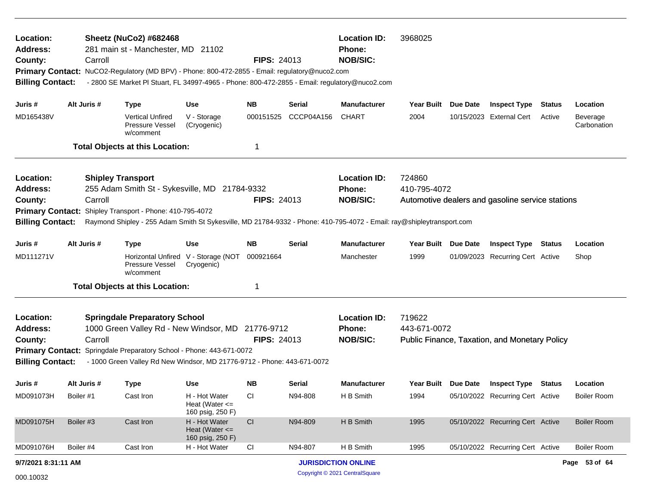| Location:<br><b>Address:</b><br>County:<br><b>Primary Contact:</b><br><b>Billing Contact:</b>                                                                                                                                                                                                                                                                                                 | Carroll     | <b>Sheetz (NuCo2) #682468</b><br>281 main st - Manchester, MD 21102<br>NuCO2-Regulatory (MD BPV) - Phone: 800-472-2855 - Email: regulatory@nuco2.com<br>- 2800 SE Market PI Stuart, FL 34997-4965 - Phone: 800-472-2855 - Email: regulatory@nuco2.com |                                                         | <b>FIPS: 24013</b> |            | <b>Location ID:</b><br>Phone:<br><b>NOB/SIC:</b> | 3968025                |                                                  |               |                         |
|-----------------------------------------------------------------------------------------------------------------------------------------------------------------------------------------------------------------------------------------------------------------------------------------------------------------------------------------------------------------------------------------------|-------------|-------------------------------------------------------------------------------------------------------------------------------------------------------------------------------------------------------------------------------------------------------|---------------------------------------------------------|--------------------|------------|--------------------------------------------------|------------------------|--------------------------------------------------|---------------|-------------------------|
| Juris #                                                                                                                                                                                                                                                                                                                                                                                       | Alt Juris # | <b>Type</b>                                                                                                                                                                                                                                           | <b>Use</b>                                              | NΒ                 | Serial     | <b>Manufacturer</b>                              | Year Built Due Date    | <b>Inspect Type</b>                              | <b>Status</b> | Location                |
| MD165438V                                                                                                                                                                                                                                                                                                                                                                                     |             | Vertical Unfired<br>Pressure Vessel<br>w/comment                                                                                                                                                                                                      | V - Storage<br>(Cryogenic)                              | 000151525          | CCCP04A156 | <b>CHART</b>                                     | 2004                   | 10/15/2023 External Cert                         | Active        | Beverage<br>Carbonation |
|                                                                                                                                                                                                                                                                                                                                                                                               |             | <b>Total Objects at this Location:</b>                                                                                                                                                                                                                |                                                         | 1                  |            |                                                  |                        |                                                  |               |                         |
| Location:<br><b>Address:</b><br>County:<br><b>Primary Contact:</b><br><b>Billing Contact:</b>                                                                                                                                                                                                                                                                                                 | Carroll     | <b>Shipley Transport</b><br>255 Adam Smith St - Sykesville, MD 21784-9332<br>Shipley Transport - Phone: 410-795-4072<br>Raymond Shipley - 255 Adam Smith St Sykesville, MD 21784-9332 - Phone: 410-795-4072 - Email: ray@shipleytransport.com         |                                                         | <b>FIPS: 24013</b> |            | <b>Location ID:</b><br>Phone:<br><b>NOB/SIC:</b> | 724860<br>410-795-4072 | Automotive dealers and gasoline service stations |               |                         |
| Juris #                                                                                                                                                                                                                                                                                                                                                                                       | Alt Juris # | <b>Type</b>                                                                                                                                                                                                                                           | <b>Use</b>                                              | <b>NB</b>          | Serial     | <b>Manufacturer</b>                              | Year Built Due Date    | <b>Inspect Type Status</b>                       |               | Location                |
| MD111271V                                                                                                                                                                                                                                                                                                                                                                                     |             | Pressure Vessel<br>w/comment                                                                                                                                                                                                                          | Horizontal Unfired V - Storage (NOT<br>Cryogenic)       | 000921664          |            | Manchester                                       | 1999                   | 01/09/2023 Recurring Cert Active                 |               | Shop                    |
|                                                                                                                                                                                                                                                                                                                                                                                               |             |                                                                                                                                                                                                                                                       |                                                         | 1                  |            |                                                  |                        |                                                  |               |                         |
| <b>Total Objects at this Location:</b><br><b>Springdale Preparatory School</b><br>Location:<br>1000 Green Valley Rd - New Windsor, MD 21776-9712<br><b>Address:</b><br><b>FIPS: 24013</b><br>Carroll<br>County:<br>Primary Contact: Springdale Preparatory School - Phone: 443-671-0072<br><b>Billing Contact:</b><br>- 1000 Green Valley Rd New Windsor, MD 21776-9712 - Phone: 443-671-0072 |             |                                                                                                                                                                                                                                                       |                                                         |                    |            | <b>Location ID:</b><br>Phone:<br><b>NOB/SIC:</b> | 719622<br>443-671-0072 | Public Finance, Taxation, and Monetary Policy    |               |                         |
| Juris #                                                                                                                                                                                                                                                                                                                                                                                       | Alt Juris # | <b>Type</b>                                                                                                                                                                                                                                           | Use                                                     | <b>NB</b>          | Serial     | <b>Manufacturer</b>                              | Year Built Due Date    | <b>Inspect Type Status</b>                       |               | Location                |
| MD091073H                                                                                                                                                                                                                                                                                                                                                                                     | Boiler #1   | Cast Iron                                                                                                                                                                                                                                             | H - Hot Water<br>Heat (Water $\leq$<br>160 psig, 250 F) | <b>CI</b>          | N94-808    | H B Smith                                        | 1994                   | 05/10/2022 Recurring Cert Active                 |               | <b>Boiler Room</b>      |
| MD091075H                                                                                                                                                                                                                                                                                                                                                                                     | Boiler #3   | Cast Iron                                                                                                                                                                                                                                             | H - Hot Water<br>Heat (Water $\leq$<br>160 psig, 250 F) | CI                 | N94-809    | H B Smith                                        | 1995                   | 05/10/2022 Recurring Cert Active                 |               | <b>Boiler Room</b>      |
| MD091076H                                                                                                                                                                                                                                                                                                                                                                                     | Boiler #4   | Cast Iron                                                                                                                                                                                                                                             | H - Hot Water                                           | CI                 | N94-807    | H B Smith                                        | 1995                   | 05/10/2022 Recurring Cert Active                 |               | <b>Boiler Room</b>      |
| 9/7/2021 8:31:11 AM                                                                                                                                                                                                                                                                                                                                                                           |             |                                                                                                                                                                                                                                                       |                                                         |                    |            | <b>JURISDICTION ONLINE</b>                       |                        |                                                  |               | Page 53 of 64           |
| 000.10032                                                                                                                                                                                                                                                                                                                                                                                     |             |                                                                                                                                                                                                                                                       |                                                         |                    |            | Copyright © 2021 CentralSquare                   |                        |                                                  |               |                         |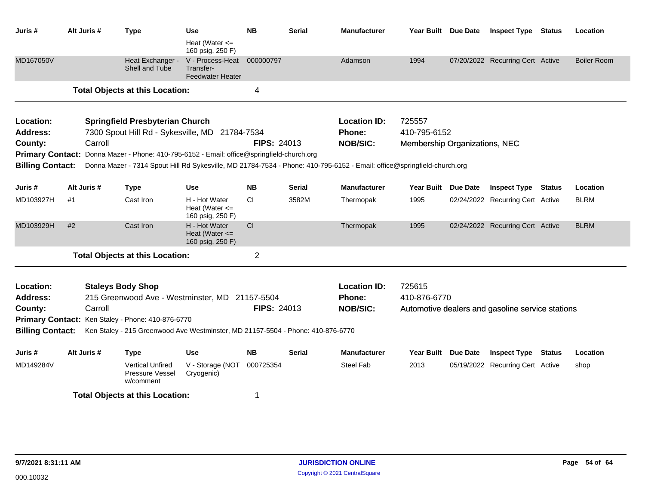| Juris #                 |    | Alt Juris # | <b>Type</b>                                                                                                             | <b>Use</b><br>Heat (Water $\leq$                         | <b>NB</b>          | <b>Serial</b> | <b>Manufacturer</b> | Year Built Due Date           |                 | <b>Inspect Type Status</b>                       | Location           |
|-------------------------|----|-------------|-------------------------------------------------------------------------------------------------------------------------|----------------------------------------------------------|--------------------|---------------|---------------------|-------------------------------|-----------------|--------------------------------------------------|--------------------|
|                         |    |             |                                                                                                                         | 160 psig, 250 F)                                         |                    |               |                     |                               |                 |                                                  |                    |
| MD167050V               |    |             | Heat Exchanger -<br>Shell and Tube                                                                                      | V - Process-Heat<br>Transfer-<br><b>Feedwater Heater</b> | 000000797          |               | Adamson             | 1994                          |                 | 07/20/2022 Recurring Cert Active                 | <b>Boiler Room</b> |
|                         |    |             | <b>Total Objects at this Location:</b>                                                                                  |                                                          | 4                  |               |                     |                               |                 |                                                  |                    |
| Location:               |    |             | <b>Springfield Presbyterian Church</b>                                                                                  |                                                          |                    |               | <b>Location ID:</b> | 725557                        |                 |                                                  |                    |
| <b>Address:</b>         |    |             | 7300 Spout Hill Rd - Sykesville, MD 21784-7534                                                                          |                                                          |                    |               | <b>Phone:</b>       | 410-795-6152                  |                 |                                                  |                    |
| County:                 |    | Carroll     |                                                                                                                         |                                                          | <b>FIPS: 24013</b> |               | <b>NOB/SIC:</b>     | Membership Organizations, NEC |                 |                                                  |                    |
| <b>Primary Contact:</b> |    |             | Donna Mazer - Phone: 410-795-6152 - Email: office@springfield-church.org                                                |                                                          |                    |               |                     |                               |                 |                                                  |                    |
| <b>Billing Contact:</b> |    |             | Donna Mazer - 7314 Spout Hill Rd Sykesville, MD 21784-7534 - Phone: 410-795-6152 - Email: office@springfield-church.org |                                                          |                    |               |                     |                               |                 |                                                  |                    |
| Juris #                 |    | Alt Juris # | <b>Type</b>                                                                                                             | Use                                                      | <b>NB</b>          | <b>Serial</b> | <b>Manufacturer</b> | Year Built Due Date           |                 | <b>Inspect Type Status</b>                       | Location           |
| MD103927H               | #1 |             | Cast Iron                                                                                                               | H - Hot Water<br>Heat (Water $\leq$<br>160 psig, 250 F)  | CI                 | 3582M         | Thermopak           | 1995                          |                 | 02/24/2022 Recurring Cert Active                 | <b>BLRM</b>        |
| MD103929H               | #2 |             | Cast Iron                                                                                                               | H - Hot Water<br>Heat (Water $\leq$<br>160 psig, 250 F)  | <sub>CI</sub>      |               | Thermopak           | 1995                          |                 | 02/24/2022 Recurring Cert Active                 | <b>BLRM</b>        |
|                         |    |             | <b>Total Objects at this Location:</b>                                                                                  |                                                          | $\overline{2}$     |               |                     |                               |                 |                                                  |                    |
| Location:               |    |             | <b>Staleys Body Shop</b>                                                                                                |                                                          |                    |               | <b>Location ID:</b> | 725615                        |                 |                                                  |                    |
| <b>Address:</b>         |    |             | 215 Greenwood Ave - Westminster, MD 21157-5504                                                                          |                                                          |                    |               | Phone:              | 410-876-6770                  |                 |                                                  |                    |
| County:                 |    | Carroll     |                                                                                                                         |                                                          | <b>FIPS: 24013</b> |               | <b>NOB/SIC:</b>     |                               |                 | Automotive dealers and gasoline service stations |                    |
|                         |    |             | Primary Contact: Ken Staley - Phone: 410-876-6770                                                                       |                                                          |                    |               |                     |                               |                 |                                                  |                    |
|                         |    |             | Billing Contact: Ken Staley - 215 Greenwood Ave Westminster, MD 21157-5504 - Phone: 410-876-6770                        |                                                          |                    |               |                     |                               |                 |                                                  |                    |
| Juris #                 |    | Alt Juris # | <b>Type</b>                                                                                                             | <b>Use</b>                                               | <b>NB</b>          | <b>Serial</b> | <b>Manufacturer</b> | Year Built                    | <b>Due Date</b> | <b>Inspect Type Status</b>                       | Location           |
| MD149284V               |    |             | <b>Vertical Unfired</b><br>Pressure Vessel<br>w/comment                                                                 | V - Storage (NOT<br>Cryogenic)                           | 000725354          |               | Steel Fab           | 2013                          |                 | 05/19/2022 Recurring Cert Active                 | shop               |
|                         |    |             | <b>Total Objects at this Location:</b>                                                                                  |                                                          | 1                  |               |                     |                               |                 |                                                  |                    |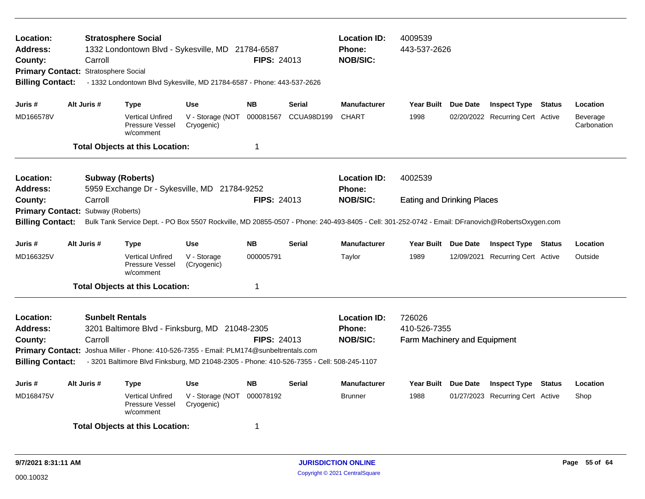| Location:<br><b>Address:</b><br>County:<br>Primary Contact: Stratosphere Social<br><b>Billing Contact:</b> | Carroll     | <b>Stratosphere Social</b><br>1332 Londontown Blvd - Sykesville, MD 21784-6587<br>- 1332 Londontown Blvd Sykesville, MD 21784-6587 - Phone: 443-537-2626                                                                                                         |                                          | <b>FIPS: 24013</b> |               | <b>Location ID:</b><br><b>Phone:</b><br><b>NOB/SIC:</b> | 4009539<br>443-537-2626                                |            |                                  |               |                         |
|------------------------------------------------------------------------------------------------------------|-------------|------------------------------------------------------------------------------------------------------------------------------------------------------------------------------------------------------------------------------------------------------------------|------------------------------------------|--------------------|---------------|---------------------------------------------------------|--------------------------------------------------------|------------|----------------------------------|---------------|-------------------------|
| Juris #                                                                                                    | Alt Juris # | Type                                                                                                                                                                                                                                                             | <b>Use</b>                               | <b>NB</b>          | <b>Serial</b> | <b>Manufacturer</b>                                     | Year Built Due Date                                    |            | <b>Inspect Type Status</b>       |               | Location                |
| MD166578V                                                                                                  |             | <b>Vertical Unfired</b><br><b>Pressure Vessel</b><br>w/comment                                                                                                                                                                                                   | V - Storage (NOT 000081567<br>Cryogenic) |                    | CCUA98D199    | <b>CHART</b>                                            | 1998                                                   |            | 02/20/2022 Recurring Cert Active |               | Beverage<br>Carbonation |
|                                                                                                            |             | <b>Total Objects at this Location:</b>                                                                                                                                                                                                                           |                                          | 1                  |               |                                                         |                                                        |            |                                  |               |                         |
| Location:<br><b>Address:</b>                                                                               |             | <b>Subway (Roberts)</b><br>5959 Exchange Dr - Sykesville, MD 21784-9252                                                                                                                                                                                          |                                          |                    |               | <b>Location ID:</b><br>Phone:                           | 4002539                                                |            |                                  |               |                         |
| County:<br><b>Primary Contact:</b><br><b>Billing Contact:</b>                                              | Carroll     | Subway (Roberts)<br>Bulk Tank Service Dept. - PO Box 5507 Rockville, MD 20855-0507 - Phone: 240-493-8405 - Cell: 301-252-0742 - Email: DFranovich@RobertsOxygen.com                                                                                              |                                          | FIPS: 24013        |               | <b>NOB/SIC:</b>                                         | <b>Eating and Drinking Places</b>                      |            |                                  |               |                         |
| Juris #                                                                                                    | Alt Juris # | <b>Type</b>                                                                                                                                                                                                                                                      | <b>Use</b>                               | <b>NB</b>          | <b>Serial</b> | <b>Manufacturer</b>                                     | Year Built Due Date                                    |            | <b>Inspect Type Status</b>       |               | Location                |
| MD166325V                                                                                                  |             | <b>Vertical Unfired</b><br>Pressure Vessel<br>w/comment                                                                                                                                                                                                          | V - Storage<br>(Cryogenic)               | 000005791          |               | Taylor                                                  | 1989                                                   | 12/09/2021 | <b>Recurring Cert Active</b>     |               | Outside                 |
|                                                                                                            |             | <b>Total Objects at this Location:</b>                                                                                                                                                                                                                           |                                          | 1                  |               |                                                         |                                                        |            |                                  |               |                         |
| Location:<br>Address:<br>County:<br><b>Billing Contact:</b>                                                | Carroll     | <b>Sunbelt Rentals</b><br>3201 Baltimore Blvd - Finksburg, MD 21048-2305<br>Primary Contact: Joshua Miller - Phone: 410-526-7355 - Email: PLM174@sunbeltrentals.com<br>- 3201 Baltimore Blvd Finksburg, MD 21048-2305 - Phone: 410-526-7355 - Cell: 508-245-1107 |                                          | <b>FIPS: 24013</b> |               | <b>Location ID:</b><br><b>Phone:</b><br><b>NOB/SIC:</b> | 726026<br>410-526-7355<br>Farm Machinery and Equipment |            |                                  |               |                         |
| Juris #                                                                                                    | Alt Juris # | Type                                                                                                                                                                                                                                                             | Use                                      | <b>NB</b>          | <b>Serial</b> | <b>Manufacturer</b>                                     | Year Built Due Date                                    |            | <b>Inspect Type</b>              | <b>Status</b> | Location                |
| MD168475V                                                                                                  |             | <b>Vertical Unfired</b><br>Pressure Vessel<br>w/comment                                                                                                                                                                                                          | V - Storage (NOT<br>Cryogenic)           | 000078192          |               | <b>Brunner</b>                                          | 1988                                                   |            | 01/27/2023 Recurring Cert Active |               | Shop                    |
|                                                                                                            |             | <b>Total Objects at this Location:</b>                                                                                                                                                                                                                           |                                          | 1                  |               |                                                         |                                                        |            |                                  |               |                         |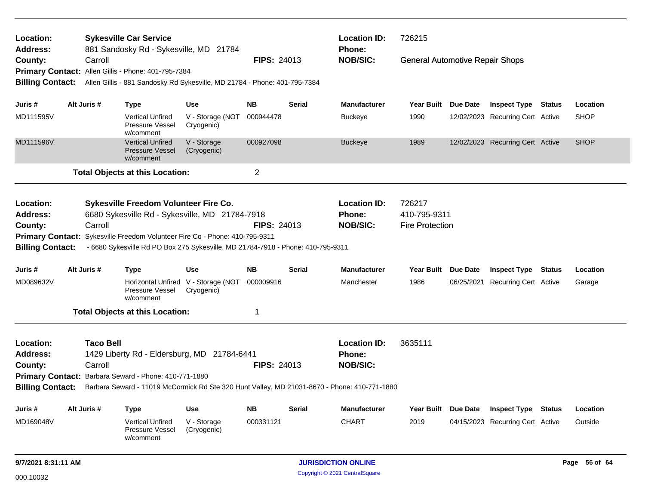| Location:<br><b>Address:</b>                                                                                                                                    |                                                                                                                                                                                                                                                                                                 |             | <b>Sykesville Car Service</b><br>881 Sandosky Rd - Sykesville, MD 21784 |                                                                           |                    |                                                  | <b>Location ID:</b><br>Phone:                                                                | 726215                                           |                 |                                  |               |
|-----------------------------------------------------------------------------------------------------------------------------------------------------------------|-------------------------------------------------------------------------------------------------------------------------------------------------------------------------------------------------------------------------------------------------------------------------------------------------|-------------|-------------------------------------------------------------------------|---------------------------------------------------------------------------|--------------------|--------------------------------------------------|----------------------------------------------------------------------------------------------|--------------------------------------------------|-----------------|----------------------------------|---------------|
| County:                                                                                                                                                         |                                                                                                                                                                                                                                                                                                 | Carroll     |                                                                         |                                                                           | <b>FIPS: 24013</b> |                                                  | <b>NOB/SIC:</b>                                                                              | <b>General Automotive Repair Shops</b>           |                 |                                  |               |
|                                                                                                                                                                 |                                                                                                                                                                                                                                                                                                 |             | Primary Contact: Allen Gillis - Phone: 401-795-7384                     |                                                                           |                    |                                                  |                                                                                              |                                                  |                 |                                  |               |
| <b>Billing Contact:</b>                                                                                                                                         |                                                                                                                                                                                                                                                                                                 |             |                                                                         | Allen Gillis - 881 Sandosky Rd Sykesville, MD 21784 - Phone: 401-795-7384 |                    |                                                  |                                                                                              |                                                  |                 |                                  |               |
| Juris #                                                                                                                                                         |                                                                                                                                                                                                                                                                                                 | Alt Juris # | Type                                                                    | <b>Use</b>                                                                | <b>NB</b>          | <b>Serial</b>                                    | <b>Manufacturer</b>                                                                          | Year Built                                       | Due Date        | <b>Inspect Type Status</b>       | Location      |
| MD111595V                                                                                                                                                       |                                                                                                                                                                                                                                                                                                 |             | <b>Vertical Unfired</b><br>Pressure Vessel<br>w/comment                 | V - Storage (NOT<br>Cryogenic)                                            | 000944478          |                                                  | <b>Buckeye</b>                                                                               | 1990                                             |                 | 12/02/2023 Recurring Cert Active | <b>SHOP</b>   |
| MD111596V                                                                                                                                                       |                                                                                                                                                                                                                                                                                                 |             | <b>Vertical Unfired</b><br><b>Pressure Vessel</b><br>w/comment          | V - Storage<br>(Cryogenic)                                                | 000927098          |                                                  | <b>Buckeye</b>                                                                               | 1989                                             |                 | 12/02/2023 Recurring Cert Active | <b>SHOP</b>   |
|                                                                                                                                                                 |                                                                                                                                                                                                                                                                                                 |             | <b>Total Objects at this Location:</b>                                  |                                                                           | $\overline{c}$     |                                                  |                                                                                              |                                                  |                 |                                  |               |
| Location:<br>Address:<br>County:                                                                                                                                | Sykesville Freedom Volunteer Fire Co.<br>6680 Sykesville Rd - Sykesville, MD 21784-7918<br>Carroll<br>Primary Contact: Sykesville Freedom Volunteer Fire Co - Phone: 410-795-9311<br><b>Billing Contact:</b><br>- 6680 Sykesville Rd PO Box 275 Sykesville, MD 21784-7918 - Phone: 410-795-9311 |             |                                                                         |                                                                           |                    |                                                  | <b>Location ID:</b><br>Phone:<br><b>NOB/SIC:</b>                                             | 726217<br>410-795-9311<br><b>Fire Protection</b> |                 |                                  |               |
|                                                                                                                                                                 |                                                                                                                                                                                                                                                                                                 |             |                                                                         |                                                                           |                    |                                                  |                                                                                              |                                                  |                 |                                  |               |
| Juris #                                                                                                                                                         |                                                                                                                                                                                                                                                                                                 | Alt Juris # | <b>Type</b>                                                             | Use                                                                       | <b>NB</b>          | Serial                                           | <b>Manufacturer</b>                                                                          | Year Built Due Date                              |                 | <b>Inspect Type Status</b>       | Location      |
| MD089632V                                                                                                                                                       |                                                                                                                                                                                                                                                                                                 |             | Pressure Vessel<br>w/comment                                            | Horizontal Unfired V - Storage (NOT<br>Cryogenic)                         | 000009916          |                                                  | Manchester                                                                                   | 1986                                             |                 | 06/25/2021 Recurring Cert Active | Garage        |
|                                                                                                                                                                 |                                                                                                                                                                                                                                                                                                 |             |                                                                         |                                                                           | 1                  |                                                  |                                                                                              |                                                  |                 |                                  |               |
| <b>Total Objects at this Location:</b><br><b>Taco Bell</b><br>Location:<br><b>Address:</b><br>1429 Liberty Rd - Eldersburg, MD 21784-6441<br>Carroll<br>County: |                                                                                                                                                                                                                                                                                                 |             |                                                                         | <b>FIPS: 24013</b>                                                        |                    | <b>Location ID:</b><br>Phone:<br><b>NOB/SIC:</b> | 3635111                                                                                      |                                                  |                 |                                  |               |
|                                                                                                                                                                 |                                                                                                                                                                                                                                                                                                 |             | Primary Contact: Barbara Seward - Phone: 410-771-1880                   |                                                                           |                    |                                                  |                                                                                              |                                                  |                 |                                  |               |
| <b>Billing Contact:</b>                                                                                                                                         |                                                                                                                                                                                                                                                                                                 |             |                                                                         |                                                                           |                    |                                                  | Barbara Seward - 11019 McCormick Rd Ste 320 Hunt Valley, MD 21031-8670 - Phone: 410-771-1880 |                                                  |                 |                                  |               |
| Juris #                                                                                                                                                         |                                                                                                                                                                                                                                                                                                 | Alt Juris # | <b>Type</b>                                                             | Use                                                                       | <b>NB</b>          | Serial                                           | <b>Manufacturer</b>                                                                          | Year Built                                       | <b>Due Date</b> | <b>Inspect Type Status</b>       | Location      |
| MD169048V                                                                                                                                                       |                                                                                                                                                                                                                                                                                                 |             | <b>Vertical Unfired</b><br>Pressure Vessel<br>w/comment                 | V - Storage<br>(Cryogenic)                                                | 000331121          |                                                  | <b>CHART</b>                                                                                 | 2019                                             |                 | 04/15/2023 Recurring Cert Active | Outside       |
| 9/7/2021 8:31:11 AM                                                                                                                                             |                                                                                                                                                                                                                                                                                                 |             |                                                                         |                                                                           |                    |                                                  | <b>JURISDICTION ONLINE</b>                                                                   |                                                  |                 |                                  | Page 56 of 64 |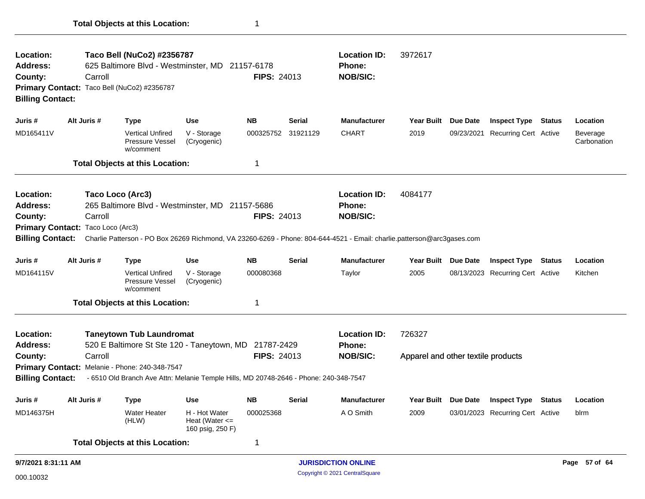| Location:<br><b>Address:</b><br>County:                            | Taco Bell (NuCo2) #2356787<br>625 Baltimore Blvd - Westminster, MD 21157-6178<br>Carroll<br>Primary Contact: Taco Bell (NuCo2) #2356787<br><b>Billing Contact:</b> |                                                                                                                                                                                                |                                                         |                    | <b>FIPS: 24013</b> | <b>Location ID:</b><br>Phone:<br><b>NOB/SIC:</b> | 3972617                                      |                 |                                  |               |                         |
|--------------------------------------------------------------------|--------------------------------------------------------------------------------------------------------------------------------------------------------------------|------------------------------------------------------------------------------------------------------------------------------------------------------------------------------------------------|---------------------------------------------------------|--------------------|--------------------|--------------------------------------------------|----------------------------------------------|-----------------|----------------------------------|---------------|-------------------------|
| Juris#                                                             | Alt Juris #                                                                                                                                                        | <b>Type</b>                                                                                                                                                                                    | <b>Use</b>                                              | <b>NB</b>          | <b>Serial</b>      | <b>Manufacturer</b>                              | <b>Year Built</b>                            | <b>Due Date</b> | <b>Inspect Type</b>              | <b>Status</b> | Location                |
| MD165411V                                                          |                                                                                                                                                                    | <b>Vertical Unfired</b><br>Pressure Vessel<br>w/comment                                                                                                                                        | V - Storage<br>(Cryogenic)                              |                    | 000325752 31921129 | <b>CHART</b>                                     | 2019                                         |                 | 09/23/2021 Recurring Cert Active |               | Beverage<br>Carbonation |
|                                                                    |                                                                                                                                                                    | <b>Total Objects at this Location:</b>                                                                                                                                                         |                                                         | 1                  |                    |                                                  |                                              |                 |                                  |               |                         |
| Location:<br><b>Address:</b><br>County:<br><b>Billing Contact:</b> | Carroll<br>Primary Contact: Taco Loco (Arc3)                                                                                                                       | Taco Loco (Arc3)<br>265 Baltimore Blvd - Westminster, MD 21157-5686<br>Charlie Patterson - PO Box 26269 Richmond, VA 23260-6269 - Phone: 804-644-4521 - Email: charlie.patterson@arc3gases.com |                                                         | <b>FIPS: 24013</b> |                    | <b>Location ID:</b><br>Phone:<br><b>NOB/SIC:</b> | 4084177                                      |                 |                                  |               |                         |
| Juris #                                                            | Alt Juris #                                                                                                                                                        | <b>Type</b>                                                                                                                                                                                    | <b>Use</b>                                              | <b>NB</b>          | Serial             | <b>Manufacturer</b>                              | Year Built Due Date                          |                 | <b>Inspect Type</b>              | <b>Status</b> | Location                |
| MD164115V                                                          |                                                                                                                                                                    | <b>Vertical Unfired</b><br>Pressure Vessel<br>w/comment                                                                                                                                        | V - Storage<br>(Cryogenic)                              | 000080368          |                    | Taylor                                           | 2005                                         |                 | 08/13/2023 Recurring Cert Active |               | Kitchen                 |
|                                                                    |                                                                                                                                                                    | <b>Total Objects at this Location:</b>                                                                                                                                                         |                                                         | $\mathbf 1$        |                    |                                                  |                                              |                 |                                  |               |                         |
| Location:<br><b>Address:</b><br>County:                            | Carroll                                                                                                                                                            | <b>Taneytown Tub Laundromat</b><br>520 E Baltimore St Ste 120 - Taneytown, MD 21787-2429                                                                                                       |                                                         | <b>FIPS: 24013</b> |                    | <b>Location ID:</b><br>Phone:<br><b>NOB/SIC:</b> | 726327<br>Apparel and other textile products |                 |                                  |               |                         |
| <b>Billing Contact:</b>                                            |                                                                                                                                                                    | Primary Contact: Melanie - Phone: 240-348-7547<br>- 6510 Old Branch Ave Attn: Melanie Temple Hills, MD 20748-2646 - Phone: 240-348-7547                                                        |                                                         |                    |                    |                                                  |                                              |                 |                                  |               |                         |
| Juris #                                                            | Alt Juris #                                                                                                                                                        | Type                                                                                                                                                                                           | <b>Use</b>                                              | <b>NB</b>          | <b>Serial</b>      | <b>Manufacturer</b>                              | <b>Year Built</b>                            | Due Date        | <b>Inspect Type</b>              | <b>Status</b> | Location                |
| MD146375H                                                          |                                                                                                                                                                    | <b>Water Heater</b><br>(HLW)                                                                                                                                                                   | H - Hot Water<br>Heat (Water $\leq$<br>160 psig, 250 F) | 000025368          |                    | A O Smith                                        | 2009                                         |                 | 03/01/2023 Recurring Cert Active |               | blrm                    |
|                                                                    |                                                                                                                                                                    | <b>Total Objects at this Location:</b>                                                                                                                                                         |                                                         | 1                  |                    |                                                  |                                              |                 |                                  |               |                         |
| 9/7/2021 8:31:11 AM                                                |                                                                                                                                                                    |                                                                                                                                                                                                |                                                         |                    |                    | <b>JURISDICTION ONLINE</b>                       |                                              |                 |                                  |               | Page 57 of 64           |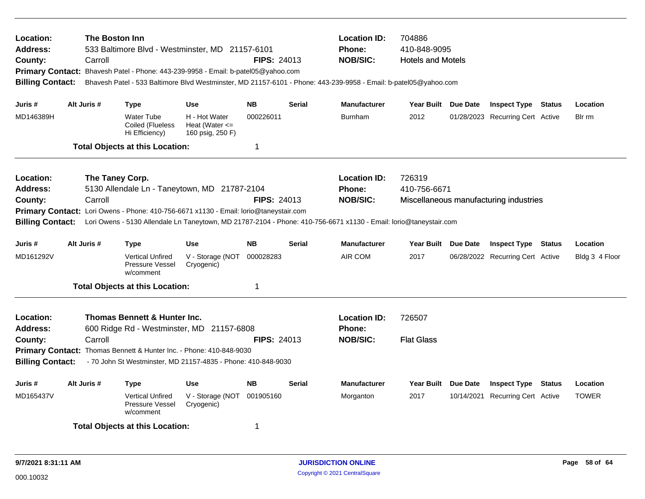| Location:<br>Address:<br>County:<br><b>Billing Contact:</b>        |             | The Boston Inn<br>Carroll  |                                                         | 533 Baltimore Blvd - Westminster, MD 21157-6101<br>Primary Contact: Bhavesh Patel - Phone: 443-239-9958 - Email: b-patel05@yahoo.com                                              | <b>FIPS: 24013</b> |               | <b>Location ID:</b><br>704886<br>410-848-9095<br><b>Phone:</b><br><b>NOB/SIC:</b><br><b>Hotels and Motels</b><br>Bhavesh Patel - 533 Baltimore Blvd Westminster, MD 21157-6101 - Phone: 443-239-9958 - Email: b-patel05@yahoo.com |                             |  |                                        |        |                |
|--------------------------------------------------------------------|-------------|----------------------------|---------------------------------------------------------|-----------------------------------------------------------------------------------------------------------------------------------------------------------------------------------|--------------------|---------------|-----------------------------------------------------------------------------------------------------------------------------------------------------------------------------------------------------------------------------------|-----------------------------|--|----------------------------------------|--------|----------------|
| Juris #                                                            | Alt Juris # |                            | <b>Type</b>                                             | <b>Use</b>                                                                                                                                                                        | <b>NB</b>          | <b>Serial</b> | <b>Manufacturer</b>                                                                                                                                                                                                               | Year Built Due Date         |  | <b>Inspect Type Status</b>             |        | Location       |
| MD146389H                                                          |             |                            | <b>Water Tube</b><br>Coiled (Flueless<br>Hi Efficiency) | H - Hot Water<br>Heat (Water $\leq$<br>160 psig, 250 F)                                                                                                                           | 000226011          |               | <b>Burnham</b>                                                                                                                                                                                                                    | 2012                        |  | 01/28/2023 Recurring Cert Active       |        | Bir rm         |
|                                                                    |             |                            | <b>Total Objects at this Location:</b>                  |                                                                                                                                                                                   | 1                  |               |                                                                                                                                                                                                                                   |                             |  |                                        |        |                |
| Location:<br><b>Address:</b><br>County:<br><b>Billing Contact:</b> |             | The Taney Corp.<br>Carroll |                                                         | 5130 Allendale Ln - Taneytown, MD 21787-2104<br>Primary Contact: Lori Owens - Phone: 410-756-6671 x1130 - Email: lorio@taneystair.com                                             | <b>FIPS: 24013</b> |               | <b>Location ID:</b><br>Phone:<br><b>NOB/SIC:</b><br>Lori Owens - 5130 Allendale Ln Taneytown, MD 21787-2104 - Phone: 410-756-6671 x1130 - Email: lorio@taneystair.com                                                             | 726319<br>410-756-6671      |  | Miscellaneous manufacturing industries |        |                |
| Juris #                                                            | Alt Juris # |                            | <b>Type</b>                                             | <b>Use</b>                                                                                                                                                                        | <b>NB</b>          | <b>Serial</b> | <b>Manufacturer</b>                                                                                                                                                                                                               | Year Built Due Date         |  | <b>Inspect Type Status</b>             |        | Location       |
| MD161292V                                                          |             |                            | <b>Vertical Unfired</b><br>Pressure Vessel<br>w/comment | V - Storage (NOT<br>Cryogenic)                                                                                                                                                    | 000028283          |               | AIR COM                                                                                                                                                                                                                           | 2017                        |  | 06/28/2022 Recurring Cert Active       |        | Bldg 3 4 Floor |
|                                                                    |             |                            | <b>Total Objects at this Location:</b>                  |                                                                                                                                                                                   | 1                  |               |                                                                                                                                                                                                                                   |                             |  |                                        |        |                |
| Location:<br><b>Address:</b><br>County:<br><b>Billing Contact:</b> |             | Carroll                    | <b>Thomas Bennett &amp; Hunter Inc.</b>                 | 600 Ridge Rd - Westminster, MD 21157-6808<br>Primary Contact: Thomas Bennett & Hunter Inc. - Phone: 410-848-9030<br>- 70 John St Westminster, MD 21157-4835 - Phone: 410-848-9030 | <b>FIPS: 24013</b> |               | <b>Location ID:</b><br><b>Phone:</b><br><b>NOB/SIC:</b>                                                                                                                                                                           | 726507<br><b>Flat Glass</b> |  |                                        |        |                |
| Juris #                                                            | Alt Juris # |                            | <b>Type</b>                                             | <b>Use</b>                                                                                                                                                                        | <b>NB</b>          | <b>Serial</b> | Manufacturer                                                                                                                                                                                                                      | Year Built Due Date         |  | <b>Inspect Type</b>                    | Status | Location       |
| MD165437V                                                          |             |                            | <b>Vertical Unfired</b><br>Pressure Vessel<br>w/comment | V - Storage (NOT<br>Cryogenic)                                                                                                                                                    | 001905160          |               | Morganton                                                                                                                                                                                                                         | 2017                        |  | 10/14/2021 Recurring Cert Active       |        | <b>TOWER</b>   |
| <b>Total Objects at this Location:</b><br>1                        |             |                            |                                                         |                                                                                                                                                                                   |                    |               |                                                                                                                                                                                                                                   |                             |  |                                        |        |                |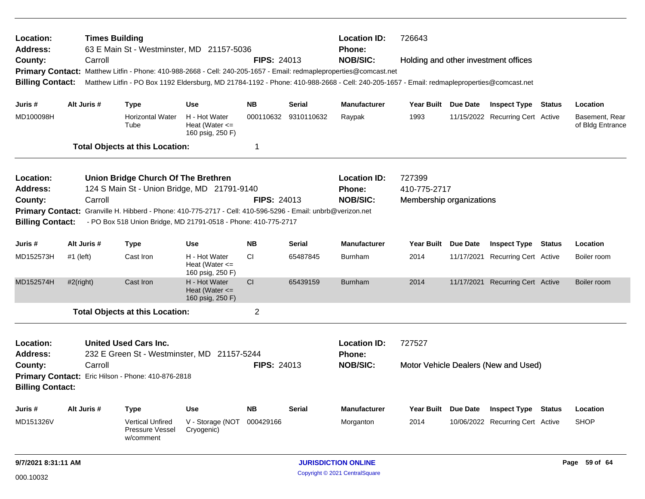| Location:<br>Address:                              | <b>Times Building</b><br><b>Location ID:</b><br>726643<br>63 E Main St - Westminster, MD 21157-5036<br><b>Phone:</b>                                                          |                                        |                                                                |                                                                                                                                           |                    |               |                                      |                          |                 |                                      |                                    |
|----------------------------------------------------|-------------------------------------------------------------------------------------------------------------------------------------------------------------------------------|----------------------------------------|----------------------------------------------------------------|-------------------------------------------------------------------------------------------------------------------------------------------|--------------------|---------------|--------------------------------------|--------------------------|-----------------|--------------------------------------|------------------------------------|
| County:                                            | Carroll                                                                                                                                                                       |                                        |                                                                |                                                                                                                                           | <b>FIPS: 24013</b> |               | <b>NOB/SIC:</b>                      |                          |                 | Holding and other investment offices |                                    |
|                                                    |                                                                                                                                                                               |                                        |                                                                | Primary Contact: Matthew Litfin - Phone: 410-988-2668 - Cell: 240-205-1657 - Email: redmapleproperties@comcast.net                        |                    |               |                                      |                          |                 |                                      |                                    |
| <b>Billing Contact:</b>                            |                                                                                                                                                                               |                                        |                                                                | Matthew Litfin - PO Box 1192 Eldersburg, MD 21784-1192 - Phone: 410-988-2668 - Cell: 240-205-1657 - Email: redmapleproperties@comcast.net |                    |               |                                      |                          |                 |                                      |                                    |
| Juris #                                            | Alt Juris #                                                                                                                                                                   | <b>Type</b>                            |                                                                | <b>Use</b>                                                                                                                                | <b>NB</b>          | Serial        | <b>Manufacturer</b>                  | Year Built Due Date      |                 | <b>Inspect Type Status</b>           | Location                           |
| MD100098H                                          |                                                                                                                                                                               | Tube                                   | <b>Horizontal Water</b>                                        | H - Hot Water<br>Heat (Water $\leq$<br>160 psig, 250 F)                                                                                   | 000110632          | 9310110632    | Raypak                               | 1993                     |                 | 11/15/2022 Recurring Cert Active     | Basement, Rear<br>of Bldg Entrance |
|                                                    |                                                                                                                                                                               | <b>Total Objects at this Location:</b> |                                                                |                                                                                                                                           | 1                  |               |                                      |                          |                 |                                      |                                    |
| Location:                                          |                                                                                                                                                                               |                                        |                                                                | Union Bridge Church Of The Brethren                                                                                                       |                    |               | <b>Location ID:</b>                  | 727399                   |                 |                                      |                                    |
| <b>Address:</b>                                    |                                                                                                                                                                               |                                        |                                                                | 124 S Main St - Union Bridge, MD 21791-9140                                                                                               |                    |               | <b>Phone:</b>                        | 410-775-2717             |                 |                                      |                                    |
| County:                                            | Carroll                                                                                                                                                                       |                                        |                                                                |                                                                                                                                           | <b>FIPS: 24013</b> |               | <b>NOB/SIC:</b>                      | Membership organizations |                 |                                      |                                    |
| <b>Billing Contact:</b>                            | Primary Contact: Granville H. Hibberd - Phone: 410-775-2717 - Cell: 410-596-5296 - Email: unbrb@verizon.net<br>- PO Box 518 Union Bridge, MD 21791-0518 - Phone: 410-775-2717 |                                        |                                                                |                                                                                                                                           |                    |               |                                      |                          |                 |                                      |                                    |
| Juris #                                            | Alt Juris #                                                                                                                                                                   | <b>Type</b>                            |                                                                | <b>Use</b>                                                                                                                                | <b>NB</b>          | <b>Serial</b> | <b>Manufacturer</b>                  | <b>Year Built</b>        | <b>Due Date</b> | <b>Inspect Type Status</b>           | Location                           |
| MD152573H                                          | $#1$ (left)                                                                                                                                                                   | Cast Iron                              |                                                                | H - Hot Water<br>Heat (Water $\leq$<br>160 psig, 250 F)                                                                                   | СI                 | 65487845      | Burnham                              | 2014                     |                 | 11/17/2021 Recurring Cert Active     | Boiler room                        |
| MD152574H                                          | $#2$ (right)                                                                                                                                                                  | Cast Iron                              |                                                                | H - Hot Water<br>Heat (Water $\leq$<br>160 psig, 250 F)                                                                                   | CI                 | 65439159      | <b>Burnham</b>                       | 2014                     |                 | 11/17/2021 Recurring Cert Active     | Boiler room                        |
|                                                    |                                                                                                                                                                               | <b>Total Objects at this Location:</b> |                                                                |                                                                                                                                           | $\overline{2}$     |               |                                      |                          |                 |                                      |                                    |
| Location:<br><b>Address:</b>                       |                                                                                                                                                                               | <b>United Used Cars Inc.</b>           |                                                                | 232 E Green St - Westminster, MD 21157-5244                                                                                               |                    |               | <b>Location ID:</b><br><b>Phone:</b> | 727527                   |                 |                                      |                                    |
| County:                                            | Carroll                                                                                                                                                                       |                                        |                                                                |                                                                                                                                           | <b>FIPS: 24013</b> |               | <b>NOB/SIC:</b>                      |                          |                 | Motor Vehicle Dealers (New and Used) |                                    |
| Primary Contact: Eric Hilson - Phone: 410-876-2818 |                                                                                                                                                                               |                                        |                                                                |                                                                                                                                           |                    |               |                                      |                          |                 |                                      |                                    |
| <b>Billing Contact:</b>                            |                                                                                                                                                                               |                                        |                                                                |                                                                                                                                           |                    |               |                                      |                          |                 |                                      |                                    |
| Juris #                                            | Alt Juris #                                                                                                                                                                   | <b>Type</b>                            |                                                                | <b>Use</b>                                                                                                                                | <b>NB</b>          | <b>Serial</b> | Manufacturer                         | Year Built Due Date      |                 | <b>Inspect Type Status</b>           | Location                           |
| MD151326V                                          |                                                                                                                                                                               |                                        | <b>Vertical Unfired</b><br><b>Pressure Vessel</b><br>w/comment | V - Storage (NOT<br>Cryogenic)                                                                                                            | 000429166          |               | Morganton                            | 2014                     |                 | 10/06/2022 Recurring Cert Active     | <b>SHOP</b>                        |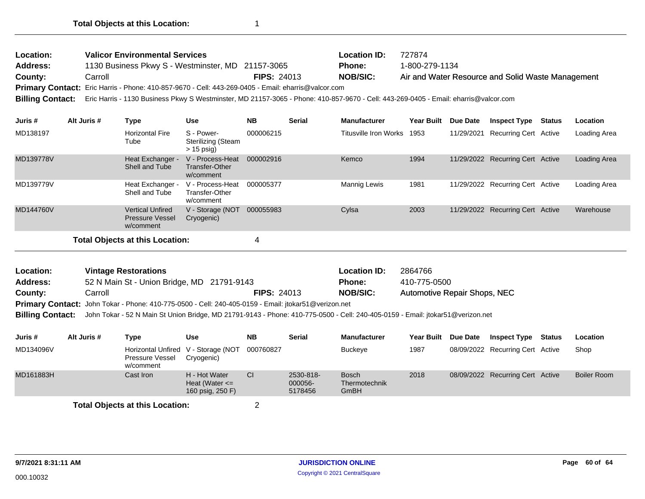| Location:<br><b>Address:</b><br>County:<br>Primary Contact: Eric Harris - Phone: 410-857-9670 - Cell: 443-269-0405 - Email: eharris@valcor.com<br><b>Billing Contact:</b> | <b>Valicor Environmental Services</b><br>1130 Business Pkwy S - Westminster, MD 21157-3065 | <b>FIPS: 24013</b>                                             |                                                        | <b>Location ID:</b><br><b>Phone:</b><br><b>NOB/SIC:</b><br>Eric Harris - 1130 Business Pkwy S Westminster, MD 21157-3065 - Phone: 410-857-9670 - Cell: 443-269-0405 - Email: eharris@valcor.com | 727874<br>1-800-279-1134 |                       | Air and Water Resource and Solid Waste Management |          |                                  |        |              |
|---------------------------------------------------------------------------------------------------------------------------------------------------------------------------|--------------------------------------------------------------------------------------------|----------------------------------------------------------------|--------------------------------------------------------|-------------------------------------------------------------------------------------------------------------------------------------------------------------------------------------------------|--------------------------|-----------------------|---------------------------------------------------|----------|----------------------------------|--------|--------------|
| Juris #                                                                                                                                                                   | Alt Juris #                                                                                | <b>Type</b>                                                    | <b>Use</b>                                             | <b>NB</b>                                                                                                                                                                                       | <b>Serial</b>            | <b>Manufacturer</b>   | <b>Year Built</b>                                 | Due Date | <b>Inspect Type</b>              | Status | Location     |
| MD138197                                                                                                                                                                  |                                                                                            | <b>Horizontal Fire</b><br>Tube                                 | S - Power-<br>Sterilizing (Steam<br>$> 15$ psig)       | 000006215                                                                                                                                                                                       |                          | Titusville Iron Works | 1953                                              |          | 11/29/2021 Recurring Cert Active |        | Loading Area |
| MD139778V                                                                                                                                                                 |                                                                                            | Heat Exchanger -<br>Shell and Tube                             | V - Process-Heat<br>Transfer-Other<br>w/comment        | 000002916                                                                                                                                                                                       |                          | Kemco                 | 1994                                              |          | 11/29/2022 Recurring Cert Active |        | Loading Area |
| MD139779V                                                                                                                                                                 |                                                                                            | Heat Exchanger -<br>Shell and Tube                             | V - Process-Heat<br><b>Transfer-Other</b><br>w/comment | 000005377                                                                                                                                                                                       |                          | <b>Mannig Lewis</b>   | 1981                                              |          | 11/29/2022 Recurring Cert Active |        | Loading Area |
| MD144760V                                                                                                                                                                 |                                                                                            | <b>Vertical Unfired</b><br><b>Pressure Vessel</b><br>w/comment | V - Storage (NOT<br>Cryogenic)                         | 000055983                                                                                                                                                                                       |                          | Cylsa                 | 2003                                              |          | 11/29/2022 Recurring Cert Active |        | Warehouse    |
|                                                                                                                                                                           |                                                                                            | <b>Total Objects at this Location:</b>                         |                                                        | 4                                                                                                                                                                                               |                          |                       |                                                   |          |                                  |        |              |

| <b>Location:</b> | <b>Vintage Restorations</b>                |                                                                                                                                                                                                                                              | <b>Location ID:</b> | 2864766                      |
|------------------|--------------------------------------------|----------------------------------------------------------------------------------------------------------------------------------------------------------------------------------------------------------------------------------------------|---------------------|------------------------------|
| <b>Address:</b>  | 52 N Main St - Union Bridge, MD 21791-9143 |                                                                                                                                                                                                                                              | Phone:              | 410-775-0500                 |
| County:          | Carroll                                    | <b>FIPS: 24013</b>                                                                                                                                                                                                                           | NOB/SIC:            | Automotive Repair Shops, NEC |
|                  |                                            | Primary Contact: John Tokar - Phone: 410-775-0500 - Cell: 240-405-0159 - Email: jtokar51@verizon.net                                                                                                                                         |                     |                              |
|                  |                                            | $\mathbf{B}^{\text{H}}$ . A state that $\tau$ is a state of the state of the state $\mathbf{B}$ is the state of the state of the state of the state of the state of the state of the state of the state of the state of the state of the sta |                     |                              |

**Billing Contact:** John Tokar - 52 N Main St Union Bridge, MD 21791-9143 - Phone: 410-775-0500 - Cell: 240-405-0159 - Email: jtokar51@verizon.net

| Juris #   | Alt Juris # | Type                                   | Use                                                     | <b>NB</b> | <b>Serial</b>                   | <b>Manufacturer</b>                          | Year Built Due Date | <b>Inspect Type</b>              | Status | Location           |
|-----------|-------------|----------------------------------------|---------------------------------------------------------|-----------|---------------------------------|----------------------------------------------|---------------------|----------------------------------|--------|--------------------|
| MD134096V |             | Pressure Vessel<br>w/comment           | Horizontal Unfired V - Storage (NOT<br>Cryogenic)       | 000760827 |                                 | Buckeye                                      | 1987                | 08/09/2022 Recurring Cert Active |        | Shop               |
| MD161883H |             | Cast Iron                              | H - Hot Water<br>Heat (Water $\leq$<br>160 psig, 250 F) | CI        | 2530-818-<br>000056-<br>5178456 | <b>Bosch</b><br>Thermotechnik<br><b>GmBH</b> | 2018                | 08/09/2022 Recurring Cert Active |        | <b>Boiler Room</b> |
|           |             | <b>Total Objects at this Location:</b> |                                                         |           |                                 |                                              |                     |                                  |        |                    |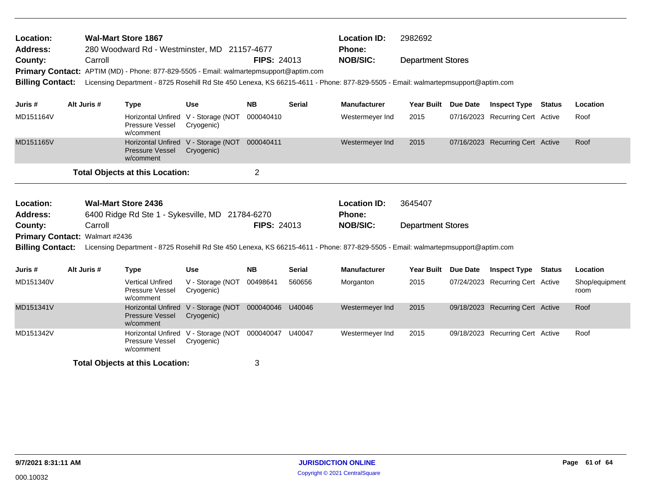| Location:<br>Address:<br>County:          | <b>Wal-Mart Store 1867</b><br>280 Woodward Rd - Westminster, MD 21157-4677<br>Carroll<br>Primary Contact: APTIM (MD) - Phone: 877-829-5505 - Email: walmartepmsupport@aptim.com |             |                                                                               |                                          | <b>FIPS: 24013</b> |               | <b>Location ID:</b><br><b>Phone:</b><br><b>NOB/SIC:</b>                                                                          | 2982692<br><b>Department Stores</b> |          |                                  |        |                        |  |
|-------------------------------------------|---------------------------------------------------------------------------------------------------------------------------------------------------------------------------------|-------------|-------------------------------------------------------------------------------|------------------------------------------|--------------------|---------------|----------------------------------------------------------------------------------------------------------------------------------|-------------------------------------|----------|----------------------------------|--------|------------------------|--|
| <b>Billing Contact:</b>                   |                                                                                                                                                                                 |             |                                                                               |                                          |                    |               | Licensing Department - 8725 Rosehill Rd Ste 450 Lenexa, KS 66215-4611 - Phone: 877-829-5505 - Email: walmartepmsupport@aptim.com |                                     |          |                                  |        |                        |  |
| Juris #                                   |                                                                                                                                                                                 | Alt Juris # | <b>Type</b>                                                                   | <b>Use</b>                               | <b>NB</b>          | <b>Serial</b> | <b>Manufacturer</b>                                                                                                              | <b>Year Built</b>                   | Due Date | <b>Inspect Type</b>              | Status | Location               |  |
| MD151164V                                 |                                                                                                                                                                                 |             | <b>Horizontal Unfired</b><br><b>Pressure Vessel</b><br>w/comment              | V - Storage (NOT<br>Cryogenic)           | 000040410          |               | Westermeyer Ind                                                                                                                  | 2015                                |          | 07/16/2023 Recurring Cert Active |        | Roof                   |  |
| MD151165V                                 |                                                                                                                                                                                 |             | <b>Horizontal Unfired</b><br><b>Pressure Vessel</b><br>w/comment              | V - Storage (NOT 000040411<br>Cryogenic) |                    |               | Westermeyer Ind                                                                                                                  | 2015                                |          | 07/16/2023 Recurring Cert Active |        | Roof                   |  |
|                                           |                                                                                                                                                                                 |             | <b>Total Objects at this Location:</b>                                        |                                          | $\overline{2}$     |               |                                                                                                                                  |                                     |          |                                  |        |                        |  |
| Location:<br><b>Address:</b>              |                                                                                                                                                                                 |             | <b>Wal-Mart Store 2436</b><br>6400 Ridge Rd Ste 1 - Sykesville, MD 21784-6270 |                                          |                    |               | <b>Location ID:</b><br><b>Phone:</b>                                                                                             | 3645407                             |          |                                  |        |                        |  |
| County:<br>Primary Contact: Walmart #2436 |                                                                                                                                                                                 | Carroll     |                                                                               |                                          | <b>FIPS: 24013</b> |               | <b>NOB/SIC:</b>                                                                                                                  | <b>Department Stores</b>            |          |                                  |        |                        |  |
| <b>Billing Contact:</b>                   |                                                                                                                                                                                 |             |                                                                               |                                          |                    |               | Licensing Department - 8725 Rosehill Rd Ste 450 Lenexa, KS 66215-4611 - Phone: 877-829-5505 - Email: walmartepmsupport@aptim.com |                                     |          |                                  |        |                        |  |
| Juris #                                   |                                                                                                                                                                                 | Alt Juris # | <b>Type</b>                                                                   | <b>Use</b>                               | <b>NB</b>          | <b>Serial</b> | <b>Manufacturer</b>                                                                                                              | <b>Year Built</b>                   | Due Date | <b>Inspect Type</b>              | Status | Location               |  |
| MD151340V                                 |                                                                                                                                                                                 |             | <b>Vertical Unfired</b><br>Pressure Vessel<br>w/comment                       | V - Storage (NOT<br>Cryogenic)           | 00498641           | 560656        | Morganton                                                                                                                        | 2015                                |          | 07/24/2023 Recurring Cert Active |        | Shop/equipment<br>room |  |
| MD151341V                                 |                                                                                                                                                                                 |             | <b>Horizontal Unfired</b><br><b>Pressure Vessel</b><br>w/comment              | V - Storage (NOT<br>Cryogenic)           | 000040046          | U40046        | Westermeyer Ind                                                                                                                  | 2015                                |          | 09/18/2023 Recurring Cert Active |        | Roof                   |  |
| MD151342V                                 |                                                                                                                                                                                 |             | <b>Horizontal Unfired</b><br>Pressure Vessel<br>w/comment                     | V - Storage (NOT<br>Cryogenic)           | 000040047          | U40047        | Westermeyer Ind                                                                                                                  | 2015                                |          | 09/18/2023 Recurring Cert Active |        | Roof                   |  |
|                                           |                                                                                                                                                                                 |             | <b>Total Objects at this Location:</b>                                        |                                          | 3                  |               |                                                                                                                                  |                                     |          |                                  |        |                        |  |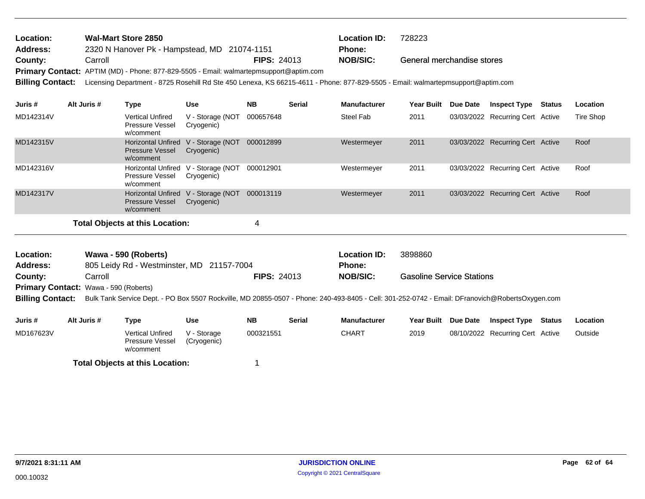| Location:               | Wal-Mart Store 2850                                                                                                              |                    | <b>Location ID:</b> | 728223                     |
|-------------------------|----------------------------------------------------------------------------------------------------------------------------------|--------------------|---------------------|----------------------------|
| Address:                | 2320 N Hanover Pk - Hampstead, MD 21074-1151                                                                                     |                    | <b>Phone:</b>       |                            |
| County:                 | Carroll                                                                                                                          | <b>FIPS: 24013</b> | <b>NOB/SIC:</b>     | General merchandise stores |
|                         | Primary Contact: APTIM (MD) - Phone: 877-829-5505 - Email: walmartepmsupport@aptim.com                                           |                    |                     |                            |
| <b>Billing Contact:</b> | Licensing Department - 8725 Rosehill Rd Ste 450 Lenexa, KS 66215-4611 - Phone: 877-829-5505 - Email: walmartepmsupport@aptim.com |                    |                     |                            |

| Juris #   | Alt Juris # | Type                                                             | <b>Use</b>                     | <b>NB</b> | <b>Serial</b> | <b>Manufacturer</b> | <b>Year Built</b> | <b>Due Date</b> | <b>Inspect Type</b>              | Status | Location  |
|-----------|-------------|------------------------------------------------------------------|--------------------------------|-----------|---------------|---------------------|-------------------|-----------------|----------------------------------|--------|-----------|
| MD142314V |             | <b>Vertical Unfired</b><br><b>Pressure Vessel</b><br>w/comment   | V - Storage (NOT<br>Cryogenic) | 000657648 |               | Steel Fab           | 2011              |                 | 03/03/2022 Recurring Cert Active |        | Tire Shop |
| MD142315V |             | <b>Horizontal Unfired</b><br><b>Pressure Vessel</b><br>w/comment | V - Storage (NOT<br>Cryogenic) | 000012899 |               | Westermeyer         | 2011              |                 | 03/03/2022 Recurring Cert Active |        | Roof      |
| MD142316V |             | Horizontal Unfired<br><b>Pressure Vessel</b><br>w/comment        | V - Storage (NOT<br>Cryogenic) | 000012901 |               | Westermeyer         | 2011              |                 | 03/03/2022 Recurring Cert Active |        | Roof      |
| MD142317V |             | <b>Horizontal Unfired</b><br><b>Pressure Vessel</b><br>w/comment | V - Storage (NOT<br>Cryogenic) | 000013119 |               | Westermeyer         | 2011              |                 | 03/03/2022 Recurring Cert Active |        | Roof      |
|           |             | Total Objects at this Location:                                  |                                | 4         |               |                     |                   |                 |                                  |        |           |

| Location:       | Wawa - 590 (Roberts)                                                                                                                                             |                    | <b>Location ID:</b> | 3898860                          |
|-----------------|------------------------------------------------------------------------------------------------------------------------------------------------------------------|--------------------|---------------------|----------------------------------|
| <b>Address:</b> | 805 Leidy Rd - Westminster, MD 21157-7004                                                                                                                        |                    | Phone:              |                                  |
| County:         | Carroll                                                                                                                                                          | <b>FIPS: 24013</b> | NOB/SIC:            | <b>Gasoline Service Stations</b> |
|                 | <b>Primary Contact: Wawa - 590 (Roberts)</b>                                                                                                                     |                    |                     |                                  |
|                 | Billing Contact: Bulk Tank Service Dept. - PO Box 5507 Rockville, MD 20855-0507 - Phone: 240-493-8405 - Cell: 301-252-0742 - Email: DFranovich@RobertsOxygen.com |                    |                     |                                  |

| Juris #   | Alt Juris # | Type                                             | Use                        | <b>NB</b> | <b>Serial</b> | <b>Manufacturer</b> | <b>Year Built</b> | Due Date | <b>Inspect Type</b>              | Status | Location |
|-----------|-------------|--------------------------------------------------|----------------------------|-----------|---------------|---------------------|-------------------|----------|----------------------------------|--------|----------|
| MD167623V |             | Vertical Unfired<br>Pressure Vessel<br>w/comment | V - Storage<br>(Cryogenic) | 000321551 |               | CHART               | 2019              |          | 08/10/2022 Recurring Cert Active |        | Outside  |
|           |             | <b>Total Objects at this Location:</b>           |                            |           |               |                     |                   |          |                                  |        |          |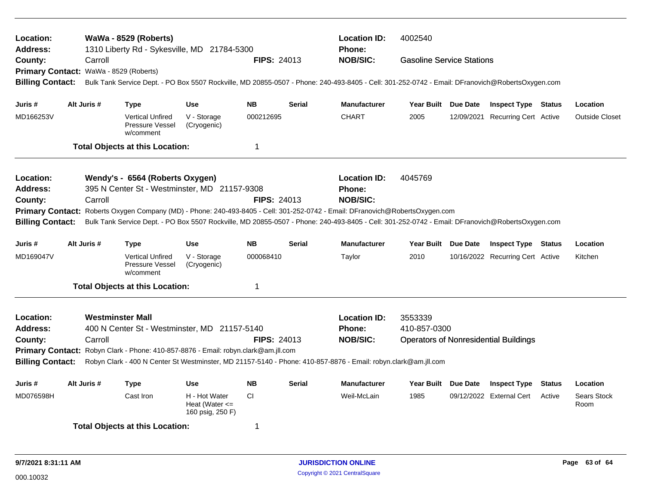| Location:<br><b>Address:</b>                                                                                                              |  |                         | WaWa - 8529 (Roberts)<br>1310 Liberty Rd - Sykesville, MD 21784-5300                                                                                                                                                                                            |                                                         |                    |               | <b>Location ID:</b><br><b>Phone:</b>                                                                                                            | 4002540                          |  |                                              |        |                            |  |  |
|-------------------------------------------------------------------------------------------------------------------------------------------|--|-------------------------|-----------------------------------------------------------------------------------------------------------------------------------------------------------------------------------------------------------------------------------------------------------------|---------------------------------------------------------|--------------------|---------------|-------------------------------------------------------------------------------------------------------------------------------------------------|----------------------------------|--|----------------------------------------------|--------|----------------------------|--|--|
| County:                                                                                                                                   |  | Carroll                 |                                                                                                                                                                                                                                                                 |                                                         | <b>FIPS: 24013</b> |               | <b>NOB/SIC:</b>                                                                                                                                 | <b>Gasoline Service Stations</b> |  |                                              |        |                            |  |  |
| <b>Primary Contact:</b>                                                                                                                   |  | WaWa - 8529 (Roberts)   |                                                                                                                                                                                                                                                                 |                                                         |                    |               |                                                                                                                                                 |                                  |  |                                              |        |                            |  |  |
| <b>Billing Contact:</b>                                                                                                                   |  |                         |                                                                                                                                                                                                                                                                 |                                                         |                    |               | Bulk Tank Service Dept. - PO Box 5507 Rockville, MD 20855-0507 - Phone: 240-493-8405 - Cell: 301-252-0742 - Email: DFranovich@RobertsOxygen.com |                                  |  |                                              |        |                            |  |  |
| Juris #                                                                                                                                   |  | Alt Juris #             | Type                                                                                                                                                                                                                                                            | <b>Use</b>                                              | <b>NB</b>          | <b>Serial</b> | <b>Manufacturer</b>                                                                                                                             | Year Built Due Date              |  | <b>Inspect Type Status</b>                   |        | Location                   |  |  |
| MD166253V                                                                                                                                 |  |                         | <b>Vertical Unfired</b><br>Pressure Vessel<br>w/comment                                                                                                                                                                                                         | V - Storage<br>(Cryogenic)                              | 000212695          |               | <b>CHART</b>                                                                                                                                    | 2005                             |  | 12/09/2021 Recurring Cert Active             |        | <b>Outside Closet</b>      |  |  |
|                                                                                                                                           |  |                         | <b>Total Objects at this Location:</b>                                                                                                                                                                                                                          |                                                         | $\mathbf 1$        |               |                                                                                                                                                 |                                  |  |                                              |        |                            |  |  |
| Location:                                                                                                                                 |  |                         | Wendy's - 6564 (Roberts Oxygen)                                                                                                                                                                                                                                 |                                                         |                    |               | <b>Location ID:</b>                                                                                                                             | 4045769                          |  |                                              |        |                            |  |  |
| <b>Address:</b>                                                                                                                           |  |                         | 395 N Center St - Westminster, MD 21157-9308                                                                                                                                                                                                                    |                                                         |                    |               | Phone:                                                                                                                                          |                                  |  |                                              |        |                            |  |  |
| County:                                                                                                                                   |  | Carroll                 |                                                                                                                                                                                                                                                                 |                                                         | <b>FIPS: 24013</b> |               | <b>NOB/SIC:</b>                                                                                                                                 |                                  |  |                                              |        |                            |  |  |
| <b>Primary Contact:</b>                                                                                                                   |  |                         | Roberts Oxygen Company (MD) - Phone: 240-493-8405 - Cell: 301-252-0742 - Email: DFranovich@RobertsOxygen.com<br>Bulk Tank Service Dept. - PO Box 5507 Rockville, MD 20855-0507 - Phone: 240-493-8405 - Cell: 301-252-0742 - Email: DFranovich@RobertsOxygen.com |                                                         |                    |               |                                                                                                                                                 |                                  |  |                                              |        |                            |  |  |
| <b>Billing Contact:</b>                                                                                                                   |  |                         |                                                                                                                                                                                                                                                                 |                                                         |                    |               |                                                                                                                                                 |                                  |  |                                              |        |                            |  |  |
| Juris #                                                                                                                                   |  | Alt Juris #             | <b>Type</b>                                                                                                                                                                                                                                                     | <b>Use</b>                                              | <b>NB</b>          | <b>Serial</b> | <b>Manufacturer</b>                                                                                                                             | Year Built Due Date              |  | <b>Inspect Type Status</b>                   |        | Location                   |  |  |
| MD169047V                                                                                                                                 |  |                         | <b>Vertical Unfired</b><br>Pressure Vessel<br>w/comment                                                                                                                                                                                                         | V - Storage<br>(Cryogenic)                              | 000068410          |               | Taylor                                                                                                                                          | 2010                             |  | 10/16/2022 Recurring Cert Active             |        | Kitchen                    |  |  |
|                                                                                                                                           |  |                         | <b>Total Objects at this Location:</b>                                                                                                                                                                                                                          |                                                         | $\mathbf 1$        |               |                                                                                                                                                 |                                  |  |                                              |        |                            |  |  |
| Location:                                                                                                                                 |  | <b>Westminster Mall</b> |                                                                                                                                                                                                                                                                 |                                                         |                    |               | <b>Location ID:</b>                                                                                                                             | 3553339                          |  |                                              |        |                            |  |  |
| <b>Address:</b>                                                                                                                           |  |                         | 400 N Center St - Westminster, MD 21157-5140                                                                                                                                                                                                                    |                                                         |                    |               | Phone:                                                                                                                                          | 410-857-0300                     |  |                                              |        |                            |  |  |
| County:                                                                                                                                   |  | Carroll                 |                                                                                                                                                                                                                                                                 |                                                         | <b>FIPS: 24013</b> |               | <b>NOB/SIC:</b>                                                                                                                                 |                                  |  | <b>Operators of Nonresidential Buildings</b> |        |                            |  |  |
|                                                                                                                                           |  |                         | Primary Contact: Robyn Clark - Phone: 410-857-8876 - Email: robyn.clark@am.jll.com                                                                                                                                                                              |                                                         |                    |               |                                                                                                                                                 |                                  |  |                                              |        |                            |  |  |
| <b>Billing Contact:</b><br>Robyn Clark - 400 N Center St Westminster, MD 21157-5140 - Phone: 410-857-8876 - Email: robyn.clark@am.jll.com |  |                         |                                                                                                                                                                                                                                                                 |                                                         |                    |               |                                                                                                                                                 |                                  |  |                                              |        |                            |  |  |
| Juris #                                                                                                                                   |  | Alt Juris #             | Type                                                                                                                                                                                                                                                            | <b>Use</b>                                              | <b>NB</b>          | <b>Serial</b> | <b>Manufacturer</b>                                                                                                                             | Year Built Due Date              |  | <b>Inspect Type</b>                          | Status | Location                   |  |  |
| MD076598H                                                                                                                                 |  |                         | Cast Iron                                                                                                                                                                                                                                                       | H - Hot Water<br>Heat (Water $\leq$<br>160 psig, 250 F) | <b>CI</b>          |               | Weil-McLain                                                                                                                                     | 1985                             |  | 09/12/2022 External Cert                     | Active | <b>Sears Stock</b><br>Room |  |  |
|                                                                                                                                           |  |                         | <b>Total Objects at this Location:</b>                                                                                                                                                                                                                          |                                                         | -1                 |               |                                                                                                                                                 |                                  |  |                                              |        |                            |  |  |